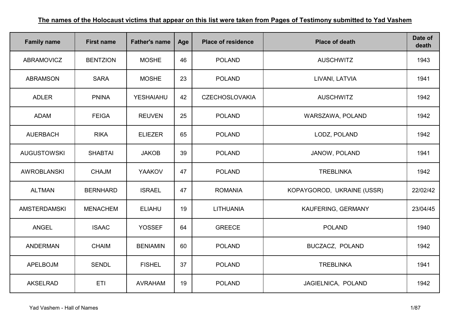| <b>Family name</b>  | <b>First name</b> | <b>Father's name</b> | Age | <b>Place of residence</b> | <b>Place of death</b>      | Date of<br>death |
|---------------------|-------------------|----------------------|-----|---------------------------|----------------------------|------------------|
| <b>ABRAMOVICZ</b>   | <b>BENTZION</b>   | <b>MOSHE</b>         | 46  | <b>POLAND</b>             | <b>AUSCHWITZ</b>           | 1943             |
| <b>ABRAMSON</b>     | <b>SARA</b>       | <b>MOSHE</b>         | 23  | <b>POLAND</b>             | LIVANI, LATVIA             | 1941             |
| <b>ADLER</b>        | <b>PNINA</b>      | <b>YESHAIAHU</b>     | 42  | <b>CZECHOSLOVAKIA</b>     | <b>AUSCHWITZ</b>           | 1942             |
| <b>ADAM</b>         | <b>FEIGA</b>      | <b>REUVEN</b>        | 25  | <b>POLAND</b>             | WARSZAWA, POLAND           | 1942             |
| <b>AUERBACH</b>     | <b>RIKA</b>       | <b>ELIEZER</b>       | 65  | <b>POLAND</b>             | LODZ, POLAND               | 1942             |
| <b>AUGUSTOWSKI</b>  | <b>SHABTAI</b>    | <b>JAKOB</b>         | 39  | <b>POLAND</b>             | JANOW, POLAND              | 1941             |
| <b>AWROBLANSKI</b>  | <b>CHAJM</b>      | <b>YAAKOV</b>        | 47  | <b>POLAND</b>             | <b>TREBLINKA</b>           | 1942             |
| <b>ALTMAN</b>       | <b>BERNHARD</b>   | <b>ISRAEL</b>        | 47  | <b>ROMANIA</b>            | KOPAYGOROD, UKRAINE (USSR) | 22/02/42         |
| <b>AMSTERDAMSKI</b> | <b>MENACHEM</b>   | <b>ELIAHU</b>        | 19  | LITHUANIA                 | KAUFERING, GERMANY         | 23/04/45         |
| <b>ANGEL</b>        | <b>ISAAC</b>      | <b>YOSSEF</b>        | 64  | <b>GREECE</b>             | <b>POLAND</b>              | 1940             |
| <b>ANDERMAN</b>     | <b>CHAIM</b>      | <b>BENIAMIN</b>      | 60  | <b>POLAND</b>             | BUCZACZ, POLAND            | 1942             |
| APELBOJM            | <b>SENDL</b>      | <b>FISHEL</b>        | 37  | <b>POLAND</b>             | <b>TREBLINKA</b>           | 1941             |
| <b>AKSELRAD</b>     | ETI               | <b>AVRAHAM</b>       | 19  | <b>POLAND</b>             | JAGIELNICA, POLAND         | 1942             |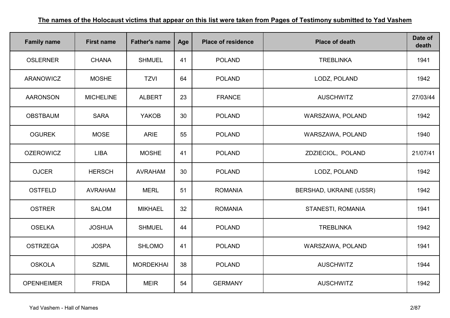| <b>Family name</b> | <b>First name</b> | <b>Father's name</b> | Age | <b>Place of residence</b> | <b>Place of death</b>   | Date of<br>death |
|--------------------|-------------------|----------------------|-----|---------------------------|-------------------------|------------------|
| <b>OSLERNER</b>    | <b>CHANA</b>      | <b>SHMUEL</b>        | 41  | <b>POLAND</b>             | <b>TREBLINKA</b>        | 1941             |
| ARANOWICZ          | <b>MOSHE</b>      | <b>TZVI</b>          | 64  | <b>POLAND</b>             | LODZ, POLAND            | 1942             |
| <b>AARONSON</b>    | <b>MICHELINE</b>  | <b>ALBERT</b>        | 23  | <b>FRANCE</b>             | <b>AUSCHWITZ</b>        | 27/03/44         |
| <b>OBSTBAUM</b>    | <b>SARA</b>       | <b>YAKOB</b>         | 30  | <b>POLAND</b>             | WARSZAWA, POLAND        | 1942             |
| <b>OGUREK</b>      | <b>MOSE</b>       | <b>ARIE</b>          | 55  | <b>POLAND</b>             | WARSZAWA, POLAND        | 1940             |
| <b>OZEROWICZ</b>   | <b>LIBA</b>       | <b>MOSHE</b>         | 41  | <b>POLAND</b>             | ZDZIECIOL, POLAND       | 21/07/41         |
| <b>OJCER</b>       | <b>HERSCH</b>     | <b>AVRAHAM</b>       | 30  | <b>POLAND</b>             | LODZ, POLAND            | 1942             |
| <b>OSTFELD</b>     | <b>AVRAHAM</b>    | <b>MERL</b>          | 51  | <b>ROMANIA</b>            | BERSHAD, UKRAINE (USSR) | 1942             |
| <b>OSTRER</b>      | <b>SALOM</b>      | <b>MIKHAEL</b>       | 32  | <b>ROMANIA</b>            | STANESTI, ROMANIA       | 1941             |
| <b>OSELKA</b>      | <b>JOSHUA</b>     | <b>SHMUEL</b>        | 44  | <b>POLAND</b>             | <b>TREBLINKA</b>        | 1942             |
| <b>OSTRZEGA</b>    | <b>JOSPA</b>      | <b>SHLOMO</b>        | 41  | <b>POLAND</b>             | WARSZAWA, POLAND        | 1941             |
| <b>OSKOLA</b>      | <b>SZMIL</b>      | <b>MORDEKHAI</b>     | 38  | <b>POLAND</b>             | <b>AUSCHWITZ</b>        | 1944             |
| <b>OPENHEIMER</b>  | <b>FRIDA</b>      | <b>MEIR</b>          | 54  | <b>GERMANY</b>            | <b>AUSCHWITZ</b>        | 1942             |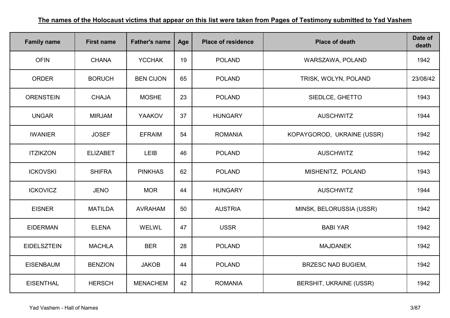| <b>Family name</b> | <b>First name</b> | <b>Father's name</b> | Age | <b>Place of residence</b> | <b>Place of death</b>          | Date of<br>death |
|--------------------|-------------------|----------------------|-----|---------------------------|--------------------------------|------------------|
| <b>OFIN</b>        | <b>CHANA</b>      | <b>YCCHAK</b>        | 19  | <b>POLAND</b>             | WARSZAWA, POLAND               | 1942             |
| <b>ORDER</b>       | <b>BORUCH</b>     | <b>BEN CIJON</b>     | 65  | <b>POLAND</b>             | TRISK, WOLYN, POLAND           | 23/08/42         |
| <b>ORENSTEIN</b>   | <b>CHAJA</b>      | <b>MOSHE</b>         | 23  | <b>POLAND</b>             | SIEDLCE, GHETTO                | 1943             |
| <b>UNGAR</b>       | <b>MIRJAM</b>     | <b>YAAKOV</b>        | 37  | <b>HUNGARY</b>            | <b>AUSCHWITZ</b>               | 1944             |
| <b>IWANIER</b>     | <b>JOSEF</b>      | <b>EFRAIM</b>        | 54  | <b>ROMANIA</b>            | KOPAYGOROD, UKRAINE (USSR)     | 1942             |
| <b>ITZIKZON</b>    | <b>ELIZABET</b>   | <b>LEIB</b>          | 46  | <b>POLAND</b>             | <b>AUSCHWITZ</b>               | 1942             |
| <b>ICKOVSKI</b>    | <b>SHIFRA</b>     | <b>PINKHAS</b>       | 62  | <b>POLAND</b>             | MISHENITZ, POLAND              | 1943             |
| <b>ICKOVICZ</b>    | <b>JENO</b>       | <b>MOR</b>           | 44  | <b>HUNGARY</b>            | <b>AUSCHWITZ</b>               | 1944             |
| <b>EISNER</b>      | <b>MATILDA</b>    | <b>AVRAHAM</b>       | 50  | <b>AUSTRIA</b>            | MINSK, BELORUSSIA (USSR)       | 1942             |
| <b>EIDERMAN</b>    | <b>ELENA</b>      | WELWL                | 47  | <b>USSR</b>               | <b>BABI YAR</b>                | 1942             |
| <b>EIDELSZTEIN</b> | <b>MACHLA</b>     | <b>BER</b>           | 28  | <b>POLAND</b>             | <b>MAJDANEK</b>                | 1942             |
| <b>EISENBAUM</b>   | <b>BENZION</b>    | <b>JAKOB</b>         | 44  | <b>POLAND</b>             | <b>BRZESC NAD BUGIEM,</b>      | 1942             |
| <b>EISENTHAL</b>   | <b>HERSCH</b>     | <b>MENACHEM</b>      | 42  | <b>ROMANIA</b>            | <b>BERSHIT, UKRAINE (USSR)</b> | 1942             |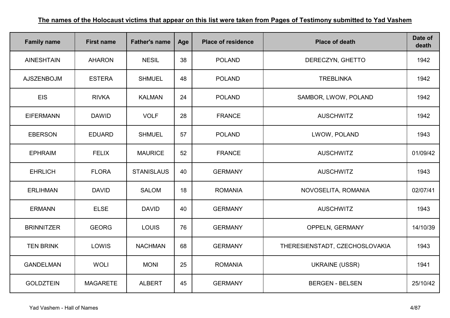| <b>Family name</b> | <b>First name</b> | <b>Father's name</b> | Age | <b>Place of residence</b> | <b>Place of death</b>          | Date of<br>death |
|--------------------|-------------------|----------------------|-----|---------------------------|--------------------------------|------------------|
| <b>AINESHTAIN</b>  | <b>AHARON</b>     | <b>NESIL</b>         | 38  | <b>POLAND</b>             | DERECZYN, GHETTO               | 1942             |
| <b>AJSZENBOJM</b>  | <b>ESTERA</b>     | <b>SHMUEL</b>        | 48  | <b>POLAND</b>             | <b>TREBLINKA</b>               | 1942             |
| <b>EIS</b>         | <b>RIVKA</b>      | <b>KALMAN</b>        | 24  | <b>POLAND</b>             | SAMBOR, LWOW, POLAND           | 1942             |
| <b>EIFERMANN</b>   | <b>DAWID</b>      | <b>VOLF</b>          | 28  | <b>FRANCE</b>             | <b>AUSCHWITZ</b>               | 1942             |
| <b>EBERSON</b>     | <b>EDUARD</b>     | <b>SHMUEL</b>        | 57  | <b>POLAND</b>             | LWOW, POLAND                   | 1943             |
| <b>EPHRAIM</b>     | <b>FELIX</b>      | <b>MAURICE</b>       | 52  | <b>FRANCE</b>             | <b>AUSCHWITZ</b>               | 01/09/42         |
| <b>EHRLICH</b>     | <b>FLORA</b>      | <b>STANISLAUS</b>    | 40  | <b>GERMANY</b>            | <b>AUSCHWITZ</b>               | 1943             |
| <b>ERLIHMAN</b>    | <b>DAVID</b>      | <b>SALOM</b>         | 18  | <b>ROMANIA</b>            | NOVOSELITA, ROMANIA            | 02/07/41         |
| <b>ERMANN</b>      | <b>ELSE</b>       | <b>DAVID</b>         | 40  | <b>GERMANY</b>            | <b>AUSCHWITZ</b>               | 1943             |
| <b>BRINNITZER</b>  | <b>GEORG</b>      | <b>LOUIS</b>         | 76  | <b>GERMANY</b>            | <b>OPPELN, GERMANY</b>         | 14/10/39         |
| <b>TEN BRINK</b>   | LOWIS             | <b>NACHMAN</b>       | 68  | <b>GERMANY</b>            | THERESIENSTADT, CZECHOSLOVAKIA | 1943             |
| <b>GANDELMAN</b>   | <b>WOLI</b>       | <b>MONI</b>          | 25  | <b>ROMANIA</b>            | <b>UKRAINE (USSR)</b>          | 1941             |
| <b>GOLDZTEIN</b>   | <b>MAGARETE</b>   | <b>ALBERT</b>        | 45  | <b>GERMANY</b>            | <b>BERGEN - BELSEN</b>         | 25/10/42         |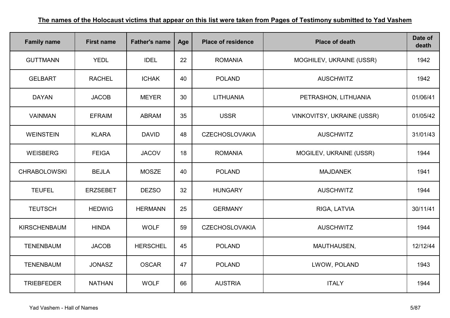| <b>Family name</b>  | <b>First name</b> | <b>Father's name</b> | Age | <b>Place of residence</b> | <b>Place of death</b>             | Date of<br>death |
|---------------------|-------------------|----------------------|-----|---------------------------|-----------------------------------|------------------|
| <b>GUTTMANN</b>     | <b>YEDL</b>       | <b>IDEL</b>          | 22  | <b>ROMANIA</b>            | MOGHILEV, UKRAINE (USSR)          | 1942             |
| <b>GELBART</b>      | <b>RACHEL</b>     | <b>ICHAK</b>         | 40  | <b>POLAND</b>             | <b>AUSCHWITZ</b>                  | 1942             |
| <b>DAYAN</b>        | <b>JACOB</b>      | <b>MEYER</b>         | 30  | <b>LITHUANIA</b>          | PETRASHON, LITHUANIA              | 01/06/41         |
| <b>VAINMAN</b>      | <b>EFRAIM</b>     | <b>ABRAM</b>         | 35  | <b>USSR</b>               | <b>VINKOVITSY, UKRAINE (USSR)</b> | 01/05/42         |
| <b>WEINSTEIN</b>    | <b>KLARA</b>      | <b>DAVID</b>         | 48  | <b>CZECHOSLOVAKIA</b>     | <b>AUSCHWITZ</b>                  | 31/01/43         |
| <b>WEISBERG</b>     | <b>FEIGA</b>      | <b>JACOV</b>         | 18  | <b>ROMANIA</b>            | MOGILEV, UKRAINE (USSR)           | 1944             |
| <b>CHRABOLOWSKI</b> | <b>BEJLA</b>      | <b>MOSZE</b>         | 40  | <b>POLAND</b>             | <b>MAJDANEK</b>                   | 1941             |
| <b>TEUFEL</b>       | <b>ERZSEBET</b>   | <b>DEZSO</b>         | 32  | <b>HUNGARY</b>            | <b>AUSCHWITZ</b>                  | 1944             |
| <b>TEUTSCH</b>      | <b>HEDWIG</b>     | <b>HERMANN</b>       | 25  | <b>GERMANY</b>            | RIGA, LATVIA                      | 30/11/41         |
| <b>KIRSCHENBAUM</b> | <b>HINDA</b>      | <b>WOLF</b>          | 59  | <b>CZECHOSLOVAKIA</b>     | <b>AUSCHWITZ</b>                  | 1944             |
| <b>TENENBAUM</b>    | <b>JACOB</b>      | <b>HERSCHEL</b>      | 45  | <b>POLAND</b>             | MAUTHAUSEN,                       | 12/12/44         |
| <b>TENENBAUM</b>    | <b>JONASZ</b>     | <b>OSCAR</b>         | 47  | <b>POLAND</b>             | LWOW, POLAND                      | 1943             |
| <b>TRIEBFEDER</b>   | <b>NATHAN</b>     | <b>WOLF</b>          | 66  | <b>AUSTRIA</b>            | <b>ITALY</b>                      | 1944             |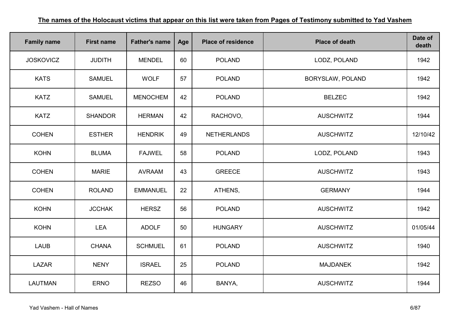| <b>Family name</b> | <b>First name</b> | <b>Father's name</b> | Age | <b>Place of residence</b> | <b>Place of death</b> | Date of<br>death |
|--------------------|-------------------|----------------------|-----|---------------------------|-----------------------|------------------|
| <b>JOSKOVICZ</b>   | <b>JUDITH</b>     | <b>MENDEL</b>        | 60  | <b>POLAND</b>             | LODZ, POLAND          | 1942             |
| <b>KATS</b>        | <b>SAMUEL</b>     | <b>WOLF</b>          | 57  | <b>POLAND</b>             | BORYSLAW, POLAND      | 1942             |
| <b>KATZ</b>        | <b>SAMUEL</b>     | <b>MENOCHEM</b>      | 42  | <b>POLAND</b>             | <b>BELZEC</b>         | 1942             |
| <b>KATZ</b>        | <b>SHANDOR</b>    | <b>HERMAN</b>        | 42  | RACHOVO,                  | <b>AUSCHWITZ</b>      | 1944             |
| <b>COHEN</b>       | <b>ESTHER</b>     | <b>HENDRIK</b>       | 49  | <b>NETHERLANDS</b>        | <b>AUSCHWITZ</b>      | 12/10/42         |
| <b>KOHN</b>        | <b>BLUMA</b>      | <b>FAJWEL</b>        | 58  | <b>POLAND</b>             | LODZ, POLAND          | 1943             |
| <b>COHEN</b>       | <b>MARIE</b>      | <b>AVRAAM</b>        | 43  | <b>GREECE</b>             | <b>AUSCHWITZ</b>      | 1943             |
| <b>COHEN</b>       | <b>ROLAND</b>     | <b>EMMANUEL</b>      | 22  | ATHENS,                   | <b>GERMANY</b>        | 1944             |
| <b>KOHN</b>        | <b>JCCHAK</b>     | <b>HERSZ</b>         | 56  | <b>POLAND</b>             | <b>AUSCHWITZ</b>      | 1942             |
| <b>KOHN</b>        | <b>LEA</b>        | <b>ADOLF</b>         | 50  | <b>HUNGARY</b>            | <b>AUSCHWITZ</b>      | 01/05/44         |
| <b>LAUB</b>        | <b>CHANA</b>      | <b>SCHMUEL</b>       | 61  | <b>POLAND</b>             | <b>AUSCHWITZ</b>      | 1940             |
| LAZAR              | <b>NENY</b>       | <b>ISRAEL</b>        | 25  | <b>POLAND</b>             | <b>MAJDANEK</b>       | 1942             |
| <b>LAUTMAN</b>     | <b>ERNO</b>       | <b>REZSO</b>         | 46  | BANYA,                    | <b>AUSCHWITZ</b>      | 1944             |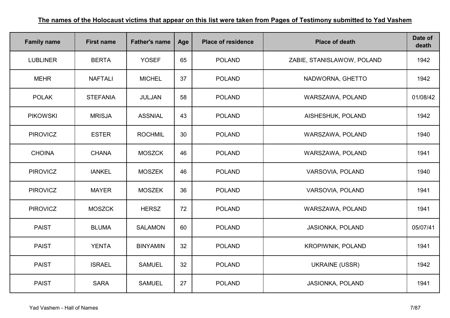| <b>Family name</b> | <b>First name</b> | <b>Father's name</b> | Age | <b>Place of residence</b> | <b>Place of death</b>      | Date of<br>death |
|--------------------|-------------------|----------------------|-----|---------------------------|----------------------------|------------------|
| <b>LUBLINER</b>    | <b>BERTA</b>      | <b>YOSEF</b>         | 65  | <b>POLAND</b>             | ZABIE, STANISLAWOW, POLAND | 1942             |
| <b>MEHR</b>        | <b>NAFTALI</b>    | <b>MICHEL</b>        | 37  | <b>POLAND</b>             | NADWORNA, GHETTO           | 1942             |
| <b>POLAK</b>       | <b>STEFANIA</b>   | JULJAN               | 58  | <b>POLAND</b>             | WARSZAWA, POLAND           | 01/08/42         |
| <b>PIKOWSKI</b>    | <b>MRISJA</b>     | <b>ASSNIAL</b>       | 43  | <b>POLAND</b>             | AISHESHUK, POLAND          | 1942             |
| <b>PIROVICZ</b>    | <b>ESTER</b>      | <b>ROCHMIL</b>       | 30  | <b>POLAND</b>             | WARSZAWA, POLAND           | 1940             |
| <b>CHOINA</b>      | <b>CHANA</b>      | <b>MOSZCK</b>        | 46  | <b>POLAND</b>             | WARSZAWA, POLAND           | 1941             |
| <b>PIROVICZ</b>    | <b>IANKEL</b>     | <b>MOSZEK</b>        | 46  | <b>POLAND</b>             | VARSOVIA, POLAND           | 1940             |
| <b>PIROVICZ</b>    | <b>MAYER</b>      | <b>MOSZEK</b>        | 36  | <b>POLAND</b>             | VARSOVIA, POLAND           | 1941             |
| <b>PIROVICZ</b>    | <b>MOSZCK</b>     | <b>HERSZ</b>         | 72  | <b>POLAND</b>             | WARSZAWA, POLAND           | 1941             |
| <b>PAIST</b>       | <b>BLUMA</b>      | <b>SALAMON</b>       | 60  | <b>POLAND</b>             | JASIONKA, POLAND           | 05/07/41         |
| <b>PAIST</b>       | <b>YENTA</b>      | <b>BINYAMIN</b>      | 32  | <b>POLAND</b>             | <b>KROPIWNIK, POLAND</b>   | 1941             |
| <b>PAIST</b>       | <b>ISRAEL</b>     | <b>SAMUEL</b>        | 32  | <b>POLAND</b>             | <b>UKRAINE (USSR)</b>      | 1942             |
| <b>PAIST</b>       | <b>SARA</b>       | <b>SAMUEL</b>        | 27  | <b>POLAND</b>             | JASIONKA, POLAND           | 1941             |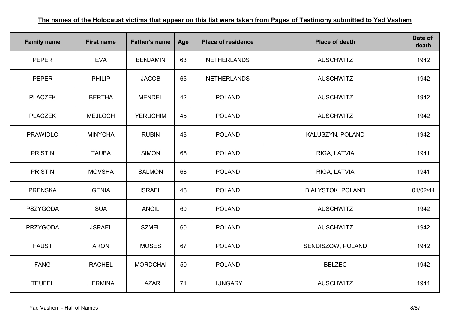| <b>Family name</b> | <b>First name</b> | <b>Father's name</b> | Age | <b>Place of residence</b> | <b>Place of death</b>    | Date of<br>death |
|--------------------|-------------------|----------------------|-----|---------------------------|--------------------------|------------------|
| <b>PEPER</b>       | <b>EVA</b>        | <b>BENJAMIN</b>      | 63  | <b>NETHERLANDS</b>        | <b>AUSCHWITZ</b>         | 1942             |
| <b>PEPER</b>       | <b>PHILIP</b>     | <b>JACOB</b>         | 65  | <b>NETHERLANDS</b>        | <b>AUSCHWITZ</b>         | 1942             |
| <b>PLACZEK</b>     | <b>BERTHA</b>     | <b>MENDEL</b>        | 42  | <b>POLAND</b>             | <b>AUSCHWITZ</b>         | 1942             |
| <b>PLACZEK</b>     | <b>MEJLOCH</b>    | <b>YERUCHIM</b>      | 45  | <b>POLAND</b>             | <b>AUSCHWITZ</b>         | 1942             |
| <b>PRAWIDLO</b>    | <b>MINYCHA</b>    | <b>RUBIN</b>         | 48  | <b>POLAND</b>             | KALUSZYN, POLAND         | 1942             |
| <b>PRISTIN</b>     | <b>TAUBA</b>      | <b>SIMON</b>         | 68  | <b>POLAND</b>             | RIGA, LATVIA             | 1941             |
| <b>PRISTIN</b>     | <b>MOVSHA</b>     | <b>SALMON</b>        | 68  | <b>POLAND</b>             | RIGA, LATVIA             | 1941             |
| <b>PRENSKA</b>     | <b>GENIA</b>      | <b>ISRAEL</b>        | 48  | <b>POLAND</b>             | <b>BIALYSTOK, POLAND</b> | 01/02/44         |
| <b>PSZYGODA</b>    | <b>SUA</b>        | <b>ANCIL</b>         | 60  | <b>POLAND</b>             | <b>AUSCHWITZ</b>         | 1942             |
| <b>PRZYGODA</b>    | <b>JSRAEL</b>     | <b>SZMEL</b>         | 60  | <b>POLAND</b>             | <b>AUSCHWITZ</b>         | 1942             |
| <b>FAUST</b>       | <b>ARON</b>       | <b>MOSES</b>         | 67  | <b>POLAND</b>             | SENDISZOW, POLAND        | 1942             |
| <b>FANG</b>        | <b>RACHEL</b>     | <b>MORDCHAI</b>      | 50  | <b>POLAND</b>             | <b>BELZEC</b>            | 1942             |
| <b>TEUFEL</b>      | <b>HERMINA</b>    | <b>LAZAR</b>         | 71  | <b>HUNGARY</b>            | <b>AUSCHWITZ</b>         | 1944             |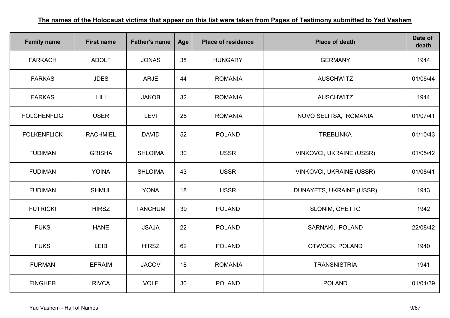| <b>Family name</b> | <b>First name</b> | <b>Father's name</b> | Age | <b>Place of residence</b> | <b>Place of death</b>           | Date of<br>death |
|--------------------|-------------------|----------------------|-----|---------------------------|---------------------------------|------------------|
| <b>FARKACH</b>     | <b>ADOLF</b>      | <b>JONAS</b>         | 38  | <b>HUNGARY</b>            | <b>GERMANY</b>                  | 1944             |
| <b>FARKAS</b>      | <b>JDES</b>       | <b>ARJE</b>          | 44  | <b>ROMANIA</b>            | <b>AUSCHWITZ</b>                | 01/06/44         |
| <b>FARKAS</b>      | LILI              | <b>JAKOB</b>         | 32  | <b>ROMANIA</b>            | <b>AUSCHWITZ</b>                | 1944             |
| <b>FOLCHENFLIG</b> | <b>USER</b>       | <b>LEVI</b>          | 25  | <b>ROMANIA</b>            | NOVO SELITSA, ROMANIA           | 01/07/41         |
| <b>FOLKENFLICK</b> | <b>RACHMIEL</b>   | <b>DAVID</b>         | 52  | <b>POLAND</b>             | <b>TREBLINKA</b>                | 01/10/43         |
| <b>FUDIMAN</b>     | <b>GRISHA</b>     | <b>SHLOIMA</b>       | 30  | <b>USSR</b>               | <b>VINKOVCI, UKRAINE (USSR)</b> | 01/05/42         |
| <b>FUDIMAN</b>     | <b>YOINA</b>      | <b>SHLOIMA</b>       | 43  | <b>USSR</b>               | <b>VINKOVCI, UKRAINE (USSR)</b> | 01/08/41         |
| <b>FUDIMAN</b>     | <b>SHMUL</b>      | <b>YONA</b>          | 18  | <b>USSR</b>               | DUNAYETS, UKRAINE (USSR)        | 1943             |
| <b>FUTRICKI</b>    | <b>HIRSZ</b>      | <b>TANCHUM</b>       | 39  | <b>POLAND</b>             | SLONIM, GHETTO                  | 1942             |
| <b>FUKS</b>        | <b>HANE</b>       | <b>JSAJA</b>         | 22  | <b>POLAND</b>             | SARNAKI, POLAND                 | 22/08/42         |
| <b>FUKS</b>        | <b>LEIB</b>       | <b>HIRSZ</b>         | 62  | <b>POLAND</b>             | OTWOCK, POLAND                  | 1940             |
| <b>FURMAN</b>      | <b>EFRAIM</b>     | <b>JACOV</b>         | 18  | <b>ROMANIA</b>            | <b>TRANSNISTRIA</b>             | 1941             |
| <b>FINGHER</b>     | <b>RIVCA</b>      | <b>VOLF</b>          | 30  | <b>POLAND</b>             | <b>POLAND</b>                   | 01/01/39         |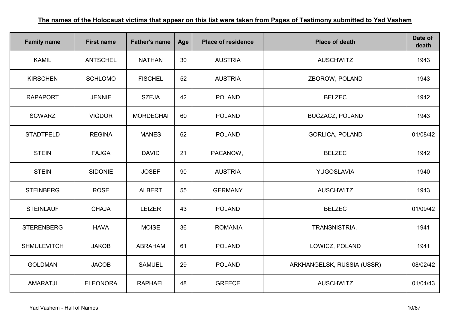| <b>Family name</b> | <b>First name</b> | <b>Father's name</b> | Age | <b>Place of residence</b> | <b>Place of death</b>      | Date of<br>death |
|--------------------|-------------------|----------------------|-----|---------------------------|----------------------------|------------------|
| <b>KAMIL</b>       | <b>ANTSCHEL</b>   | <b>NATHAN</b>        | 30  | <b>AUSTRIA</b>            | <b>AUSCHWITZ</b>           | 1943             |
| <b>KIRSCHEN</b>    | <b>SCHLOMO</b>    | <b>FISCHEL</b>       | 52  | <b>AUSTRIA</b>            | ZBOROW, POLAND             | 1943             |
| <b>RAPAPORT</b>    | <b>JENNIE</b>     | <b>SZEJA</b>         | 42  | <b>POLAND</b>             | <b>BELZEC</b>              | 1942             |
| <b>SCWARZ</b>      | <b>VIGDOR</b>     | <b>MORDECHAI</b>     | 60  | <b>POLAND</b>             | <b>BUCZACZ, POLAND</b>     | 1943             |
| <b>STADTFELD</b>   | <b>REGINA</b>     | <b>MANES</b>         | 62  | <b>POLAND</b>             | <b>GORLICA, POLAND</b>     | 01/08/42         |
| <b>STEIN</b>       | <b>FAJGA</b>      | <b>DAVID</b>         | 21  | PACANOW,                  | <b>BELZEC</b>              | 1942             |
| <b>STEIN</b>       | <b>SIDONIE</b>    | <b>JOSEF</b>         | 90  | <b>AUSTRIA</b>            | YUGOSLAVIA                 | 1940             |
| <b>STEINBERG</b>   | <b>ROSE</b>       | <b>ALBERT</b>        | 55  | <b>GERMANY</b>            | <b>AUSCHWITZ</b>           | 1943             |
| <b>STEINLAUF</b>   | <b>CHAJA</b>      | <b>LEIZER</b>        | 43  | <b>POLAND</b>             | <b>BELZEC</b>              | 01/09/42         |
| <b>STERENBERG</b>  | <b>HAVA</b>       | <b>MOISE</b>         | 36  | <b>ROMANIA</b>            | TRANSNISTRIA,              | 1941             |
| <b>SHMULEVITCH</b> | <b>JAKOB</b>      | <b>ABRAHAM</b>       | 61  | <b>POLAND</b>             | LOWICZ, POLAND             | 1941             |
| <b>GOLDMAN</b>     | <b>JACOB</b>      | <b>SAMUEL</b>        | 29  | <b>POLAND</b>             | ARKHANGELSK, RUSSIA (USSR) | 08/02/42         |
| <b>AMARATJI</b>    | <b>ELEONORA</b>   | <b>RAPHAEL</b>       | 48  | <b>GREECE</b>             | <b>AUSCHWITZ</b>           | 01/04/43         |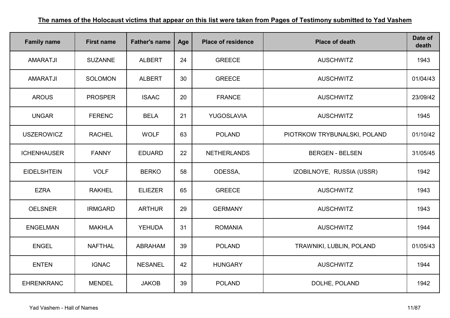| <b>Family name</b> | <b>First name</b> | <b>Father's name</b> | Age | <b>Place of residence</b> | <b>Place of death</b>        | Date of<br>death |
|--------------------|-------------------|----------------------|-----|---------------------------|------------------------------|------------------|
| <b>AMARATJI</b>    | <b>SUZANNE</b>    | <b>ALBERT</b>        | 24  | <b>GREECE</b>             | <b>AUSCHWITZ</b>             | 1943             |
| <b>AMARATJI</b>    | <b>SOLOMON</b>    | <b>ALBERT</b>        | 30  | <b>GREECE</b>             | <b>AUSCHWITZ</b>             | 01/04/43         |
| <b>AROUS</b>       | <b>PROSPER</b>    | <b>ISAAC</b>         | 20  | <b>FRANCE</b>             | <b>AUSCHWITZ</b>             | 23/09/42         |
| <b>UNGAR</b>       | <b>FERENC</b>     | <b>BELA</b>          | 21  | YUGOSLAVIA                | <b>AUSCHWITZ</b>             | 1945             |
| <b>USZEROWICZ</b>  | <b>RACHEL</b>     | <b>WOLF</b>          | 63  | <b>POLAND</b>             | PIOTRKOW TRYBUNALSKI, POLAND | 01/10/42         |
| <b>ICHENHAUSER</b> | <b>FANNY</b>      | <b>EDUARD</b>        | 22  | <b>NETHERLANDS</b>        | <b>BERGEN - BELSEN</b>       | 31/05/45         |
| <b>EIDELSHTEIN</b> | <b>VOLF</b>       | <b>BERKO</b>         | 58  | ODESSA,                   | IZOBILNOYE, RUSSIA (USSR)    | 1942             |
| <b>EZRA</b>        | <b>RAKHEL</b>     | <b>ELIEZER</b>       | 65  | <b>GREECE</b>             | <b>AUSCHWITZ</b>             | 1943             |
| <b>OELSNER</b>     | <b>IRMGARD</b>    | <b>ARTHUR</b>        | 29  | <b>GERMANY</b>            | <b>AUSCHWITZ</b>             | 1943             |
| <b>ENGELMAN</b>    | <b>MAKHLA</b>     | <b>YEHUDA</b>        | 31  | <b>ROMANIA</b>            | <b>AUSCHWITZ</b>             | 1944             |
| <b>ENGEL</b>       | <b>NAFTHAL</b>    | <b>ABRAHAM</b>       | 39  | <b>POLAND</b>             | TRAWNIKI, LUBLIN, POLAND     | 01/05/43         |
| <b>ENTEN</b>       | <b>IGNAC</b>      | <b>NESANEL</b>       | 42  | <b>HUNGARY</b>            | <b>AUSCHWITZ</b>             | 1944             |
| <b>EHRENKRANC</b>  | <b>MENDEL</b>     | <b>JAKOB</b>         | 39  | <b>POLAND</b>             | DOLHE, POLAND                | 1942             |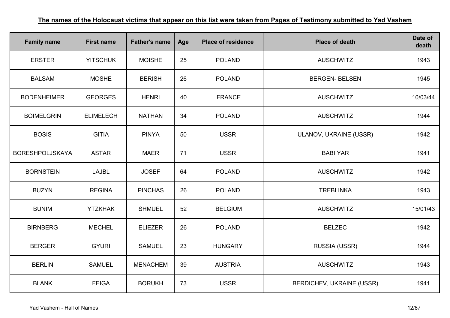| <b>Family name</b>     | <b>First name</b> | <b>Father's name</b> | Age | <b>Place of residence</b> | <b>Place of death</b>     | Date of<br>death |
|------------------------|-------------------|----------------------|-----|---------------------------|---------------------------|------------------|
| <b>ERSTER</b>          | <b>YITSCHUK</b>   | <b>MOISHE</b>        | 25  | <b>POLAND</b>             | <b>AUSCHWITZ</b>          | 1943             |
| <b>BALSAM</b>          | <b>MOSHE</b>      | <b>BERISH</b>        | 26  | <b>POLAND</b>             | <b>BERGEN- BELSEN</b>     | 1945             |
| <b>BODENHEIMER</b>     | <b>GEORGES</b>    | <b>HENRI</b>         | 40  | <b>FRANCE</b>             | <b>AUSCHWITZ</b>          | 10/03/44         |
| <b>BOIMELGRIN</b>      | <b>ELIMELECH</b>  | <b>NATHAN</b>        | 34  | <b>POLAND</b>             | <b>AUSCHWITZ</b>          | 1944             |
| <b>BOSIS</b>           | <b>GITIA</b>      | <b>PINYA</b>         | 50  | <b>USSR</b>               | ULANOV, UKRAINE (USSR)    | 1942             |
| <b>BORESHPOLJSKAYA</b> | <b>ASTAR</b>      | <b>MAER</b>          | 71  | <b>USSR</b>               | <b>BABI YAR</b>           | 1941             |
| <b>BORNSTEIN</b>       | <b>LAJBL</b>      | <b>JOSEF</b>         | 64  | <b>POLAND</b>             | <b>AUSCHWITZ</b>          | 1942             |
| <b>BUZYN</b>           | <b>REGINA</b>     | <b>PINCHAS</b>       | 26  | <b>POLAND</b>             | <b>TREBLINKA</b>          | 1943             |
| <b>BUNIM</b>           | <b>YTZKHAK</b>    | <b>SHMUEL</b>        | 52  | <b>BELGIUM</b>            | <b>AUSCHWITZ</b>          | 15/01/43         |
| <b>BIRNBERG</b>        | <b>MECHEL</b>     | <b>ELIEZER</b>       | 26  | <b>POLAND</b>             | <b>BELZEC</b>             | 1942             |
| <b>BERGER</b>          | <b>GYURI</b>      | <b>SAMUEL</b>        | 23  | <b>HUNGARY</b>            | RUSSIA (USSR)             | 1944             |
| <b>BERLIN</b>          | <b>SAMUEL</b>     | <b>MENACHEM</b>      | 39  | <b>AUSTRIA</b>            | <b>AUSCHWITZ</b>          | 1943             |
| <b>BLANK</b>           | <b>FEIGA</b>      | <b>BORUKH</b>        | 73  | <b>USSR</b>               | BERDICHEV, UKRAINE (USSR) | 1941             |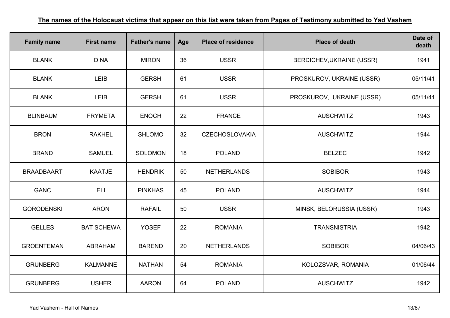| <b>Family name</b> | <b>First name</b> | <b>Father's name</b> | Age | <b>Place of residence</b> | <b>Place of death</b>            | Date of<br>death |
|--------------------|-------------------|----------------------|-----|---------------------------|----------------------------------|------------------|
| <b>BLANK</b>       | <b>DINA</b>       | <b>MIRON</b>         | 36  | <b>USSR</b>               | <b>BERDICHEV, UKRAINE (USSR)</b> | 1941             |
| <b>BLANK</b>       | LEIB              | <b>GERSH</b>         | 61  | <b>USSR</b>               | PROSKUROV, UKRAINE (USSR)        | 05/11/41         |
| <b>BLANK</b>       | LEIB              | <b>GERSH</b>         | 61  | <b>USSR</b>               | PROSKUROV, UKRAINE (USSR)        | 05/11/41         |
| <b>BLINBAUM</b>    | <b>FRYMETA</b>    | <b>ENOCH</b>         | 22  | <b>FRANCE</b>             | <b>AUSCHWITZ</b>                 | 1943             |
| <b>BRON</b>        | <b>RAKHEL</b>     | <b>SHLOMO</b>        | 32  | <b>CZECHOSLOVAKIA</b>     | <b>AUSCHWITZ</b>                 | 1944             |
| <b>BRAND</b>       | <b>SAMUEL</b>     | <b>SOLOMON</b>       | 18  | <b>POLAND</b>             | <b>BELZEC</b>                    | 1942             |
| <b>BRAADBAART</b>  | <b>KAATJE</b>     | <b>HENDRIK</b>       | 50  | <b>NETHERLANDS</b>        | <b>SOBIBOR</b>                   | 1943             |
| <b>GANC</b>        | <b>ELI</b>        | <b>PINKHAS</b>       | 45  | <b>POLAND</b>             | <b>AUSCHWITZ</b>                 | 1944             |
| <b>GORODENSKI</b>  | <b>ARON</b>       | <b>RAFAIL</b>        | 50  | <b>USSR</b>               | MINSK, BELORUSSIA (USSR)         | 1943             |
| <b>GELLES</b>      | <b>BAT SCHEWA</b> | <b>YOSEF</b>         | 22  | <b>ROMANIA</b>            | <b>TRANSNISTRIA</b>              | 1942             |
| <b>GROENTEMAN</b>  | <b>ABRAHAM</b>    | <b>BAREND</b>        | 20  | <b>NETHERLANDS</b>        | <b>SOBIBOR</b>                   | 04/06/43         |
| <b>GRUNBERG</b>    | <b>KALMANNE</b>   | <b>NATHAN</b>        | 54  | <b>ROMANIA</b>            | KOLOZSVAR, ROMANIA               | 01/06/44         |
| <b>GRUNBERG</b>    | <b>USHER</b>      | <b>AARON</b>         | 64  | <b>POLAND</b>             | <b>AUSCHWITZ</b>                 | 1942             |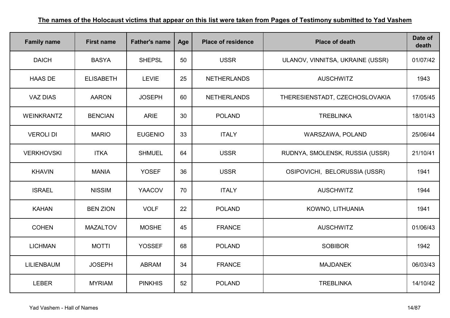| <b>Family name</b> | <b>First name</b> | <b>Father's name</b> | Age | <b>Place of residence</b> | <b>Place of death</b>            | Date of<br>death |
|--------------------|-------------------|----------------------|-----|---------------------------|----------------------------------|------------------|
| <b>DAICH</b>       | <b>BASYA</b>      | <b>SHEPSL</b>        | 50  | <b>USSR</b>               | ULANOV, VINNITSA, UKRAINE (USSR) | 01/07/42         |
| <b>HAAS DE</b>     | <b>ELISABETH</b>  | <b>LEVIE</b>         | 25  | <b>NETHERLANDS</b>        | <b>AUSCHWITZ</b>                 | 1943             |
| <b>VAZ DIAS</b>    | <b>AARON</b>      | <b>JOSEPH</b>        | 60  | <b>NETHERLANDS</b>        | THERESIENSTADT, CZECHOSLOVAKIA   | 17/05/45         |
| <b>WEINKRANTZ</b>  | <b>BENCIAN</b>    | <b>ARIE</b>          | 30  | <b>POLAND</b>             | <b>TREBLINKA</b>                 | 18/01/43         |
| <b>VEROLI DI</b>   | <b>MARIO</b>      | <b>EUGENIO</b>       | 33  | <b>ITALY</b>              | WARSZAWA, POLAND                 | 25/06/44         |
| <b>VERKHOVSKI</b>  | <b>ITKA</b>       | <b>SHMUEL</b>        | 64  | <b>USSR</b>               | RUDNYA, SMOLENSK, RUSSIA (USSR)  | 21/10/41         |
| <b>KHAVIN</b>      | <b>MANIA</b>      | <b>YOSEF</b>         | 36  | <b>USSR</b>               | OSIPOVICHI, BELORUSSIA (USSR)    | 1941             |
| <b>ISRAEL</b>      | <b>NISSIM</b>     | <b>YAACOV</b>        | 70  | <b>ITALY</b>              | <b>AUSCHWITZ</b>                 | 1944             |
| <b>KAHAN</b>       | <b>BEN ZION</b>   | <b>VOLF</b>          | 22  | <b>POLAND</b>             | KOWNO, LITHUANIA                 | 1941             |
| <b>COHEN</b>       | <b>MAZALTOV</b>   | <b>MOSHE</b>         | 45  | <b>FRANCE</b>             | <b>AUSCHWITZ</b>                 | 01/06/43         |
| <b>LICHMAN</b>     | <b>MOTTI</b>      | <b>YOSSEF</b>        | 68  | <b>POLAND</b>             | <b>SOBIBOR</b>                   | 1942             |
| <b>LILIENBAUM</b>  | <b>JOSEPH</b>     | <b>ABRAM</b>         | 34  | <b>FRANCE</b>             | <b>MAJDANEK</b>                  | 06/03/43         |
| <b>LEBER</b>       | <b>MYRIAM</b>     | <b>PINKHIS</b>       | 52  | <b>POLAND</b>             | <b>TREBLINKA</b>                 | 14/10/42         |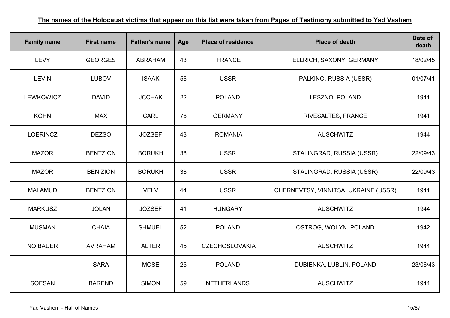| <b>Family name</b> | <b>First name</b> | <b>Father's name</b> | Age | <b>Place of residence</b> | <b>Place of death</b>                | Date of<br>death |
|--------------------|-------------------|----------------------|-----|---------------------------|--------------------------------------|------------------|
| <b>LEVY</b>        | <b>GEORGES</b>    | <b>ABRAHAM</b>       | 43  | <b>FRANCE</b>             | ELLRICH, SAXONY, GERMANY             | 18/02/45         |
| <b>LEVIN</b>       | <b>LUBOV</b>      | <b>ISAAK</b>         | 56  | <b>USSR</b>               | PALKINO, RUSSIA (USSR)               | 01/07/41         |
| <b>LEWKOWICZ</b>   | <b>DAVID</b>      | <b>JCCHAK</b>        | 22  | <b>POLAND</b>             | LESZNO, POLAND                       | 1941             |
| <b>KOHN</b>        | <b>MAX</b>        | <b>CARL</b>          | 76  | <b>GERMANY</b>            | RIVESALTES, FRANCE                   | 1941             |
| <b>LOERINCZ</b>    | <b>DEZSO</b>      | <b>JOZSEF</b>        | 43  | <b>ROMANIA</b>            | <b>AUSCHWITZ</b>                     | 1944             |
| <b>MAZOR</b>       | <b>BENTZION</b>   | <b>BORUKH</b>        | 38  | <b>USSR</b>               | STALINGRAD, RUSSIA (USSR)            | 22/09/43         |
| <b>MAZOR</b>       | <b>BEN ZION</b>   | <b>BORUKH</b>        | 38  | <b>USSR</b>               | STALINGRAD, RUSSIA (USSR)            | 22/09/43         |
| <b>MALAMUD</b>     | <b>BENTZION</b>   | <b>VELV</b>          | 44  | <b>USSR</b>               | CHERNEVTSY, VINNITSA, UKRAINE (USSR) | 1941             |
| <b>MARKUSZ</b>     | <b>JOLAN</b>      | <b>JOZSEF</b>        | 41  | <b>HUNGARY</b>            | <b>AUSCHWITZ</b>                     | 1944             |
| <b>MUSMAN</b>      | <b>CHAIA</b>      | <b>SHMUEL</b>        | 52  | <b>POLAND</b>             | OSTROG, WOLYN, POLAND                | 1942             |
| <b>NOIBAUER</b>    | <b>AVRAHAM</b>    | <b>ALTER</b>         | 45  | <b>CZECHOSLOVAKIA</b>     | <b>AUSCHWITZ</b>                     | 1944             |
|                    | <b>SARA</b>       | <b>MOSE</b>          | 25  | <b>POLAND</b>             | DUBIENKA, LUBLIN, POLAND             | 23/06/43         |
| <b>SOESAN</b>      | <b>BAREND</b>     | <b>SIMON</b>         | 59  | <b>NETHERLANDS</b>        | <b>AUSCHWITZ</b>                     | 1944             |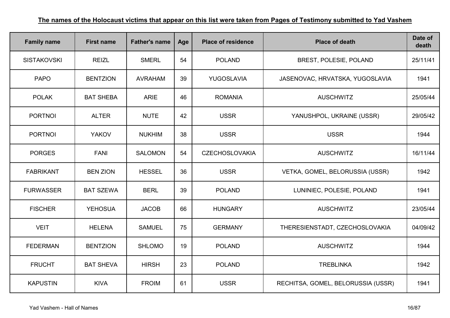| <b>Family name</b> | <b>First name</b> | <b>Father's name</b> | Age | <b>Place of residence</b> | <b>Place of death</b>              | Date of<br>death |
|--------------------|-------------------|----------------------|-----|---------------------------|------------------------------------|------------------|
| <b>SISTAKOVSKI</b> | <b>REIZL</b>      | <b>SMERL</b>         | 54  | <b>POLAND</b>             | BREST, POLESIE, POLAND             | 25/11/41         |
| <b>PAPO</b>        | <b>BENTZION</b>   | <b>AVRAHAM</b>       | 39  | YUGOSLAVIA                | JASENOVAC, HRVATSKA, YUGOSLAVIA    | 1941             |
| <b>POLAK</b>       | <b>BAT SHEBA</b>  | <b>ARIE</b>          | 46  | <b>ROMANIA</b>            | <b>AUSCHWITZ</b>                   | 25/05/44         |
| <b>PORTNOI</b>     | <b>ALTER</b>      | <b>NUTE</b>          | 42  | <b>USSR</b>               | YANUSHPOL, UKRAINE (USSR)          | 29/05/42         |
| <b>PORTNOI</b>     | <b>YAKOV</b>      | <b>NUKHIM</b>        | 38  | <b>USSR</b>               | <b>USSR</b>                        | 1944             |
| <b>PORGES</b>      | <b>FANI</b>       | <b>SALOMON</b>       | 54  | <b>CZECHOSLOVAKIA</b>     | <b>AUSCHWITZ</b>                   | 16/11/44         |
| <b>FABRIKANT</b>   | <b>BEN ZION</b>   | <b>HESSEL</b>        | 36  | <b>USSR</b>               | VETKA, GOMEL, BELORUSSIA (USSR)    | 1942             |
| <b>FURWASSER</b>   | <b>BAT SZEWA</b>  | <b>BERL</b>          | 39  | <b>POLAND</b>             | LUNINIEC, POLESIE, POLAND          | 1941             |
| <b>FISCHER</b>     | <b>YEHOSUA</b>    | <b>JACOB</b>         | 66  | <b>HUNGARY</b>            | <b>AUSCHWITZ</b>                   | 23/05/44         |
| <b>VEIT</b>        | <b>HELENA</b>     | <b>SAMUEL</b>        | 75  | <b>GERMANY</b>            | THERESIENSTADT, CZECHOSLOVAKIA     | 04/09/42         |
| <b>FEDERMAN</b>    | <b>BENTZION</b>   | <b>SHLOMO</b>        | 19  | <b>POLAND</b>             | <b>AUSCHWITZ</b>                   | 1944             |
| <b>FRUCHT</b>      | <b>BAT SHEVA</b>  | <b>HIRSH</b>         | 23  | <b>POLAND</b>             | <b>TREBLINKA</b>                   | 1942             |
| <b>KAPUSTIN</b>    | <b>KIVA</b>       | <b>FROIM</b>         | 61  | <b>USSR</b>               | RECHITSA, GOMEL, BELORUSSIA (USSR) | 1941             |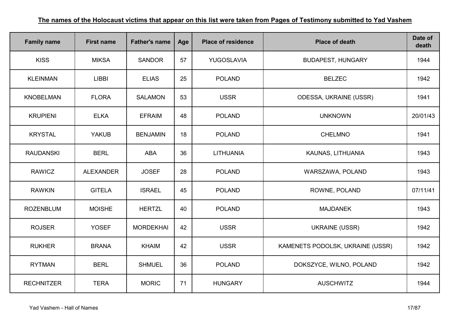| <b>Family name</b> | <b>First name</b> | <b>Father's name</b> | Age | <b>Place of residence</b> | <b>Place of death</b>            | Date of<br>death |
|--------------------|-------------------|----------------------|-----|---------------------------|----------------------------------|------------------|
| <b>KISS</b>        | <b>MIKSA</b>      | <b>SANDOR</b>        | 57  | YUGOSLAVIA                | <b>BUDAPEST, HUNGARY</b>         | 1944             |
| <b>KLEINMAN</b>    | <b>LIBBI</b>      | <b>ELIAS</b>         | 25  | <b>POLAND</b>             | <b>BELZEC</b>                    | 1942             |
| <b>KNOBELMAN</b>   | <b>FLORA</b>      | <b>SALAMON</b>       | 53  | <b>USSR</b>               | ODESSA, UKRAINE (USSR)           | 1941             |
| <b>KRUPIENI</b>    | <b>ELKA</b>       | <b>EFRAIM</b>        | 48  | <b>POLAND</b>             | <b>UNKNOWN</b>                   | 20/01/43         |
| <b>KRYSTAL</b>     | <b>YAKUB</b>      | <b>BENJAMIN</b>      | 18  | <b>POLAND</b>             | <b>CHELMNO</b>                   | 1941             |
| <b>RAUDANSKI</b>   | <b>BERL</b>       | <b>ABA</b>           | 36  | LITHUANIA                 | KAUNAS, LITHUANIA                | 1943             |
| <b>RAWICZ</b>      | <b>ALEXANDER</b>  | <b>JOSEF</b>         | 28  | <b>POLAND</b>             | WARSZAWA, POLAND                 | 1943             |
| <b>RAWKIN</b>      | <b>GITELA</b>     | <b>ISRAEL</b>        | 45  | <b>POLAND</b>             | ROWNE, POLAND                    | 07/11/41         |
| <b>ROZENBLUM</b>   | <b>MOISHE</b>     | <b>HERTZL</b>        | 40  | <b>POLAND</b>             | <b>MAJDANEK</b>                  | 1943             |
| <b>ROJSER</b>      | <b>YOSEF</b>      | <b>MORDEKHAI</b>     | 42  | <b>USSR</b>               | <b>UKRAINE (USSR)</b>            | 1942             |
| <b>RUKHER</b>      | <b>BRANA</b>      | <b>KHAIM</b>         | 42  | <b>USSR</b>               | KAMENETS PODOLSK, UKRAINE (USSR) | 1942             |
| <b>RYTMAN</b>      | <b>BERL</b>       | <b>SHMUEL</b>        | 36  | <b>POLAND</b>             | DOKSZYCE, WILNO, POLAND          | 1942             |
| <b>RECHNITZER</b>  | <b>TERA</b>       | <b>MORIC</b>         | 71  | <b>HUNGARY</b>            | <b>AUSCHWITZ</b>                 | 1944             |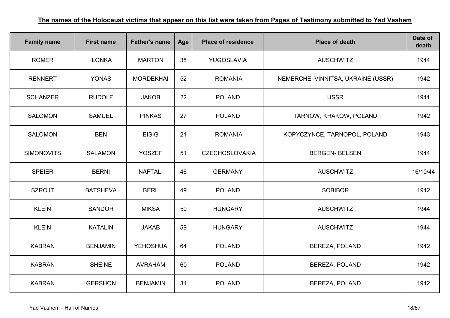| <b>Family name</b> | <b>First name</b> | <b>Father's name</b> | Age | <b>Place of residence</b> | <b>Place of death</b>              | Date of<br>death |
|--------------------|-------------------|----------------------|-----|---------------------------|------------------------------------|------------------|
| <b>ROMER</b>       | <b>ILONKA</b>     | <b>MARTON</b>        | 38  | YUGOSLAVIA                | <b>AUSCHWITZ</b>                   | 1944             |
| <b>RENNERT</b>     | <b>YONAS</b>      | <b>MORDEKHAI</b>     | 52  | <b>ROMANIA</b>            | NEMERCHE, VINNITSA, UKRAINE (USSR) | 1942             |
| <b>SCHANZER</b>    | <b>RUDOLF</b>     | <b>JAKOB</b>         | 22  | <b>POLAND</b>             | <b>USSR</b>                        | 1941             |
| <b>SALOMON</b>     | <b>SAMUEL</b>     | <b>PINKAS</b>        | 27  | <b>POLAND</b>             | TARNOW, KRAKOW, POLAND             | 1942             |
| <b>SALOMON</b>     | <b>BEN</b>        | <b>EISIG</b>         | 21  | <b>ROMANIA</b>            | KOPYCZYNCE, TARNOPOL, POLAND       | 1943             |
| <b>SIMONOVITS</b>  | <b>SALAMON</b>    | <b>YOSZEF</b>        | 51  | <b>CZECHOSLOVAKIA</b>     | <b>BERGEN-BELSEN</b>               | 1944             |
| <b>SPEIER</b>      | <b>BERNI</b>      | <b>NAFTALI</b>       | 46  | <b>GERMANY</b>            | <b>AUSCHWITZ</b>                   | 16/10/44         |
| <b>SZROJT</b>      | <b>BATSHEVA</b>   | <b>BERL</b>          | 49  | <b>POLAND</b>             | <b>SOBIBOR</b>                     | 1942             |
| <b>KLEIN</b>       | <b>SANDOR</b>     | <b>MIKSA</b>         | 59  | <b>HUNGARY</b>            | <b>AUSCHWITZ</b>                   | 1944             |
| <b>KLEIN</b>       | <b>KATALIN</b>    | <b>JAKAB</b>         | 59  | <b>HUNGARY</b>            | <b>AUSCHWITZ</b>                   | 1944             |
| <b>KABRAN</b>      | <b>BENJAMIN</b>   | <b>YEHOSHUA</b>      | 64  | <b>POLAND</b>             | <b>BEREZA, POLAND</b>              | 1942             |
| <b>KABRAN</b>      | <b>SHEINE</b>     | <b>AVRAHAM</b>       | 60  | <b>POLAND</b>             | <b>BEREZA, POLAND</b>              | 1942             |
| <b>KABRAN</b>      | <b>GERSHON</b>    | <b>BENJAMIN</b>      | 31  | <b>POLAND</b>             | BEREZA, POLAND                     | 1942             |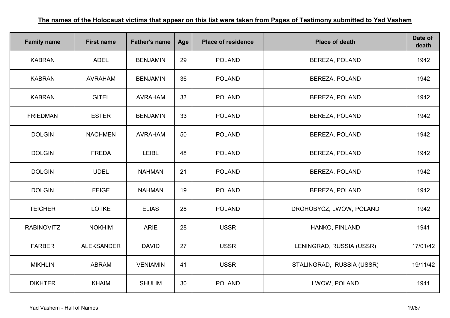| <b>Family name</b> | <b>First name</b> | <b>Father's name</b> | Age | <b>Place of residence</b> | <b>Place of death</b>     | Date of<br>death |
|--------------------|-------------------|----------------------|-----|---------------------------|---------------------------|------------------|
| <b>KABRAN</b>      | <b>ADEL</b>       | <b>BENJAMIN</b>      | 29  | <b>POLAND</b>             | BEREZA, POLAND            | 1942             |
| <b>KABRAN</b>      | <b>AVRAHAM</b>    | <b>BENJAMIN</b>      | 36  | <b>POLAND</b>             | <b>BEREZA, POLAND</b>     | 1942             |
| <b>KABRAN</b>      | <b>GITEL</b>      | <b>AVRAHAM</b>       | 33  | <b>POLAND</b>             | <b>BEREZA, POLAND</b>     | 1942             |
| <b>FRIEDMAN</b>    | <b>ESTER</b>      | <b>BENJAMIN</b>      | 33  | <b>POLAND</b>             | <b>BEREZA, POLAND</b>     | 1942             |
| <b>DOLGIN</b>      | <b>NACHMEN</b>    | <b>AVRAHAM</b>       | 50  | <b>POLAND</b>             | <b>BEREZA, POLAND</b>     | 1942             |
| <b>DOLGIN</b>      | <b>FREDA</b>      | <b>LEIBL</b>         | 48  | <b>POLAND</b>             | BEREZA, POLAND            | 1942             |
| <b>DOLGIN</b>      | <b>UDEL</b>       | <b>NAHMAN</b>        | 21  | <b>POLAND</b>             | <b>BEREZA, POLAND</b>     | 1942             |
| <b>DOLGIN</b>      | <b>FEIGE</b>      | <b>NAHMAN</b>        | 19  | <b>POLAND</b>             | <b>BEREZA, POLAND</b>     | 1942             |
| <b>TEICHER</b>     | <b>LOTKE</b>      | <b>ELIAS</b>         | 28  | <b>POLAND</b>             | DROHOBYCZ, LWOW, POLAND   | 1942             |
| <b>RABINOVITZ</b>  | <b>NOKHIM</b>     | <b>ARIE</b>          | 28  | <b>USSR</b>               | HANKO, FINLAND            | 1941             |
| <b>FARBER</b>      | <b>ALEKSANDER</b> | <b>DAVID</b>         | 27  | <b>USSR</b>               | LENINGRAD, RUSSIA (USSR)  | 17/01/42         |
| <b>MIKHLIN</b>     | <b>ABRAM</b>      | <b>VENIAMIN</b>      | 41  | <b>USSR</b>               | STALINGRAD, RUSSIA (USSR) | 19/11/42         |
| <b>DIKHTER</b>     | <b>KHAIM</b>      | <b>SHULIM</b>        | 30  | <b>POLAND</b>             | LWOW, POLAND              | 1941             |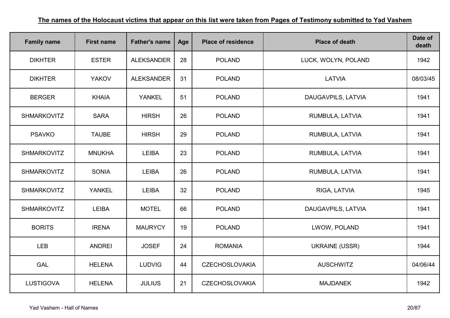| <b>Family name</b> | <b>First name</b> | <b>Father's name</b> | Age | <b>Place of residence</b> | <b>Place of death</b> | Date of<br>death |
|--------------------|-------------------|----------------------|-----|---------------------------|-----------------------|------------------|
| <b>DIKHTER</b>     | <b>ESTER</b>      | <b>ALEKSANDER</b>    | 28  | <b>POLAND</b>             | LUCK, WOLYN, POLAND   | 1942             |
| <b>DIKHTER</b>     | <b>YAKOV</b>      | <b>ALEKSANDER</b>    | 31  | <b>POLAND</b>             | <b>LATVIA</b>         | 08/03/45         |
| <b>BERGER</b>      | <b>KHAIA</b>      | <b>YANKEL</b>        | 51  | <b>POLAND</b>             | DAUGAVPILS, LATVIA    | 1941             |
| <b>SHMARKOVITZ</b> | <b>SARA</b>       | <b>HIRSH</b>         | 26  | <b>POLAND</b>             | RUMBULA, LATVIA       | 1941             |
| <b>PSAVKO</b>      | <b>TAUBE</b>      | <b>HIRSH</b>         | 29  | <b>POLAND</b>             | RUMBULA, LATVIA       | 1941             |
| <b>SHMARKOVITZ</b> | <b>MNUKHA</b>     | <b>LEIBA</b>         | 23  | <b>POLAND</b>             | RUMBULA, LATVIA       | 1941             |
| <b>SHMARKOVITZ</b> | <b>SONIA</b>      | <b>LEIBA</b>         | 26  | <b>POLAND</b>             | RUMBULA, LATVIA       | 1941             |
| <b>SHMARKOVITZ</b> | <b>YANKEL</b>     | <b>LEIBA</b>         | 32  | <b>POLAND</b>             | RIGA, LATVIA          | 1945             |
| <b>SHMARKOVITZ</b> | <b>LEIBA</b>      | <b>MOTEL</b>         | 66  | <b>POLAND</b>             | DAUGAVPILS, LATVIA    | 1941             |
| <b>BORITS</b>      | <b>IRENA</b>      | <b>MAURYCY</b>       | 19  | <b>POLAND</b>             | LWOW, POLAND          | 1941             |
| <b>LEB</b>         | <b>ANDREI</b>     | <b>JOSEF</b>         | 24  | <b>ROMANIA</b>            | <b>UKRAINE (USSR)</b> | 1944             |
| <b>GAL</b>         | <b>HELENA</b>     | <b>LUDVIG</b>        | 44  | <b>CZECHOSLOVAKIA</b>     | <b>AUSCHWITZ</b>      | 04/06/44         |
| <b>LUSTIGOVA</b>   | <b>HELENA</b>     | <b>JULIUS</b>        | 21  | <b>CZECHOSLOVAKIA</b>     | <b>MAJDANEK</b>       | 1942             |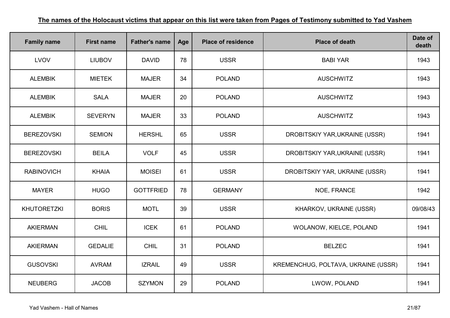| <b>Family name</b> | <b>First name</b> | <b>Father's name</b> | Age | <b>Place of residence</b> | <b>Place of death</b>               | Date of<br>death |
|--------------------|-------------------|----------------------|-----|---------------------------|-------------------------------------|------------------|
| LVOV               | <b>LIUBOV</b>     | <b>DAVID</b>         | 78  | <b>USSR</b>               | <b>BABI YAR</b>                     | 1943             |
| <b>ALEMBIK</b>     | <b>MIETEK</b>     | <b>MAJER</b>         | 34  | <b>POLAND</b>             | <b>AUSCHWITZ</b>                    | 1943             |
| <b>ALEMBIK</b>     | <b>SALA</b>       | <b>MAJER</b>         | 20  | <b>POLAND</b>             | <b>AUSCHWITZ</b>                    | 1943             |
| <b>ALEMBIK</b>     | <b>SEVERYN</b>    | <b>MAJER</b>         | 33  | <b>POLAND</b>             | <b>AUSCHWITZ</b>                    | 1943             |
| <b>BEREZOVSKI</b>  | <b>SEMION</b>     | <b>HERSHL</b>        | 65  | <b>USSR</b>               | DROBITSKIY YAR, UKRAINE (USSR)      | 1941             |
| <b>BEREZOVSKI</b>  | <b>BEILA</b>      | <b>VOLF</b>          | 45  | <b>USSR</b>               | DROBITSKIY YAR, UKRAINE (USSR)      | 1941             |
| <b>RABINOVICH</b>  | <b>KHAIA</b>      | <b>MOISEI</b>        | 61  | <b>USSR</b>               | DROBITSKIY YAR, UKRAINE (USSR)      | 1941             |
| <b>MAYER</b>       | <b>HUGO</b>       | <b>GOTTFRIED</b>     | 78  | <b>GERMANY</b>            | NOE, FRANCE                         | 1942             |
| <b>KHUTORETZKI</b> | <b>BORIS</b>      | <b>MOTL</b>          | 39  | <b>USSR</b>               | KHARKOV, UKRAINE (USSR)             | 09/08/43         |
| <b>AKIERMAN</b>    | <b>CHIL</b>       | <b>ICEK</b>          | 61  | <b>POLAND</b>             | WOLANOW, KIELCE, POLAND             | 1941             |
| <b>AKIERMAN</b>    | <b>GEDALIE</b>    | <b>CHIL</b>          | 31  | <b>POLAND</b>             | <b>BELZEC</b>                       | 1941             |
| <b>GUSOVSKI</b>    | <b>AVRAM</b>      | <b>IZRAIL</b>        | 49  | <b>USSR</b>               | KREMENCHUG, POLTAVA, UKRAINE (USSR) | 1941             |
| <b>NEUBERG</b>     | <b>JACOB</b>      | <b>SZYMON</b>        | 29  | <b>POLAND</b>             | LWOW, POLAND                        | 1941             |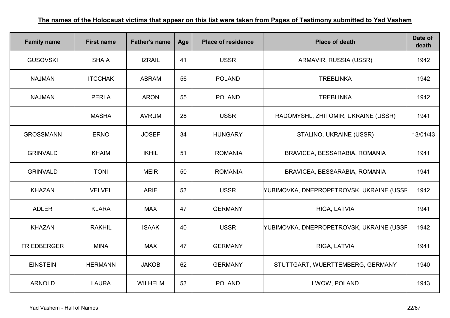| <b>Family name</b> | <b>First name</b> | <b>Father's name</b> | Age | <b>Place of residence</b> | <b>Place of death</b>                    | Date of<br>death |
|--------------------|-------------------|----------------------|-----|---------------------------|------------------------------------------|------------------|
| <b>GUSOVSKI</b>    | <b>SHAIA</b>      | <b>IZRAIL</b>        | 41  | <b>USSR</b>               | ARMAVIR, RUSSIA (USSR)                   | 1942             |
| <b>NAJMAN</b>      | <b>ITCCHAK</b>    | <b>ABRAM</b>         | 56  | <b>POLAND</b>             | <b>TREBLINKA</b>                         | 1942             |
| <b>NAJMAN</b>      | <b>PERLA</b>      | <b>ARON</b>          | 55  | <b>POLAND</b>             | <b>TREBLINKA</b>                         | 1942             |
|                    | <b>MASHA</b>      | <b>AVRUM</b>         | 28  | <b>USSR</b>               | RADOMYSHL, ZHITOMIR, UKRAINE (USSR)      | 1941             |
| <b>GROSSMANN</b>   | <b>ERNO</b>       | <b>JOSEF</b>         | 34  | <b>HUNGARY</b>            | STALINO, UKRAINE (USSR)                  | 13/01/43         |
| <b>GRINVALD</b>    | <b>KHAIM</b>      | <b>IKHIL</b>         | 51  | <b>ROMANIA</b>            | BRAVICEA, BESSARABIA, ROMANIA            | 1941             |
| <b>GRINVALD</b>    | <b>TONI</b>       | <b>MEIR</b>          | 50  | <b>ROMANIA</b>            | BRAVICEA, BESSARABIA, ROMANIA            | 1941             |
| <b>KHAZAN</b>      | <b>VELVEL</b>     | <b>ARIE</b>          | 53  | <b>USSR</b>               | YUBIMOVKA, DNEPROPETROVSK, UKRAINE (USSF | 1942             |
| <b>ADLER</b>       | <b>KLARA</b>      | <b>MAX</b>           | 47  | <b>GERMANY</b>            | RIGA, LATVIA                             | 1941             |
| <b>KHAZAN</b>      | <b>RAKHIL</b>     | <b>ISAAK</b>         | 40  | <b>USSR</b>               | YUBIMOVKA, DNEPROPETROVSK, UKRAINE (USSF | 1942             |
| <b>FRIEDBERGER</b> | <b>MINA</b>       | <b>MAX</b>           | 47  | <b>GERMANY</b>            | RIGA, LATVIA                             | 1941             |
| <b>EINSTEIN</b>    | <b>HERMANN</b>    | <b>JAKOB</b>         | 62  | <b>GERMANY</b>            | STUTTGART, WUERTTEMBERG, GERMANY         | 1940             |
| <b>ARNOLD</b>      | <b>LAURA</b>      | WILHELM              | 53  | <b>POLAND</b>             | LWOW, POLAND                             | 1943             |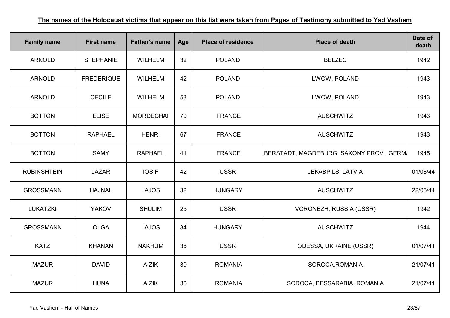| <b>Family name</b> | <b>First name</b> | <b>Father's name</b> | Age | <b>Place of residence</b> | <b>Place of death</b>                   | Date of<br>death |
|--------------------|-------------------|----------------------|-----|---------------------------|-----------------------------------------|------------------|
| <b>ARNOLD</b>      | <b>STEPHANIE</b>  | <b>WILHELM</b>       | 32  | <b>POLAND</b>             | <b>BELZEC</b>                           | 1942             |
| <b>ARNOLD</b>      | <b>FREDERIQUE</b> | <b>WILHELM</b>       | 42  | <b>POLAND</b>             | LWOW, POLAND                            | 1943             |
| <b>ARNOLD</b>      | <b>CECILE</b>     | <b>WILHELM</b>       | 53  | <b>POLAND</b>             | LWOW, POLAND                            | 1943             |
| <b>BOTTON</b>      | <b>ELISE</b>      | <b>MORDECHAI</b>     | 70  | <b>FRANCE</b>             | <b>AUSCHWITZ</b>                        | 1943             |
| <b>BOTTON</b>      | <b>RAPHAEL</b>    | <b>HENRI</b>         | 67  | <b>FRANCE</b>             | <b>AUSCHWITZ</b>                        | 1943             |
| <b>BOTTON</b>      | <b>SAMY</b>       | <b>RAPHAEL</b>       | 41  | <b>FRANCE</b>             | BERSTADT, MAGDEBURG, SAXONY PROV., GERM | 1945             |
| <b>RUBINSHTEIN</b> | <b>LAZAR</b>      | <b>IOSIF</b>         | 42  | <b>USSR</b>               | <b>JEKABPILS, LATVIA</b>                | 01/08/44         |
| <b>GROSSMANN</b>   | <b>HAJNAL</b>     | <b>LAJOS</b>         | 32  | <b>HUNGARY</b>            | <b>AUSCHWITZ</b>                        | 22/05/44         |
| <b>LUKATZKI</b>    | <b>YAKOV</b>      | <b>SHULIM</b>        | 25  | <b>USSR</b>               | VORONEZH, RUSSIA (USSR)                 | 1942             |
| <b>GROSSMANN</b>   | <b>OLGA</b>       | <b>LAJOS</b>         | 34  | <b>HUNGARY</b>            | <b>AUSCHWITZ</b>                        | 1944             |
| <b>KATZ</b>        | <b>KHANAN</b>     | <b>NAKHUM</b>        | 36  | <b>USSR</b>               | ODESSA, UKRAINE (USSR)                  | 01/07/41         |
| <b>MAZUR</b>       | <b>DAVID</b>      | <b>AIZIK</b>         | 30  | <b>ROMANIA</b>            | SOROCA, ROMANIA                         | 21/07/41         |
| <b>MAZUR</b>       | <b>HUNA</b>       | <b>AIZIK</b>         | 36  | <b>ROMANIA</b>            | SOROCA, BESSARABIA, ROMANIA             | 21/07/41         |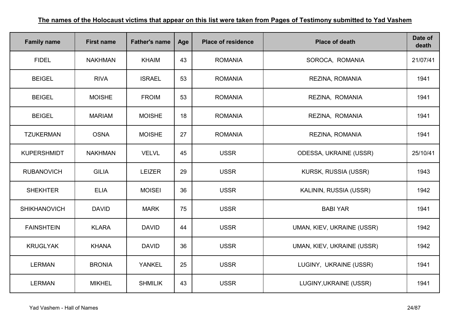| <b>Family name</b>  | <b>First name</b> | <b>Father's name</b> | Age | <b>Place of residence</b> | <b>Place of death</b>      | Date of<br>death |
|---------------------|-------------------|----------------------|-----|---------------------------|----------------------------|------------------|
| <b>FIDEL</b>        | <b>NAKHMAN</b>    | <b>KHAIM</b>         | 43  | <b>ROMANIA</b>            | SOROCA, ROMANIA            | 21/07/41         |
| <b>BEIGEL</b>       | <b>RIVA</b>       | <b>ISRAEL</b>        | 53  | <b>ROMANIA</b>            | REZINA, ROMANIA            | 1941             |
| <b>BEIGEL</b>       | <b>MOISHE</b>     | <b>FROIM</b>         | 53  | <b>ROMANIA</b>            | REZINA, ROMANIA            | 1941             |
| <b>BEIGEL</b>       | <b>MARIAM</b>     | <b>MOISHE</b>        | 18  | <b>ROMANIA</b>            | REZINA, ROMANIA            | 1941             |
| <b>TZUKERMAN</b>    | <b>OSNA</b>       | <b>MOISHE</b>        | 27  | <b>ROMANIA</b>            | REZINA, ROMANIA            | 1941             |
| <b>KUPERSHMIDT</b>  | <b>NAKHMAN</b>    | <b>VELVL</b>         | 45  | <b>USSR</b>               | ODESSA, UKRAINE (USSR)     | 25/10/41         |
| <b>RUBANOVICH</b>   | <b>GILIA</b>      | <b>LEIZER</b>        | 29  | <b>USSR</b>               | KURSK, RUSSIA (USSR)       | 1943             |
| <b>SHEKHTER</b>     | <b>ELIA</b>       | <b>MOISEI</b>        | 36  | <b>USSR</b>               | KALININ, RUSSIA (USSR)     | 1942             |
| <b>SHIKHANOVICH</b> | <b>DAVID</b>      | <b>MARK</b>          | 75  | <b>USSR</b>               | <b>BABI YAR</b>            | 1941             |
| <b>FAINSHTEIN</b>   | <b>KLARA</b>      | <b>DAVID</b>         | 44  | <b>USSR</b>               | UMAN, KIEV, UKRAINE (USSR) | 1942             |
| <b>KRUGLYAK</b>     | <b>KHANA</b>      | <b>DAVID</b>         | 36  | <b>USSR</b>               | UMAN, KIEV, UKRAINE (USSR) | 1942             |
| <b>LERMAN</b>       | <b>BRONIA</b>     | <b>YANKEL</b>        | 25  | <b>USSR</b>               | LUGINY, UKRAINE (USSR)     | 1941             |
| <b>LERMAN</b>       | <b>MIKHEL</b>     | <b>SHMILIK</b>       | 43  | <b>USSR</b>               | LUGINY, UKRAINE (USSR)     | 1941             |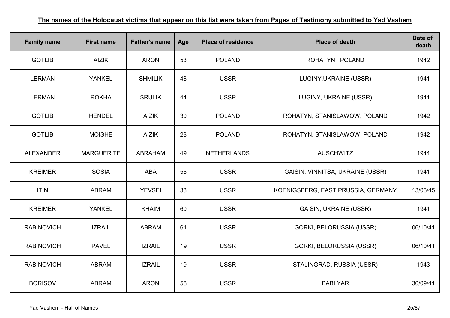| <b>Family name</b> | <b>First name</b> | <b>Father's name</b> | Age | <b>Place of residence</b> | <b>Place of death</b>              | Date of<br>death |
|--------------------|-------------------|----------------------|-----|---------------------------|------------------------------------|------------------|
| <b>GOTLIB</b>      | <b>AIZIK</b>      | <b>ARON</b>          | 53  | <b>POLAND</b>             | ROHATYN, POLAND                    | 1942             |
| <b>LERMAN</b>      | <b>YANKEL</b>     | <b>SHMILIK</b>       | 48  | <b>USSR</b>               | LUGINY, UKRAINE (USSR)             | 1941             |
| <b>LERMAN</b>      | <b>ROKHA</b>      | <b>SRULIK</b>        | 44  | <b>USSR</b>               | LUGINY, UKRAINE (USSR)             | 1941             |
| <b>GOTLIB</b>      | <b>HENDEL</b>     | <b>AIZIK</b>         | 30  | <b>POLAND</b>             | ROHATYN, STANISLAWOW, POLAND       | 1942             |
| <b>GOTLIB</b>      | <b>MOISHE</b>     | <b>AIZIK</b>         | 28  | <b>POLAND</b>             | ROHATYN, STANISLAWOW, POLAND       | 1942             |
| <b>ALEXANDER</b>   | <b>MARGUERITE</b> | <b>ABRAHAM</b>       | 49  | <b>NETHERLANDS</b>        | <b>AUSCHWITZ</b>                   | 1944             |
| <b>KREIMER</b>     | <b>SOSIA</b>      | <b>ABA</b>           | 56  | <b>USSR</b>               | GAISIN, VINNITSA, UKRAINE (USSR)   | 1941             |
| <b>ITIN</b>        | <b>ABRAM</b>      | <b>YEVSEI</b>        | 38  | <b>USSR</b>               | KOENIGSBERG, EAST PRUSSIA, GERMANY | 13/03/45         |
| <b>KREIMER</b>     | <b>YANKEL</b>     | <b>KHAIM</b>         | 60  | <b>USSR</b>               | <b>GAISIN, UKRAINE (USSR)</b>      | 1941             |
| <b>RABINOVICH</b>  | <b>IZRAIL</b>     | <b>ABRAM</b>         | 61  | <b>USSR</b>               | GORKI, BELORUSSIA (USSR)           | 06/10/41         |
| <b>RABINOVICH</b>  | <b>PAVEL</b>      | <b>IZRAIL</b>        | 19  | <b>USSR</b>               | GORKI, BELORUSSIA (USSR)           | 06/10/41         |
| <b>RABINOVICH</b>  | <b>ABRAM</b>      | <b>IZRAIL</b>        | 19  | <b>USSR</b>               | STALINGRAD, RUSSIA (USSR)          | 1943             |
| <b>BORISOV</b>     | <b>ABRAM</b>      | <b>ARON</b>          | 58  | <b>USSR</b>               | <b>BABI YAR</b>                    | 30/09/41         |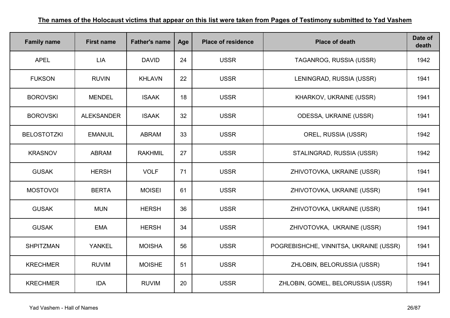| <b>Family name</b> | <b>First name</b> | <b>Father's name</b> | Age | <b>Place of residence</b> | <b>Place of death</b>                  | Date of<br>death |
|--------------------|-------------------|----------------------|-----|---------------------------|----------------------------------------|------------------|
| <b>APEL</b>        | <b>LIA</b>        | <b>DAVID</b>         | 24  | <b>USSR</b>               | TAGANROG, RUSSIA (USSR)                | 1942             |
| <b>FUKSON</b>      | <b>RUVIN</b>      | <b>KHLAVN</b>        | 22  | <b>USSR</b>               | LENINGRAD, RUSSIA (USSR)               | 1941             |
| <b>BOROVSKI</b>    | <b>MENDEL</b>     | <b>ISAAK</b>         | 18  | <b>USSR</b>               | KHARKOV, UKRAINE (USSR)                | 1941             |
| <b>BOROVSKI</b>    | <b>ALEKSANDER</b> | <b>ISAAK</b>         | 32  | <b>USSR</b>               | ODESSA, UKRAINE (USSR)                 | 1941             |
| <b>BELOSTOTZKI</b> | <b>EMANUIL</b>    | <b>ABRAM</b>         | 33  | <b>USSR</b>               | OREL, RUSSIA (USSR)                    | 1942             |
| <b>KRASNOV</b>     | <b>ABRAM</b>      | <b>RAKHMIL</b>       | 27  | <b>USSR</b>               | STALINGRAD, RUSSIA (USSR)              | 1942             |
| <b>GUSAK</b>       | <b>HERSH</b>      | <b>VOLF</b>          | 71  | <b>USSR</b>               | ZHIVOTOVKA, UKRAINE (USSR)             | 1941             |
| <b>MOSTOVOI</b>    | <b>BERTA</b>      | <b>MOISEI</b>        | 61  | <b>USSR</b>               | ZHIVOTOVKA, UKRAINE (USSR)             | 1941             |
| <b>GUSAK</b>       | <b>MUN</b>        | <b>HERSH</b>         | 36  | <b>USSR</b>               | ZHIVOTOVKA, UKRAINE (USSR)             | 1941             |
| <b>GUSAK</b>       | <b>EMA</b>        | <b>HERSH</b>         | 34  | <b>USSR</b>               | ZHIVOTOVKA, UKRAINE (USSR)             | 1941             |
| <b>SHPITZMAN</b>   | <b>YANKEL</b>     | <b>MOISHA</b>        | 56  | <b>USSR</b>               | POGREBISHCHE, VINNITSA, UKRAINE (USSR) | 1941             |
| <b>KRECHMER</b>    | <b>RUVIM</b>      | <b>MOISHE</b>        | 51  | <b>USSR</b>               | ZHLOBIN, BELORUSSIA (USSR)             | 1941             |
| <b>KRECHMER</b>    | <b>IDA</b>        | <b>RUVIM</b>         | 20  | <b>USSR</b>               | ZHLOBIN, GOMEL, BELORUSSIA (USSR)      | 1941             |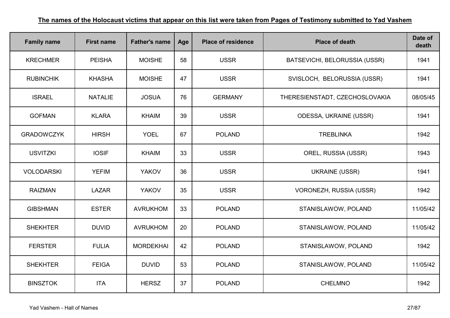| <b>Family name</b> | <b>First name</b> | <b>Father's name</b> | Age | <b>Place of residence</b> | <b>Place of death</b>          | Date of<br>death |
|--------------------|-------------------|----------------------|-----|---------------------------|--------------------------------|------------------|
| <b>KRECHMER</b>    | <b>PEISHA</b>     | <b>MOISHE</b>        | 58  | <b>USSR</b>               | BATSEVICHI, BELORUSSIA (USSR)  | 1941             |
| <b>RUBINCHIK</b>   | <b>KHASHA</b>     | <b>MOISHE</b>        | 47  | <b>USSR</b>               | SVISLOCH, BELORUSSIA (USSR)    | 1941             |
| <b>ISRAEL</b>      | <b>NATALIE</b>    | <b>JOSUA</b>         | 76  | <b>GERMANY</b>            | THERESIENSTADT, CZECHOSLOVAKIA | 08/05/45         |
| <b>GOFMAN</b>      | <b>KLARA</b>      | <b>KHAIM</b>         | 39  | <b>USSR</b>               | <b>ODESSA, UKRAINE (USSR)</b>  | 1941             |
| <b>GRADOWCZYK</b>  | <b>HIRSH</b>      | <b>YOEL</b>          | 67  | <b>POLAND</b>             | <b>TREBLINKA</b>               | 1942             |
| <b>USVITZKI</b>    | <b>IOSIF</b>      | <b>KHAIM</b>         | 33  | <b>USSR</b>               | OREL, RUSSIA (USSR)            | 1943             |
| <b>VOLODARSKI</b>  | <b>YEFIM</b>      | <b>YAKOV</b>         | 36  | <b>USSR</b>               | <b>UKRAINE (USSR)</b>          | 1941             |
| <b>RAIZMAN</b>     | <b>LAZAR</b>      | <b>YAKOV</b>         | 35  | <b>USSR</b>               | VORONEZH, RUSSIA (USSR)        | 1942             |
| <b>GIBSHMAN</b>    | <b>ESTER</b>      | <b>AVRUKHOM</b>      | 33  | <b>POLAND</b>             | STANISLAWOW, POLAND            | 11/05/42         |
| <b>SHEKHTER</b>    | <b>DUVID</b>      | <b>AVRUKHOM</b>      | 20  | <b>POLAND</b>             | STANISLAWOW, POLAND            | 11/05/42         |
| <b>FERSTER</b>     | <b>FULIA</b>      | <b>MORDEKHAI</b>     | 42  | <b>POLAND</b>             | STANISLAWOW, POLAND            | 1942             |
| <b>SHEKHTER</b>    | <b>FEIGA</b>      | <b>DUVID</b>         | 53  | <b>POLAND</b>             | STANISLAWOW, POLAND            | 11/05/42         |
| <b>BINSZTOK</b>    | <b>ITA</b>        | <b>HERSZ</b>         | 37  | <b>POLAND</b>             | <b>CHELMNO</b>                 | 1942             |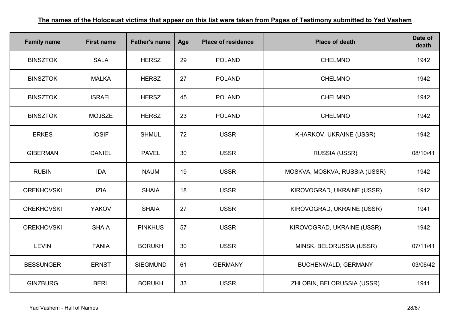| <b>Family name</b> | <b>First name</b> | <b>Father's name</b> | Age | <b>Place of residence</b> | <b>Place of death</b>         | Date of<br>death |
|--------------------|-------------------|----------------------|-----|---------------------------|-------------------------------|------------------|
| <b>BINSZTOK</b>    | <b>SALA</b>       | <b>HERSZ</b>         | 29  | <b>POLAND</b>             | <b>CHELMNO</b>                | 1942             |
| <b>BINSZTOK</b>    | <b>MALKA</b>      | <b>HERSZ</b>         | 27  | <b>POLAND</b>             | <b>CHELMNO</b>                | 1942             |
| <b>BINSZTOK</b>    | <b>ISRAEL</b>     | <b>HERSZ</b>         | 45  | <b>POLAND</b>             | <b>CHELMNO</b>                | 1942             |
| <b>BINSZTOK</b>    | <b>MOJSZE</b>     | <b>HERSZ</b>         | 23  | <b>POLAND</b>             | <b>CHELMNO</b>                | 1942             |
| <b>ERKES</b>       | <b>IOSIF</b>      | <b>SHMUL</b>         | 72  | <b>USSR</b>               | KHARKOV, UKRAINE (USSR)       | 1942             |
| <b>GIBERMAN</b>    | <b>DANIEL</b>     | <b>PAVEL</b>         | 30  | <b>USSR</b>               | <b>RUSSIA (USSR)</b>          | 08/10/41         |
| <b>RUBIN</b>       | <b>IDA</b>        | <b>NAUM</b>          | 19  | <b>USSR</b>               | MOSKVA, MOSKVA, RUSSIA (USSR) | 1942             |
| <b>OREKHOVSKI</b>  | <b>IZIA</b>       | <b>SHAIA</b>         | 18  | <b>USSR</b>               | KIROVOGRAD, UKRAINE (USSR)    | 1942             |
| <b>OREKHOVSKI</b>  | <b>YAKOV</b>      | <b>SHAIA</b>         | 27  | <b>USSR</b>               | KIROVOGRAD, UKRAINE (USSR)    | 1941             |
| <b>OREKHOVSKI</b>  | <b>SHAIA</b>      | <b>PINKHUS</b>       | 57  | <b>USSR</b>               | KIROVOGRAD, UKRAINE (USSR)    | 1942             |
| <b>LEVIN</b>       | <b>FANIA</b>      | <b>BORUKH</b>        | 30  | <b>USSR</b>               | MINSK, BELORUSSIA (USSR)      | 07/11/41         |
| <b>BESSUNGER</b>   | <b>ERNST</b>      | <b>SIEGMUND</b>      | 61  | <b>GERMANY</b>            | <b>BUCHENWALD, GERMANY</b>    | 03/06/42         |
| <b>GINZBURG</b>    | <b>BERL</b>       | <b>BORUKH</b>        | 33  | <b>USSR</b>               | ZHLOBIN, BELORUSSIA (USSR)    | 1941             |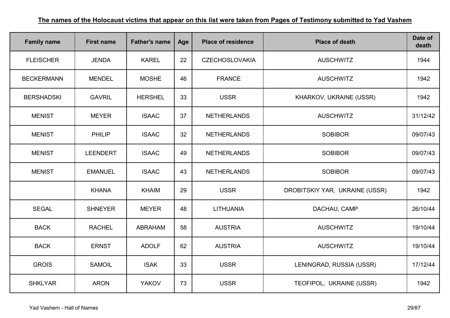| <b>Family name</b> | <b>First name</b> | <b>Father's name</b> | Age | <b>Place of residence</b> | <b>Place of death</b>          | Date of<br>death |
|--------------------|-------------------|----------------------|-----|---------------------------|--------------------------------|------------------|
| <b>FLEISCHER</b>   | <b>JENDA</b>      | <b>KAREL</b>         | 22  | <b>CZECHOSLOVAKIA</b>     | <b>AUSCHWITZ</b>               | 1944             |
| <b>BECKERMANN</b>  | <b>MENDEL</b>     | <b>MOSHE</b>         | 46  | <b>FRANCE</b>             | <b>AUSCHWITZ</b>               | 1942             |
| <b>BERSHADSKI</b>  | <b>GAVRIL</b>     | <b>HERSHEL</b>       | 33  | <b>USSR</b>               | KHARKOV, UKRAINE (USSR)        | 1942             |
| <b>MENIST</b>      | <b>MEYER</b>      | <b>ISAAC</b>         | 37  | <b>NETHERLANDS</b>        | <b>AUSCHWITZ</b>               | 31/12/42         |
| <b>MENIST</b>      | <b>PHILIP</b>     | <b>ISAAC</b>         | 32  | <b>NETHERLANDS</b>        | <b>SOBIBOR</b>                 | 09/07/43         |
| <b>MENIST</b>      | <b>LEENDERT</b>   | <b>ISAAC</b>         | 49  | <b>NETHERLANDS</b>        | <b>SOBIBOR</b>                 | 09/07/43         |
| <b>MENIST</b>      | <b>EMANUEL</b>    | <b>ISAAC</b>         | 43  | <b>NETHERLANDS</b>        | <b>SOBIBOR</b>                 | 09/07/43         |
|                    | <b>KHANA</b>      | <b>KHAIM</b>         | 29  | <b>USSR</b>               | DROBITSKIY YAR, UKRAINE (USSR) | 1942             |
| <b>SEGAL</b>       | <b>SHNEYER</b>    | <b>MEYER</b>         | 48  | LITHUANIA                 | DACHAU, CAMP                   | 26/10/44         |
| <b>BACK</b>        | <b>RACHEL</b>     | <b>ABRAHAM</b>       | 58  | <b>AUSTRIA</b>            | <b>AUSCHWITZ</b>               | 19/10/44         |
| <b>BACK</b>        | <b>ERNST</b>      | <b>ADOLF</b>         | 62  | <b>AUSTRIA</b>            | <b>AUSCHWITZ</b>               | 19/10/44         |
| <b>GROIS</b>       | <b>SAMOIL</b>     | <b>ISAK</b>          | 33  | <b>USSR</b>               | LENINGRAD, RUSSIA (USSR)       | 17/12/44         |
| <b>SHKLYAR</b>     | <b>ARON</b>       | <b>YAKOV</b>         | 73  | <b>USSR</b>               | TEOFIPOL, UKRAINE (USSR)       | 1942             |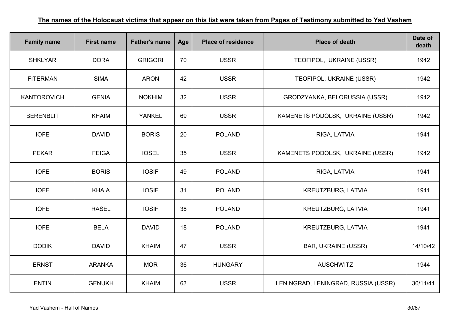| <b>Family name</b> | <b>First name</b> | <b>Father's name</b> | Age | <b>Place of residence</b> | <b>Place of death</b>               | Date of<br>death |
|--------------------|-------------------|----------------------|-----|---------------------------|-------------------------------------|------------------|
| <b>SHKLYAR</b>     | <b>DORA</b>       | <b>GRIGORI</b>       | 70  | <b>USSR</b>               | TEOFIPOL, UKRAINE (USSR)            | 1942             |
| <b>FITERMAN</b>    | <b>SIMA</b>       | <b>ARON</b>          | 42  | <b>USSR</b>               | TEOFIPOL, UKRAINE (USSR)            | 1942             |
| <b>KANTOROVICH</b> | <b>GENIA</b>      | <b>NOKHIM</b>        | 32  | <b>USSR</b>               | GRODZYANKA, BELORUSSIA (USSR)       | 1942             |
| <b>BERENBLIT</b>   | <b>KHAIM</b>      | <b>YANKEL</b>        | 69  | <b>USSR</b>               | KAMENETS PODOLSK, UKRAINE (USSR)    | 1942             |
| <b>IOFE</b>        | <b>DAVID</b>      | <b>BORIS</b>         | 20  | <b>POLAND</b>             | RIGA, LATVIA                        | 1941             |
| <b>PEKAR</b>       | <b>FEIGA</b>      | <b>IOSEL</b>         | 35  | <b>USSR</b>               | KAMENETS PODOLSK, UKRAINE (USSR)    | 1942             |
| <b>IOFE</b>        | <b>BORIS</b>      | <b>IOSIF</b>         | 49  | <b>POLAND</b>             | RIGA, LATVIA                        | 1941             |
| <b>IOFE</b>        | <b>KHAIA</b>      | <b>IOSIF</b>         | 31  | <b>POLAND</b>             | <b>KREUTZBURG, LATVIA</b>           | 1941             |
| <b>IOFE</b>        | <b>RASEL</b>      | <b>IOSIF</b>         | 38  | <b>POLAND</b>             | <b>KREUTZBURG, LATVIA</b>           | 1941             |
| <b>IOFE</b>        | <b>BELA</b>       | <b>DAVID</b>         | 18  | <b>POLAND</b>             | KREUTZBURG, LATVIA                  | 1941             |
| <b>DODIK</b>       | <b>DAVID</b>      | <b>KHAIM</b>         | 47  | <b>USSR</b>               | <b>BAR, UKRAINE (USSR)</b>          | 14/10/42         |
| <b>ERNST</b>       | <b>ARANKA</b>     | <b>MOR</b>           | 36  | <b>HUNGARY</b>            | <b>AUSCHWITZ</b>                    | 1944             |
| <b>ENTIN</b>       | <b>GENUKH</b>     | <b>KHAIM</b>         | 63  | <b>USSR</b>               | LENINGRAD, LENINGRAD, RUSSIA (USSR) | 30/11/41         |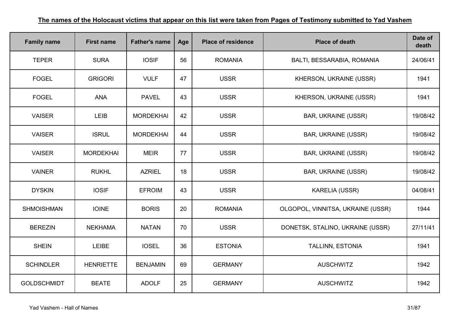| <b>Family name</b> | <b>First name</b> | <b>Father's name</b> | Age | <b>Place of residence</b> | <b>Place of death</b>             | Date of<br>death |
|--------------------|-------------------|----------------------|-----|---------------------------|-----------------------------------|------------------|
| <b>TEPER</b>       | <b>SURA</b>       | <b>IOSIF</b>         | 56  | <b>ROMANIA</b>            | BALTI, BESSARABIA, ROMANIA        | 24/06/41         |
| <b>FOGEL</b>       | <b>GRIGORI</b>    | <b>VULF</b>          | 47  | <b>USSR</b>               | KHERSON, UKRAINE (USSR)           | 1941             |
| <b>FOGEL</b>       | <b>ANA</b>        | <b>PAVEL</b>         | 43  | <b>USSR</b>               | KHERSON, UKRAINE (USSR)           | 1941             |
| <b>VAISER</b>      | <b>LEIB</b>       | <b>MORDEKHAI</b>     | 42  | <b>USSR</b>               | <b>BAR, UKRAINE (USSR)</b>        | 19/08/42         |
| <b>VAISER</b>      | <b>ISRUL</b>      | <b>MORDEKHAI</b>     | 44  | <b>USSR</b>               | <b>BAR, UKRAINE (USSR)</b>        | 19/08/42         |
| <b>VAISER</b>      | <b>MORDEKHAI</b>  | <b>MEIR</b>          | 77  | <b>USSR</b>               | <b>BAR, UKRAINE (USSR)</b>        | 19/08/42         |
| <b>VAINER</b>      | <b>RUKHL</b>      | <b>AZRIEL</b>        | 18  | <b>USSR</b>               | <b>BAR, UKRAINE (USSR)</b>        | 19/08/42         |
| <b>DYSKIN</b>      | <b>IOSIF</b>      | <b>EFROIM</b>        | 43  | <b>USSR</b>               | <b>KARELIA (USSR)</b>             | 04/08/41         |
| <b>SHMOISHMAN</b>  | <b>IOINE</b>      | <b>BORIS</b>         | 20  | <b>ROMANIA</b>            | OLGOPOL, VINNITSA, UKRAINE (USSR) | 1944             |
| <b>BEREZIN</b>     | <b>NEKHAMA</b>    | <b>NATAN</b>         | 70  | <b>USSR</b>               | DONETSK, STALINO, UKRAINE (USSR)  | 27/11/41         |
| <b>SHEIN</b>       | <b>LEIBE</b>      | <b>IOSEL</b>         | 36  | <b>ESTONIA</b>            | <b>TALLINN, ESTONIA</b>           | 1941             |
| <b>SCHINDLER</b>   | <b>HENRIETTE</b>  | <b>BENJAMIN</b>      | 69  | <b>GERMANY</b>            | <b>AUSCHWITZ</b>                  | 1942             |
| <b>GOLDSCHMIDT</b> | <b>BEATE</b>      | <b>ADOLF</b>         | 25  | <b>GERMANY</b>            | <b>AUSCHWITZ</b>                  | 1942             |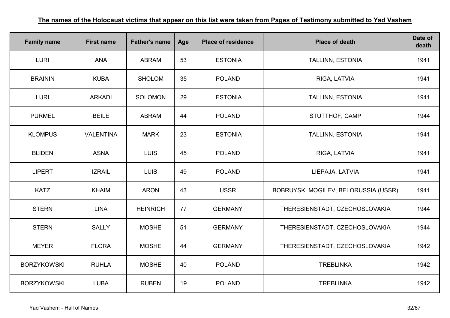| <b>Family name</b> | <b>First name</b> | <b>Father's name</b> | Age | <b>Place of residence</b> | <b>Place of death</b>                | Date of<br>death |
|--------------------|-------------------|----------------------|-----|---------------------------|--------------------------------------|------------------|
| <b>LURI</b>        | <b>ANA</b>        | <b>ABRAM</b>         | 53  | <b>ESTONIA</b>            | TALLINN, ESTONIA                     | 1941             |
| <b>BRAININ</b>     | <b>KUBA</b>       | <b>SHOLOM</b>        | 35  | <b>POLAND</b>             | RIGA, LATVIA                         | 1941             |
| <b>LURI</b>        | <b>ARKADI</b>     | <b>SOLOMON</b>       | 29  | <b>ESTONIA</b>            | <b>TALLINN, ESTONIA</b>              | 1941             |
| <b>PURMEL</b>      | <b>BEILE</b>      | <b>ABRAM</b>         | 44  | <b>POLAND</b>             | STUTTHOF, CAMP                       | 1944             |
| <b>KLOMPUS</b>     | <b>VALENTINA</b>  | <b>MARK</b>          | 23  | <b>ESTONIA</b>            | TALLINN, ESTONIA                     | 1941             |
| <b>BLIDEN</b>      | <b>ASNA</b>       | <b>LUIS</b>          | 45  | <b>POLAND</b>             | RIGA, LATVIA                         | 1941             |
| <b>LIPERT</b>      | <b>IZRAIL</b>     | <b>LUIS</b>          | 49  | <b>POLAND</b>             | LIEPAJA, LATVIA                      | 1941             |
| <b>KATZ</b>        | <b>KHAIM</b>      | <b>ARON</b>          | 43  | <b>USSR</b>               | BOBRUYSK, MOGILEV, BELORUSSIA (USSR) | 1941             |
| <b>STERN</b>       | <b>LINA</b>       | <b>HEINRICH</b>      | 77  | <b>GERMANY</b>            | THERESIENSTADT, CZECHOSLOVAKIA       | 1944             |
| <b>STERN</b>       | <b>SALLY</b>      | <b>MOSHE</b>         | 51  | <b>GERMANY</b>            | THERESIENSTADT, CZECHOSLOVAKIA       | 1944             |
| <b>MEYER</b>       | <b>FLORA</b>      | <b>MOSHE</b>         | 44  | <b>GERMANY</b>            | THERESIENSTADT, CZECHOSLOVAKIA       | 1942             |
| <b>BORZYKOWSKI</b> | <b>RUHLA</b>      | <b>MOSHE</b>         | 40  | <b>POLAND</b>             | <b>TREBLINKA</b>                     | 1942             |
| <b>BORZYKOWSKI</b> | <b>LUBA</b>       | <b>RUBEN</b>         | 19  | <b>POLAND</b>             | <b>TREBLINKA</b>                     | 1942             |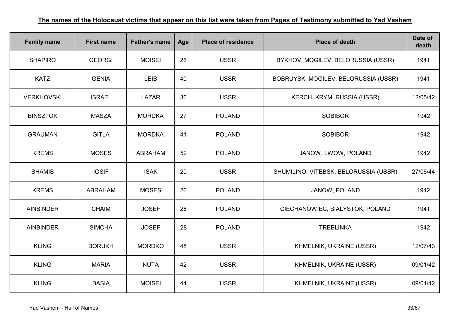| <b>Family name</b> | <b>First name</b> | <b>Father's name</b> | Age | <b>Place of residence</b> | <b>Place of death</b>                 | Date of<br>death |
|--------------------|-------------------|----------------------|-----|---------------------------|---------------------------------------|------------------|
| <b>SHAPIRO</b>     | <b>GEORGI</b>     | <b>MOISEI</b>        | 26  | <b>USSR</b>               | BYKHOV, MOGILEV, BELORUSSIA (USSR)    | 1941             |
| <b>KATZ</b>        | <b>GENIA</b>      | LEIB                 | 40  | <b>USSR</b>               | BOBRUYSK, MOGILEV, BELORUSSIA (USSR)  | 1941             |
| <b>VERKHOVSKI</b>  | <b>ISRAEL</b>     | <b>LAZAR</b>         | 36  | <b>USSR</b>               | KERCH, KRYM, RUSSIA (USSR)            | 12/05/42         |
| <b>BINSZTOK</b>    | <b>MASZA</b>      | <b>MORDKA</b>        | 27  | <b>POLAND</b>             | <b>SOBIBOR</b>                        | 1942             |
| <b>GRAUMAN</b>     | <b>GITLA</b>      | <b>MORDKA</b>        | 41  | <b>POLAND</b>             | <b>SOBIBOR</b>                        | 1942             |
| <b>KREMS</b>       | <b>MOSES</b>      | <b>ABRAHAM</b>       | 52  | <b>POLAND</b>             | JANOW, LWOW, POLAND                   | 1942             |
| <b>SHAMIS</b>      | <b>IOSIF</b>      | <b>ISAK</b>          | 20  | <b>USSR</b>               | SHUMILINO, VITEBSK, BELORUSSIA (USSR) | 27/06/44         |
| <b>KREMS</b>       | <b>ABRAHAM</b>    | <b>MOSES</b>         | 26  | <b>POLAND</b>             | JANOW, POLAND                         | 1942             |
| <b>AINBINDER</b>   | <b>CHAIM</b>      | <b>JOSEF</b>         | 28  | <b>POLAND</b>             | CIECHANOWIEC, BIALYSTOK, POLAND       | 1941             |
| <b>AINBINDER</b>   | <b>SIMCHA</b>     | <b>JOSEF</b>         | 28  | <b>POLAND</b>             | <b>TREBLINKA</b>                      | 1942             |
| <b>KLING</b>       | <b>BORUKH</b>     | <b>MORDKO</b>        | 48  | <b>USSR</b>               | KHMELNIK, UKRAINE (USSR)              | 12/07/43         |
| <b>KLING</b>       | <b>MARIA</b>      | <b>NUTA</b>          | 42  | <b>USSR</b>               | KHMELNIK, UKRAINE (USSR)              | 09/01/42         |
| <b>KLING</b>       | <b>BASIA</b>      | <b>MOISEI</b>        | 44  | <b>USSR</b>               | KHMELNIK, UKRAINE (USSR)              | 09/01/42         |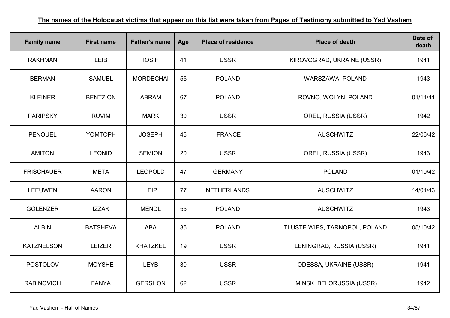| <b>Family name</b> | <b>First name</b> | <b>Father's name</b> | Age | <b>Place of residence</b> | <b>Place of death</b>         | Date of<br>death |
|--------------------|-------------------|----------------------|-----|---------------------------|-------------------------------|------------------|
| <b>RAKHMAN</b>     | <b>LEIB</b>       | <b>IOSIF</b>         | 41  | <b>USSR</b>               | KIROVOGRAD, UKRAINE (USSR)    | 1941             |
| <b>BERMAN</b>      | <b>SAMUEL</b>     | <b>MORDECHAI</b>     | 55  | <b>POLAND</b>             | WARSZAWA, POLAND              | 1943             |
| <b>KLEINER</b>     | <b>BENTZION</b>   | <b>ABRAM</b>         | 67  | <b>POLAND</b>             | ROVNO, WOLYN, POLAND          | 01/11/41         |
| <b>PARIPSKY</b>    | <b>RUVIM</b>      | <b>MARK</b>          | 30  | <b>USSR</b>               | OREL, RUSSIA (USSR)           | 1942             |
| <b>PENOUEL</b>     | YOMTOPH           | <b>JOSEPH</b>        | 46  | <b>FRANCE</b>             | <b>AUSCHWITZ</b>              | 22/06/42         |
| <b>AMITON</b>      | <b>LEONID</b>     | <b>SEMION</b>        | 20  | <b>USSR</b>               | OREL, RUSSIA (USSR)           | 1943             |
| <b>FRISCHAUER</b>  | <b>META</b>       | <b>LEOPOLD</b>       | 47  | <b>GERMANY</b>            | <b>POLAND</b>                 | 01/10/42         |
| <b>LEEUWEN</b>     | <b>AARON</b>      | <b>LEIP</b>          | 77  | <b>NETHERLANDS</b>        | <b>AUSCHWITZ</b>              | 14/01/43         |
| <b>GOLENZER</b>    | <b>IZZAK</b>      | <b>MENDL</b>         | 55  | <b>POLAND</b>             | <b>AUSCHWITZ</b>              | 1943             |
| <b>ALBIN</b>       | <b>BATSHEVA</b>   | <b>ABA</b>           | 35  | <b>POLAND</b>             | TLUSTE WIES, TARNOPOL, POLAND | 05/10/42         |
| <b>KATZNELSON</b>  | <b>LEIZER</b>     | <b>KHATZKEL</b>      | 19  | <b>USSR</b>               | LENINGRAD, RUSSIA (USSR)      | 1941             |
| <b>POSTOLOV</b>    | <b>MOYSHE</b>     | <b>LEYB</b>          | 30  | <b>USSR</b>               | ODESSA, UKRAINE (USSR)        | 1941             |
| <b>RABINOVICH</b>  | <b>FANYA</b>      | <b>GERSHON</b>       | 62  | <b>USSR</b>               | MINSK, BELORUSSIA (USSR)      | 1942             |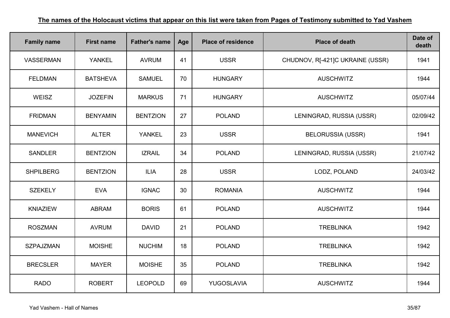| <b>Family name</b> | <b>First name</b> | <b>Father's name</b> | Age | <b>Place of residence</b> | <b>Place of death</b>            | Date of<br>death |
|--------------------|-------------------|----------------------|-----|---------------------------|----------------------------------|------------------|
| VASSERMAN          | <b>YANKEL</b>     | <b>AVRUM</b>         | 41  | <b>USSR</b>               | CHUDNOV, R[-421]C UKRAINE (USSR) | 1941             |
| <b>FELDMAN</b>     | <b>BATSHEVA</b>   | <b>SAMUEL</b>        | 70  | <b>HUNGARY</b>            | <b>AUSCHWITZ</b>                 | 1944             |
| <b>WEISZ</b>       | <b>JOZEFIN</b>    | <b>MARKUS</b>        | 71  | <b>HUNGARY</b>            | <b>AUSCHWITZ</b>                 | 05/07/44         |
| <b>FRIDMAN</b>     | <b>BENYAMIN</b>   | <b>BENTZION</b>      | 27  | <b>POLAND</b>             | LENINGRAD, RUSSIA (USSR)         | 02/09/42         |
| <b>MANEVICH</b>    | <b>ALTER</b>      | <b>YANKEL</b>        | 23  | <b>USSR</b>               | <b>BELORUSSIA (USSR)</b>         | 1941             |
| <b>SANDLER</b>     | <b>BENTZION</b>   | <b>IZRAIL</b>        | 34  | <b>POLAND</b>             | LENINGRAD, RUSSIA (USSR)         | 21/07/42         |
| <b>SHPILBERG</b>   | <b>BENTZION</b>   | <b>ILIA</b>          | 28  | <b>USSR</b>               | LODZ, POLAND                     | 24/03/42         |
| <b>SZEKELY</b>     | <b>EVA</b>        | <b>IGNAC</b>         | 30  | <b>ROMANIA</b>            | <b>AUSCHWITZ</b>                 | 1944             |
| <b>KNIAZIEW</b>    | <b>ABRAM</b>      | <b>BORIS</b>         | 61  | <b>POLAND</b>             | <b>AUSCHWITZ</b>                 | 1944             |
| <b>ROSZMAN</b>     | <b>AVRUM</b>      | <b>DAVID</b>         | 21  | <b>POLAND</b>             | <b>TREBLINKA</b>                 | 1942             |
| <b>SZPAJZMAN</b>   | <b>MOISHE</b>     | <b>NUCHIM</b>        | 18  | <b>POLAND</b>             | <b>TREBLINKA</b>                 | 1942             |
| <b>BRECSLER</b>    | <b>MAYER</b>      | <b>MOISHE</b>        | 35  | <b>POLAND</b>             | <b>TREBLINKA</b>                 | 1942             |
| <b>RADO</b>        | <b>ROBERT</b>     | <b>LEOPOLD</b>       | 69  | YUGOSLAVIA                | <b>AUSCHWITZ</b>                 | 1944             |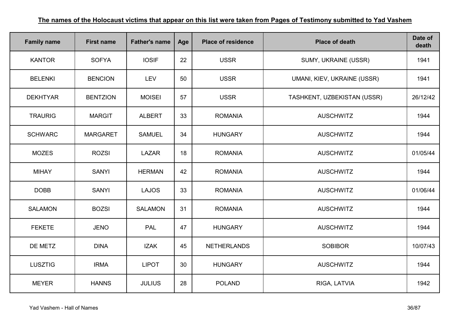| <b>Family name</b> | <b>First name</b> | <b>Father's name</b> | Age | <b>Place of residence</b> | <b>Place of death</b>       | Date of<br>death |
|--------------------|-------------------|----------------------|-----|---------------------------|-----------------------------|------------------|
| <b>KANTOR</b>      | <b>SOFYA</b>      | <b>IOSIF</b>         | 22  | <b>USSR</b>               | SUMY, UKRAINE (USSR)        | 1941             |
| <b>BELENKI</b>     | <b>BENCION</b>    | <b>LEV</b>           | 50  | <b>USSR</b>               | UMANI, KIEV, UKRAINE (USSR) | 1941             |
| <b>DEKHTYAR</b>    | <b>BENTZION</b>   | <b>MOISEI</b>        | 57  | <b>USSR</b>               | TASHKENT, UZBEKISTAN (USSR) | 26/12/42         |
| <b>TRAURIG</b>     | <b>MARGIT</b>     | <b>ALBERT</b>        | 33  | <b>ROMANIA</b>            | <b>AUSCHWITZ</b>            | 1944             |
| <b>SCHWARC</b>     | <b>MARGARET</b>   | <b>SAMUEL</b>        | 34  | <b>HUNGARY</b>            | <b>AUSCHWITZ</b>            | 1944             |
| <b>MOZES</b>       | <b>ROZSI</b>      | <b>LAZAR</b>         | 18  | <b>ROMANIA</b>            | <b>AUSCHWITZ</b>            | 01/05/44         |
| <b>MIHAY</b>       | <b>SANYI</b>      | <b>HERMAN</b>        | 42  | <b>ROMANIA</b>            | <b>AUSCHWITZ</b>            | 1944             |
| <b>DOBB</b>        | <b>SANYI</b>      | <b>LAJOS</b>         | 33  | <b>ROMANIA</b>            | <b>AUSCHWITZ</b>            | 01/06/44         |
| <b>SALAMON</b>     | <b>BOZSI</b>      | <b>SALAMON</b>       | 31  | <b>ROMANIA</b>            | <b>AUSCHWITZ</b>            | 1944             |
| <b>FEKETE</b>      | <b>JENO</b>       | <b>PAL</b>           | 47  | <b>HUNGARY</b>            | <b>AUSCHWITZ</b>            | 1944             |
| DE METZ            | <b>DINA</b>       | <b>IZAK</b>          | 45  | <b>NETHERLANDS</b>        | <b>SOBIBOR</b>              | 10/07/43         |
| <b>LUSZTIG</b>     | <b>IRMA</b>       | <b>LIPOT</b>         | 30  | <b>HUNGARY</b>            | <b>AUSCHWITZ</b>            | 1944             |
| <b>MEYER</b>       | <b>HANNS</b>      | <b>JULIUS</b>        | 28  | <b>POLAND</b>             | RIGA, LATVIA                | 1942             |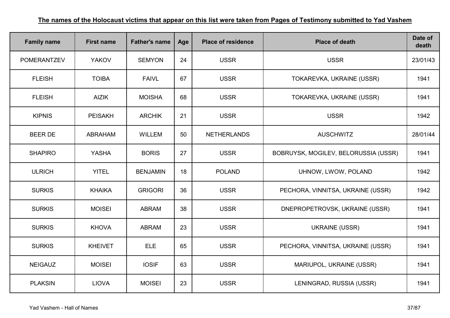| <b>Family name</b> | <b>First name</b> | <b>Father's name</b> | Age | <b>Place of residence</b> | <b>Place of death</b>                | Date of<br>death |
|--------------------|-------------------|----------------------|-----|---------------------------|--------------------------------------|------------------|
| <b>POMERANTZEV</b> | <b>YAKOV</b>      | <b>SEMYON</b>        | 24  | <b>USSR</b>               | <b>USSR</b>                          | 23/01/43         |
| <b>FLEISH</b>      | <b>TOIBA</b>      | <b>FAIVL</b>         | 67  | <b>USSR</b>               | TOKAREVKA, UKRAINE (USSR)            | 1941             |
| <b>FLEISH</b>      | <b>AIZIK</b>      | <b>MOISHA</b>        | 68  | <b>USSR</b>               | TOKAREVKA, UKRAINE (USSR)            | 1941             |
| <b>KIPNIS</b>      | <b>PEISAKH</b>    | <b>ARCHIK</b>        | 21  | <b>USSR</b>               | <b>USSR</b>                          | 1942             |
| <b>BEER DE</b>     | <b>ABRAHAM</b>    | <b>WILLEM</b>        | 50  | <b>NETHERLANDS</b>        | <b>AUSCHWITZ</b>                     | 28/01/44         |
| <b>SHAPIRO</b>     | <b>YASHA</b>      | <b>BORIS</b>         | 27  | <b>USSR</b>               | BOBRUYSK, MOGILEV, BELORUSSIA (USSR) | 1941             |
| <b>ULRICH</b>      | <b>YITEL</b>      | <b>BENJAMIN</b>      | 18  | <b>POLAND</b>             | UHNOW, LWOW, POLAND                  | 1942             |
| <b>SURKIS</b>      | <b>KHAIKA</b>     | <b>GRIGORI</b>       | 36  | <b>USSR</b>               | PECHORA, VINNITSA, UKRAINE (USSR)    | 1942             |
| <b>SURKIS</b>      | <b>MOISEI</b>     | <b>ABRAM</b>         | 38  | <b>USSR</b>               | DNEPROPETROVSK, UKRAINE (USSR)       | 1941             |
| <b>SURKIS</b>      | <b>KHOVA</b>      | <b>ABRAM</b>         | 23  | <b>USSR</b>               | <b>UKRAINE (USSR)</b>                | 1941             |
| <b>SURKIS</b>      | <b>KHEIVET</b>    | <b>ELE</b>           | 65  | <b>USSR</b>               | PECHORA, VINNITSA, UKRAINE (USSR)    | 1941             |
| <b>NEIGAUZ</b>     | <b>MOISEI</b>     | <b>IOSIF</b>         | 63  | <b>USSR</b>               | MARIUPOL, UKRAINE (USSR)             | 1941             |
| <b>PLAKSIN</b>     | <b>LIOVA</b>      | <b>MOISEI</b>        | 23  | <b>USSR</b>               | LENINGRAD, RUSSIA (USSR)             | 1941             |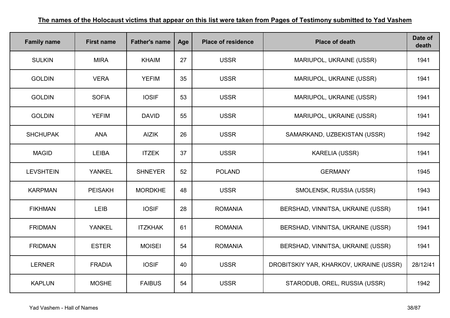| <b>Family name</b> | <b>First name</b> | <b>Father's name</b> | Age | <b>Place of residence</b> | <b>Place of death</b>                   | Date of<br>death |
|--------------------|-------------------|----------------------|-----|---------------------------|-----------------------------------------|------------------|
| <b>SULKIN</b>      | <b>MIRA</b>       | <b>KHAIM</b>         | 27  | <b>USSR</b>               | MARIUPOL, UKRAINE (USSR)                | 1941             |
| <b>GOLDIN</b>      | <b>VERA</b>       | <b>YEFIM</b>         | 35  | <b>USSR</b>               | MARIUPOL, UKRAINE (USSR)                | 1941             |
| <b>GOLDIN</b>      | <b>SOFIA</b>      | <b>IOSIF</b>         | 53  | <b>USSR</b>               | MARIUPOL, UKRAINE (USSR)                | 1941             |
| <b>GOLDIN</b>      | <b>YEFIM</b>      | <b>DAVID</b>         | 55  | <b>USSR</b>               | MARIUPOL, UKRAINE (USSR)                | 1941             |
| <b>SHCHUPAK</b>    | <b>ANA</b>        | <b>AIZIK</b>         | 26  | <b>USSR</b>               | SAMARKAND, UZBEKISTAN (USSR)            | 1942             |
| <b>MAGID</b>       | <b>LEIBA</b>      | <b>ITZEK</b>         | 37  | <b>USSR</b>               | <b>KARELIA (USSR)</b>                   | 1941             |
| <b>LEVSHTEIN</b>   | <b>YANKEL</b>     | <b>SHNEYER</b>       | 52  | <b>POLAND</b>             | <b>GERMANY</b>                          | 1945             |
| <b>KARPMAN</b>     | <b>PEISAKH</b>    | <b>MORDKHE</b>       | 48  | <b>USSR</b>               | SMOLENSK, RUSSIA (USSR)                 | 1943             |
| <b>FIKHMAN</b>     | <b>LEIB</b>       | <b>IOSIF</b>         | 28  | <b>ROMANIA</b>            | BERSHAD, VINNITSA, UKRAINE (USSR)       | 1941             |
| <b>FRIDMAN</b>     | <b>YANKEL</b>     | <b>ITZKHAK</b>       | 61  | <b>ROMANIA</b>            | BERSHAD, VINNITSA, UKRAINE (USSR)       | 1941             |
| <b>FRIDMAN</b>     | <b>ESTER</b>      | <b>MOISEI</b>        | 54  | <b>ROMANIA</b>            | BERSHAD, VINNITSA, UKRAINE (USSR)       | 1941             |
| <b>LERNER</b>      | <b>FRADIA</b>     | <b>IOSIF</b>         | 40  | <b>USSR</b>               | DROBITSKIY YAR, KHARKOV, UKRAINE (USSR) | 28/12/41         |
| <b>KAPLUN</b>      | <b>MOSHE</b>      | <b>FAIBUS</b>        | 54  | <b>USSR</b>               | STARODUB, OREL, RUSSIA (USSR)           | 1942             |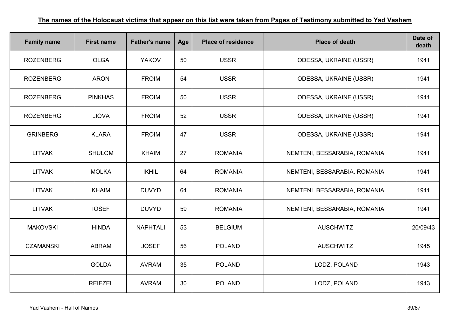| <b>Family name</b> | <b>First name</b> | <b>Father's name</b> | Age | <b>Place of residence</b> | <b>Place of death</b>         | Date of<br>death |
|--------------------|-------------------|----------------------|-----|---------------------------|-------------------------------|------------------|
| <b>ROZENBERG</b>   | <b>OLGA</b>       | <b>YAKOV</b>         | 50  | <b>USSR</b>               | <b>ODESSA, UKRAINE (USSR)</b> | 1941             |
| <b>ROZENBERG</b>   | <b>ARON</b>       | <b>FROIM</b>         | 54  | <b>USSR</b>               | <b>ODESSA, UKRAINE (USSR)</b> | 1941             |
| <b>ROZENBERG</b>   | <b>PINKHAS</b>    | <b>FROIM</b>         | 50  | <b>USSR</b>               | <b>ODESSA, UKRAINE (USSR)</b> | 1941             |
| <b>ROZENBERG</b>   | <b>LIOVA</b>      | <b>FROIM</b>         | 52  | <b>USSR</b>               | <b>ODESSA, UKRAINE (USSR)</b> | 1941             |
| <b>GRINBERG</b>    | <b>KLARA</b>      | <b>FROIM</b>         | 47  | <b>USSR</b>               | <b>ODESSA, UKRAINE (USSR)</b> | 1941             |
| <b>LITVAK</b>      | <b>SHULOM</b>     | <b>KHAIM</b>         | 27  | <b>ROMANIA</b>            | NEMTENI, BESSARABIA, ROMANIA  | 1941             |
| <b>LITVAK</b>      | <b>MOLKA</b>      | <b>IKHIL</b>         | 64  | <b>ROMANIA</b>            | NEMTENI, BESSARABIA, ROMANIA  | 1941             |
| <b>LITVAK</b>      | <b>KHAIM</b>      | <b>DUVYD</b>         | 64  | <b>ROMANIA</b>            | NEMTENI, BESSARABIA, ROMANIA  | 1941             |
| <b>LITVAK</b>      | <b>IOSEF</b>      | <b>DUVYD</b>         | 59  | <b>ROMANIA</b>            | NEMTENI, BESSARABIA, ROMANIA  | 1941             |
| <b>MAKOVSKI</b>    | <b>HINDA</b>      | <b>NAPHTALI</b>      | 53  | <b>BELGIUM</b>            | <b>AUSCHWITZ</b>              | 20/09/43         |
| <b>CZAMANSKI</b>   | <b>ABRAM</b>      | <b>JOSEF</b>         | 56  | <b>POLAND</b>             | <b>AUSCHWITZ</b>              | 1945             |
|                    | <b>GOLDA</b>      | <b>AVRAM</b>         | 35  | <b>POLAND</b>             | LODZ, POLAND                  | 1943             |
|                    | <b>REIEZEL</b>    | <b>AVRAM</b>         | 30  | <b>POLAND</b>             | LODZ, POLAND                  | 1943             |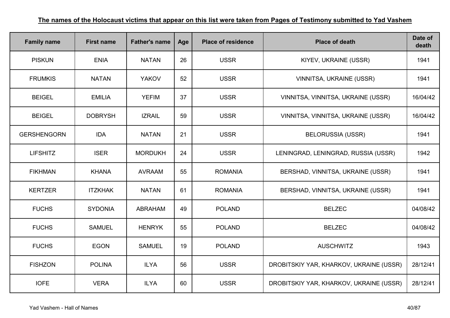| <b>Family name</b> | <b>First name</b> | <b>Father's name</b> | Age | <b>Place of residence</b> | <b>Place of death</b>                   | Date of<br>death |
|--------------------|-------------------|----------------------|-----|---------------------------|-----------------------------------------|------------------|
| <b>PISKUN</b>      | <b>ENIA</b>       | <b>NATAN</b>         | 26  | <b>USSR</b>               | KIYEV, UKRAINE (USSR)                   | 1941             |
| <b>FRUMKIS</b>     | <b>NATAN</b>      | <b>YAKOV</b>         | 52  | <b>USSR</b>               | VINNITSA, UKRAINE (USSR)                | 1941             |
| <b>BEIGEL</b>      | <b>EMILIA</b>     | <b>YEFIM</b>         | 37  | <b>USSR</b>               | VINNITSA, VINNITSA, UKRAINE (USSR)      | 16/04/42         |
| <b>BEIGEL</b>      | <b>DOBRYSH</b>    | <b>IZRAIL</b>        | 59  | <b>USSR</b>               | VINNITSA, VINNITSA, UKRAINE (USSR)      | 16/04/42         |
| <b>GERSHENGORN</b> | <b>IDA</b>        | <b>NATAN</b>         | 21  | <b>USSR</b>               | <b>BELORUSSIA (USSR)</b>                | 1941             |
| <b>LIFSHITZ</b>    | <b>ISER</b>       | <b>MORDUKH</b>       | 24  | <b>USSR</b>               | LENINGRAD, LENINGRAD, RUSSIA (USSR)     | 1942             |
| <b>FIKHMAN</b>     | <b>KHANA</b>      | <b>AVRAAM</b>        | 55  | <b>ROMANIA</b>            | BERSHAD, VINNITSA, UKRAINE (USSR)       | 1941             |
| <b>KERTZER</b>     | <b>ITZKHAK</b>    | <b>NATAN</b>         | 61  | <b>ROMANIA</b>            | BERSHAD, VINNITSA, UKRAINE (USSR)       | 1941             |
| <b>FUCHS</b>       | <b>SYDONIA</b>    | ABRAHAM              | 49  | <b>POLAND</b>             | <b>BELZEC</b>                           | 04/08/42         |
| <b>FUCHS</b>       | <b>SAMUEL</b>     | <b>HENRYK</b>        | 55  | <b>POLAND</b>             | <b>BELZEC</b>                           | 04/08/42         |
| <b>FUCHS</b>       | <b>EGON</b>       | <b>SAMUEL</b>        | 19  | <b>POLAND</b>             | <b>AUSCHWITZ</b>                        | 1943             |
| <b>FISHZON</b>     | <b>POLINA</b>     | <b>ILYA</b>          | 56  | <b>USSR</b>               | DROBITSKIY YAR, KHARKOV, UKRAINE (USSR) | 28/12/41         |
| <b>IOFE</b>        | <b>VERA</b>       | <b>ILYA</b>          | 60  | <b>USSR</b>               | DROBITSKIY YAR, KHARKOV, UKRAINE (USSR) | 28/12/41         |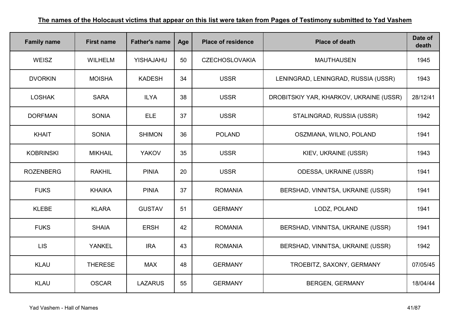| <b>Family name</b> | <b>First name</b> | <b>Father's name</b> | Age | <b>Place of residence</b> | <b>Place of death</b>                   | Date of<br>death |
|--------------------|-------------------|----------------------|-----|---------------------------|-----------------------------------------|------------------|
| WEISZ              | <b>WILHELM</b>    | YISHAJAHU            | 50  | <b>CZECHOSLOVAKIA</b>     | <b>MAUTHAUSEN</b>                       | 1945             |
| <b>DVORKIN</b>     | <b>MOISHA</b>     | <b>KADESH</b>        | 34  | <b>USSR</b>               | LENINGRAD, LENINGRAD, RUSSIA (USSR)     | 1943             |
| <b>LOSHAK</b>      | <b>SARA</b>       | <b>ILYA</b>          | 38  | <b>USSR</b>               | DROBITSKIY YAR, KHARKOV, UKRAINE (USSR) | 28/12/41         |
| <b>DORFMAN</b>     | <b>SONIA</b>      | <b>ELE</b>           | 37  | <b>USSR</b>               | STALINGRAD, RUSSIA (USSR)               | 1942             |
| <b>KHAIT</b>       | <b>SONIA</b>      | <b>SHIMON</b>        | 36  | <b>POLAND</b>             | OSZMIANA, WILNO, POLAND                 | 1941             |
| <b>KOBRINSKI</b>   | <b>MIKHAIL</b>    | <b>YAKOV</b>         | 35  | <b>USSR</b>               | KIEV, UKRAINE (USSR)                    | 1943             |
| <b>ROZENBERG</b>   | <b>RAKHIL</b>     | <b>PINIA</b>         | 20  | <b>USSR</b>               | <b>ODESSA, UKRAINE (USSR)</b>           | 1941             |
| <b>FUKS</b>        | <b>KHAIKA</b>     | <b>PINIA</b>         | 37  | <b>ROMANIA</b>            | BERSHAD, VINNITSA, UKRAINE (USSR)       | 1941             |
| <b>KLEBE</b>       | <b>KLARA</b>      | <b>GUSTAV</b>        | 51  | <b>GERMANY</b>            | LODZ, POLAND                            | 1941             |
| <b>FUKS</b>        | <b>SHAIA</b>      | <b>ERSH</b>          | 42  | <b>ROMANIA</b>            | BERSHAD, VINNITSA, UKRAINE (USSR)       | 1941             |
| <b>LIS</b>         | <b>YANKEL</b>     | <b>IRA</b>           | 43  | <b>ROMANIA</b>            | BERSHAD, VINNITSA, UKRAINE (USSR)       | 1942             |
| <b>KLAU</b>        | <b>THERESE</b>    | <b>MAX</b>           | 48  | <b>GERMANY</b>            | TROEBITZ, SAXONY, GERMANY               | 07/05/45         |
| <b>KLAU</b>        | <b>OSCAR</b>      | <b>LAZARUS</b>       | 55  | <b>GERMANY</b>            | <b>BERGEN, GERMANY</b>                  | 18/04/44         |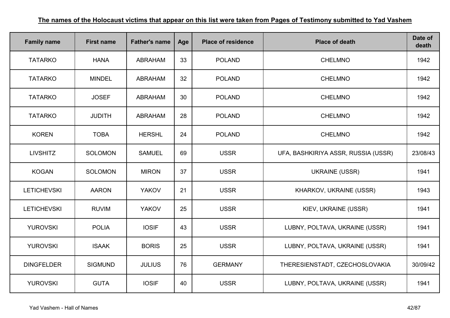| <b>Family name</b> | <b>First name</b> | <b>Father's name</b> | Age | <b>Place of residence</b> | <b>Place of death</b>               | Date of<br>death |
|--------------------|-------------------|----------------------|-----|---------------------------|-------------------------------------|------------------|
| <b>TATARKO</b>     | <b>HANA</b>       | <b>ABRAHAM</b>       | 33  | <b>POLAND</b>             | <b>CHELMNO</b>                      | 1942             |
| <b>TATARKO</b>     | <b>MINDEL</b>     | <b>ABRAHAM</b>       | 32  | <b>POLAND</b>             | <b>CHELMNO</b>                      | 1942             |
| <b>TATARKO</b>     | <b>JOSEF</b>      | <b>ABRAHAM</b>       | 30  | <b>POLAND</b>             | <b>CHELMNO</b>                      | 1942             |
| <b>TATARKO</b>     | <b>JUDITH</b>     | <b>ABRAHAM</b>       | 28  | <b>POLAND</b>             | <b>CHELMNO</b>                      | 1942             |
| <b>KOREN</b>       | <b>TOBA</b>       | <b>HERSHL</b>        | 24  | <b>POLAND</b>             | <b>CHELMNO</b>                      | 1942             |
| <b>LIVSHITZ</b>    | <b>SOLOMON</b>    | <b>SAMUEL</b>        | 69  | <b>USSR</b>               | UFA, BASHKIRIYA ASSR, RUSSIA (USSR) | 23/08/43         |
| <b>KOGAN</b>       | <b>SOLOMON</b>    | <b>MIRON</b>         | 37  | <b>USSR</b>               | <b>UKRAINE (USSR)</b>               | 1941             |
| <b>LETICHEVSKI</b> | <b>AARON</b>      | <b>YAKOV</b>         | 21  | <b>USSR</b>               | KHARKOV, UKRAINE (USSR)             | 1943             |
| <b>LETICHEVSKI</b> | <b>RUVIM</b>      | <b>YAKOV</b>         | 25  | <b>USSR</b>               | KIEV, UKRAINE (USSR)                | 1941             |
| <b>YUROVSKI</b>    | <b>POLIA</b>      | <b>IOSIF</b>         | 43  | <b>USSR</b>               | LUBNY, POLTAVA, UKRAINE (USSR)      | 1941             |
| <b>YUROVSKI</b>    | <b>ISAAK</b>      | <b>BORIS</b>         | 25  | <b>USSR</b>               | LUBNY, POLTAVA, UKRAINE (USSR)      | 1941             |
| <b>DINGFELDER</b>  | <b>SIGMUND</b>    | <b>JULIUS</b>        | 76  | <b>GERMANY</b>            | THERESIENSTADT, CZECHOSLOVAKIA      | 30/09/42         |
| <b>YUROVSKI</b>    | <b>GUTA</b>       | <b>IOSIF</b>         | 40  | <b>USSR</b>               | LUBNY, POLTAVA, UKRAINE (USSR)      | 1941             |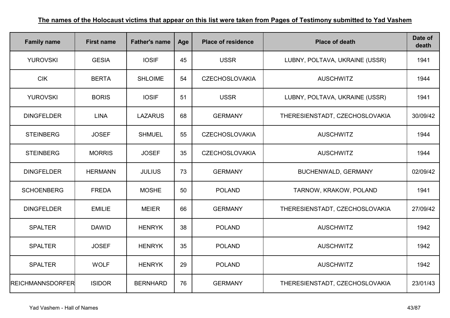| <b>Family name</b>      | <b>First name</b> | <b>Father's name</b> | Age | <b>Place of residence</b> | <b>Place of death</b>          | Date of<br>death |
|-------------------------|-------------------|----------------------|-----|---------------------------|--------------------------------|------------------|
| <b>YUROVSKI</b>         | <b>GESIA</b>      | <b>IOSIF</b>         | 45  | <b>USSR</b>               | LUBNY, POLTAVA, UKRAINE (USSR) | 1941             |
| <b>CIK</b>              | <b>BERTA</b>      | <b>SHLOIME</b>       | 54  | <b>CZECHOSLOVAKIA</b>     | <b>AUSCHWITZ</b>               | 1944             |
| <b>YUROVSKI</b>         | <b>BORIS</b>      | <b>IOSIF</b>         | 51  | <b>USSR</b>               | LUBNY, POLTAVA, UKRAINE (USSR) | 1941             |
| <b>DINGFELDER</b>       | <b>LINA</b>       | <b>LAZARUS</b>       | 68  | <b>GERMANY</b>            | THERESIENSTADT, CZECHOSLOVAKIA | 30/09/42         |
| <b>STEINBERG</b>        | <b>JOSEF</b>      | <b>SHMUEL</b>        | 55  | <b>CZECHOSLOVAKIA</b>     | <b>AUSCHWITZ</b>               | 1944             |
| <b>STEINBERG</b>        | <b>MORRIS</b>     | <b>JOSEF</b>         | 35  | <b>CZECHOSLOVAKIA</b>     | <b>AUSCHWITZ</b>               | 1944             |
| <b>DINGFELDER</b>       | <b>HERMANN</b>    | <b>JULIUS</b>        | 73  | <b>GERMANY</b>            | BUCHENWALD, GERMANY            | 02/09/42         |
| <b>SCHOENBERG</b>       | <b>FREDA</b>      | <b>MOSHE</b>         | 50  | <b>POLAND</b>             | TARNOW, KRAKOW, POLAND         | 1941             |
| <b>DINGFELDER</b>       | <b>EMILIE</b>     | <b>MEIER</b>         | 66  | <b>GERMANY</b>            | THERESIENSTADT, CZECHOSLOVAKIA | 27/09/42         |
| <b>SPALTER</b>          | <b>DAWID</b>      | <b>HENRYK</b>        | 38  | <b>POLAND</b>             | <b>AUSCHWITZ</b>               | 1942             |
| <b>SPALTER</b>          | <b>JOSEF</b>      | <b>HENRYK</b>        | 35  | <b>POLAND</b>             | <b>AUSCHWITZ</b>               | 1942             |
| <b>SPALTER</b>          | <b>WOLF</b>       | <b>HENRYK</b>        | 29  | <b>POLAND</b>             | <b>AUSCHWITZ</b>               | 1942             |
| <b>REICHMANNSDORFER</b> | <b>ISIDOR</b>     | <b>BERNHARD</b>      | 76  | <b>GERMANY</b>            | THERESIENSTADT, CZECHOSLOVAKIA | 23/01/43         |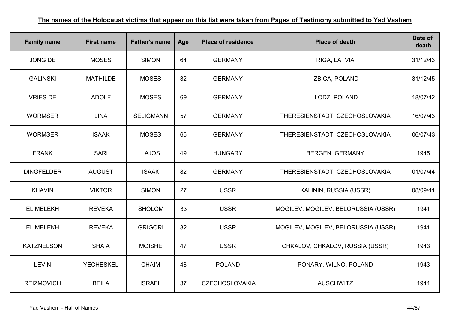| <b>Family name</b> | <b>First name</b> | <b>Father's name</b> | Age | <b>Place of residence</b> | <b>Place of death</b>               | Date of<br>death |
|--------------------|-------------------|----------------------|-----|---------------------------|-------------------------------------|------------------|
| <b>JONG DE</b>     | <b>MOSES</b>      | <b>SIMON</b>         | 64  | <b>GERMANY</b>            | RIGA, LATVIA                        | 31/12/43         |
| <b>GALINSKI</b>    | <b>MATHILDE</b>   | <b>MOSES</b>         | 32  | <b>GERMANY</b>            | IZBICA, POLAND                      | 31/12/45         |
| <b>VRIES DE</b>    | <b>ADOLF</b>      | <b>MOSES</b>         | 69  | <b>GERMANY</b>            | LODZ, POLAND                        | 18/07/42         |
| <b>WORMSER</b>     | <b>LINA</b>       | <b>SELIGMANN</b>     | 57  | <b>GERMANY</b>            | THERESIENSTADT, CZECHOSLOVAKIA      | 16/07/43         |
| <b>WORMSER</b>     | <b>ISAAK</b>      | <b>MOSES</b>         | 65  | <b>GERMANY</b>            | THERESIENSTADT, CZECHOSLOVAKIA      | 06/07/43         |
| <b>FRANK</b>       | <b>SARI</b>       | <b>LAJOS</b>         | 49  | <b>HUNGARY</b>            | <b>BERGEN, GERMANY</b>              | 1945             |
| <b>DINGFELDER</b>  | <b>AUGUST</b>     | <b>ISAAK</b>         | 82  | <b>GERMANY</b>            | THERESIENSTADT, CZECHOSLOVAKIA      | 01/07/44         |
| <b>KHAVIN</b>      | <b>VIKTOR</b>     | <b>SIMON</b>         | 27  | <b>USSR</b>               | KALININ, RUSSIA (USSR)              | 08/09/41         |
| <b>ELIMELEKH</b>   | <b>REVEKA</b>     | <b>SHOLOM</b>        | 33  | <b>USSR</b>               | MOGILEV, MOGILEV, BELORUSSIA (USSR) | 1941             |
| <b>ELIMELEKH</b>   | <b>REVEKA</b>     | <b>GRIGORI</b>       | 32  | <b>USSR</b>               | MOGILEV, MOGILEV, BELORUSSIA (USSR) | 1941             |
| <b>KATZNELSON</b>  | <b>SHAIA</b>      | <b>MOISHE</b>        | 47  | <b>USSR</b>               | CHKALOV, CHKALOV, RUSSIA (USSR)     | 1943             |
| <b>LEVIN</b>       | <b>YECHESKEL</b>  | <b>CHAIM</b>         | 48  | <b>POLAND</b>             | PONARY, WILNO, POLAND               | 1943             |
| <b>REIZMOVICH</b>  | <b>BEILA</b>      | <b>ISRAEL</b>        | 37  | <b>CZECHOSLOVAKIA</b>     | <b>AUSCHWITZ</b>                    | 1944             |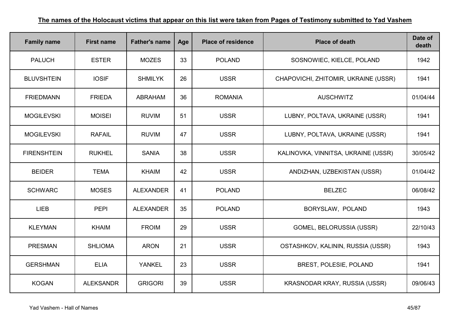| <b>Family name</b> | <b>First name</b> | <b>Father's name</b> | Age | <b>Place of residence</b> | <b>Place of death</b>                | Date of<br>death |
|--------------------|-------------------|----------------------|-----|---------------------------|--------------------------------------|------------------|
| <b>PALUCH</b>      | <b>ESTER</b>      | <b>MOZES</b>         | 33  | <b>POLAND</b>             | SOSNOWIEC, KIELCE, POLAND            | 1942             |
| <b>BLUVSHTEIN</b>  | <b>IOSIF</b>      | <b>SHMILYK</b>       | 26  | <b>USSR</b>               | CHAPOVICHI, ZHITOMIR, UKRAINE (USSR) | 1941             |
| <b>FRIEDMANN</b>   | <b>FRIEDA</b>     | <b>ABRAHAM</b>       | 36  | <b>ROMANIA</b>            | <b>AUSCHWITZ</b>                     | 01/04/44         |
| <b>MOGILEVSKI</b>  | <b>MOISEI</b>     | <b>RUVIM</b>         | 51  | <b>USSR</b>               | LUBNY, POLTAVA, UKRAINE (USSR)       | 1941             |
| <b>MOGILEVSKI</b>  | <b>RAFAIL</b>     | <b>RUVIM</b>         | 47  | <b>USSR</b>               | LUBNY, POLTAVA, UKRAINE (USSR)       | 1941             |
| <b>FIRENSHTEIN</b> | <b>RUKHEL</b>     | <b>SANIA</b>         | 38  | <b>USSR</b>               | KALINOVKA, VINNITSA, UKRAINE (USSR)  | 30/05/42         |
| <b>BEIDER</b>      | <b>TEMA</b>       | <b>KHAIM</b>         | 42  | <b>USSR</b>               | ANDIZHAN, UZBEKISTAN (USSR)          | 01/04/42         |
| <b>SCHWARC</b>     | <b>MOSES</b>      | <b>ALEXANDER</b>     | 41  | <b>POLAND</b>             | <b>BELZEC</b>                        | 06/08/42         |
| <b>LIEB</b>        | <b>PEPI</b>       | <b>ALEXANDER</b>     | 35  | <b>POLAND</b>             | BORYSLAW, POLAND                     | 1943             |
| <b>KLEYMAN</b>     | <b>KHAIM</b>      | <b>FROIM</b>         | 29  | <b>USSR</b>               | GOMEL, BELORUSSIA (USSR)             | 22/10/43         |
| <b>PRESMAN</b>     | <b>SHLIOMA</b>    | <b>ARON</b>          | 21  | <b>USSR</b>               | OSTASHKOV, KALININ, RUSSIA (USSR)    | 1943             |
| <b>GERSHMAN</b>    | <b>ELIA</b>       | <b>YANKEL</b>        | 23  | <b>USSR</b>               | <b>BREST, POLESIE, POLAND</b>        | 1941             |
| <b>KOGAN</b>       | <b>ALEKSANDR</b>  | <b>GRIGORI</b>       | 39  | <b>USSR</b>               | KRASNODAR KRAY, RUSSIA (USSR)        | 09/06/43         |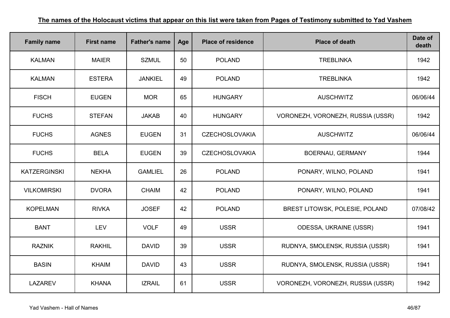| <b>Family name</b>  | <b>First name</b> | <b>Father's name</b> | Age | <b>Place of residence</b> | <b>Place of death</b>             | Date of<br>death |
|---------------------|-------------------|----------------------|-----|---------------------------|-----------------------------------|------------------|
| <b>KALMAN</b>       | <b>MAIER</b>      | <b>SZMUL</b>         | 50  | <b>POLAND</b>             | <b>TREBLINKA</b>                  | 1942             |
| <b>KALMAN</b>       | <b>ESTERA</b>     | <b>JANKIEL</b>       | 49  | <b>POLAND</b>             | <b>TREBLINKA</b>                  | 1942             |
| <b>FISCH</b>        | <b>EUGEN</b>      | <b>MOR</b>           | 65  | <b>HUNGARY</b>            | <b>AUSCHWITZ</b>                  | 06/06/44         |
| <b>FUCHS</b>        | <b>STEFAN</b>     | <b>JAKAB</b>         | 40  | <b>HUNGARY</b>            | VORONEZH, VORONEZH, RUSSIA (USSR) | 1942             |
| <b>FUCHS</b>        | <b>AGNES</b>      | <b>EUGEN</b>         | 31  | <b>CZECHOSLOVAKIA</b>     | <b>AUSCHWITZ</b>                  | 06/06/44         |
| <b>FUCHS</b>        | <b>BELA</b>       | <b>EUGEN</b>         | 39  | <b>CZECHOSLOVAKIA</b>     | BOERNAU, GERMANY                  | 1944             |
| <b>KATZERGINSKI</b> | <b>NEKHA</b>      | <b>GAMLIEL</b>       | 26  | <b>POLAND</b>             | PONARY, WILNO, POLAND             | 1941             |
| <b>VILKOMIRSKI</b>  | <b>DVORA</b>      | <b>CHAIM</b>         | 42  | <b>POLAND</b>             | PONARY, WILNO, POLAND             | 1941             |
| <b>KOPELMAN</b>     | <b>RIVKA</b>      | <b>JOSEF</b>         | 42  | <b>POLAND</b>             | BREST LITOWSK, POLESIE, POLAND    | 07/08/42         |
| <b>BANT</b>         | <b>LEV</b>        | <b>VOLF</b>          | 49  | <b>USSR</b>               | <b>ODESSA, UKRAINE (USSR)</b>     | 1941             |
| <b>RAZNIK</b>       | <b>RAKHIL</b>     | <b>DAVID</b>         | 39  | <b>USSR</b>               | RUDNYA, SMOLENSK, RUSSIA (USSR)   | 1941             |
| <b>BASIN</b>        | <b>KHAIM</b>      | <b>DAVID</b>         | 43  | <b>USSR</b>               | RUDNYA, SMOLENSK, RUSSIA (USSR)   | 1941             |
| <b>LAZAREV</b>      | <b>KHANA</b>      | <b>IZRAIL</b>        | 61  | <b>USSR</b>               | VORONEZH, VORONEZH, RUSSIA (USSR) | 1942             |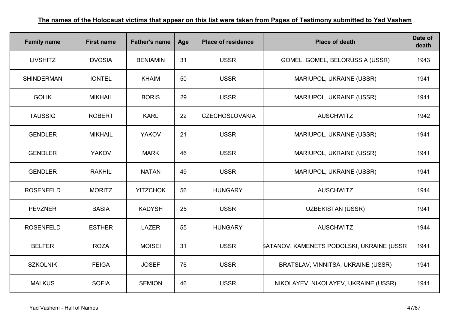| <b>Family name</b> | <b>First name</b> | <b>Father's name</b> | Age | <b>Place of residence</b> | <b>Place of death</b>                            | Date of<br>death |
|--------------------|-------------------|----------------------|-----|---------------------------|--------------------------------------------------|------------------|
| <b>LIVSHITZ</b>    | <b>DVOSIA</b>     | <b>BENIAMIN</b>      | 31  | <b>USSR</b>               | GOMEL, GOMEL, BELORUSSIA (USSR)                  | 1943             |
| <b>SHINDERMAN</b>  | <b>IONTEL</b>     | <b>KHAIM</b>         | 50  | <b>USSR</b>               | MARIUPOL, UKRAINE (USSR)                         | 1941             |
| <b>GOLIK</b>       | <b>MIKHAIL</b>    | <b>BORIS</b>         | 29  | <b>USSR</b>               | MARIUPOL, UKRAINE (USSR)                         | 1941             |
| <b>TAUSSIG</b>     | <b>ROBERT</b>     | <b>KARL</b>          | 22  | <b>CZECHOSLOVAKIA</b>     | <b>AUSCHWITZ</b>                                 | 1942             |
| <b>GENDLER</b>     | <b>MIKHAIL</b>    | <b>YAKOV</b>         | 21  | <b>USSR</b>               | MARIUPOL, UKRAINE (USSR)                         | 1941             |
| <b>GENDLER</b>     | <b>YAKOV</b>      | <b>MARK</b>          | 46  | <b>USSR</b>               | MARIUPOL, UKRAINE (USSR)                         | 1941             |
| <b>GENDLER</b>     | <b>RAKHIL</b>     | <b>NATAN</b>         | 49  | <b>USSR</b>               | MARIUPOL, UKRAINE (USSR)                         | 1941             |
| <b>ROSENFELD</b>   | <b>MORITZ</b>     | <b>YITZCHOK</b>      | 56  | <b>HUNGARY</b>            | <b>AUSCHWITZ</b>                                 | 1944             |
| <b>PEVZNER</b>     | <b>BASIA</b>      | <b>KADYSH</b>        | 25  | <b>USSR</b>               | <b>UZBEKISTAN (USSR)</b>                         | 1941             |
| <b>ROSENFELD</b>   | <b>ESTHER</b>     | <b>LAZER</b>         | 55  | <b>HUNGARY</b>            | <b>AUSCHWITZ</b>                                 | 1944             |
| <b>BELFER</b>      | <b>ROZA</b>       | <b>MOISEI</b>        | 31  | <b>USSR</b>               | <b>SATANOV, KAMENETS PODOLSKI, UKRAINE (USSR</b> | 1941             |
| <b>SZKOLNIK</b>    | <b>FEIGA</b>      | <b>JOSEF</b>         | 76  | <b>USSR</b>               | BRATSLAV, VINNITSA, UKRAINE (USSR)               | 1941             |
| <b>MALKUS</b>      | <b>SOFIA</b>      | <b>SEMION</b>        | 46  | <b>USSR</b>               | NIKOLAYEV, NIKOLAYEV, UKRAINE (USSR)             | 1941             |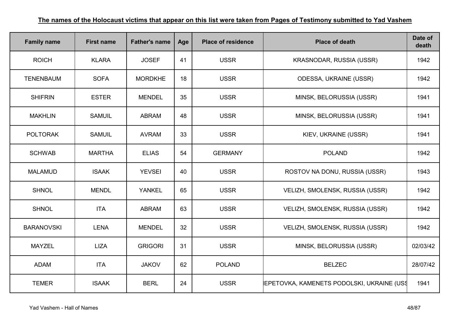| <b>Family name</b> | <b>First name</b> | <b>Father's name</b> | Age | <b>Place of residence</b> | <b>Place of death</b>                      | Date of<br>death |
|--------------------|-------------------|----------------------|-----|---------------------------|--------------------------------------------|------------------|
| <b>ROICH</b>       | <b>KLARA</b>      | <b>JOSEF</b>         | 41  | <b>USSR</b>               | KRASNODAR, RUSSIA (USSR)                   | 1942             |
| <b>TENENBAUM</b>   | <b>SOFA</b>       | <b>MORDKHE</b>       | 18  | <b>USSR</b>               | <b>ODESSA, UKRAINE (USSR)</b>              | 1942             |
| <b>SHIFRIN</b>     | <b>ESTER</b>      | <b>MENDEL</b>        | 35  | <b>USSR</b>               | MINSK, BELORUSSIA (USSR)                   | 1941             |
| <b>MAKHLIN</b>     | <b>SAMUIL</b>     | <b>ABRAM</b>         | 48  | <b>USSR</b>               | MINSK, BELORUSSIA (USSR)                   | 1941             |
| <b>POLTORAK</b>    | <b>SAMUIL</b>     | <b>AVRAM</b>         | 33  | <b>USSR</b>               | KIEV, UKRAINE (USSR)                       | 1941             |
| <b>SCHWAB</b>      | <b>MARTHA</b>     | <b>ELIAS</b>         | 54  | <b>GERMANY</b>            | <b>POLAND</b>                              | 1942             |
| <b>MALAMUD</b>     | <b>ISAAK</b>      | <b>YEVSEI</b>        | 40  | <b>USSR</b>               | ROSTOV NA DONU, RUSSIA (USSR)              | 1943             |
| <b>SHNOL</b>       | <b>MENDL</b>      | <b>YANKEL</b>        | 65  | <b>USSR</b>               | VELIZH, SMOLENSK, RUSSIA (USSR)            | 1942             |
| <b>SHNOL</b>       | <b>ITA</b>        | <b>ABRAM</b>         | 63  | <b>USSR</b>               | VELIZH, SMOLENSK, RUSSIA (USSR)            | 1942             |
| <b>BARANOVSKI</b>  | <b>LENA</b>       | <b>MENDEL</b>        | 32  | <b>USSR</b>               | VELIZH, SMOLENSK, RUSSIA (USSR)            | 1942             |
| <b>MAYZEL</b>      | <b>LIZA</b>       | <b>GRIGORI</b>       | 31  | <b>USSR</b>               | MINSK, BELORUSSIA (USSR)                   | 02/03/42         |
| <b>ADAM</b>        | <b>ITA</b>        | <b>JAKOV</b>         | 62  | <b>POLAND</b>             | <b>BELZEC</b>                              | 28/07/42         |
| <b>TEMER</b>       | <b>ISAAK</b>      | <b>BERL</b>          | 24  | <b>USSR</b>               | IEPETOVKA, KAMENETS PODOLSKI, UKRAINE (USS | 1941             |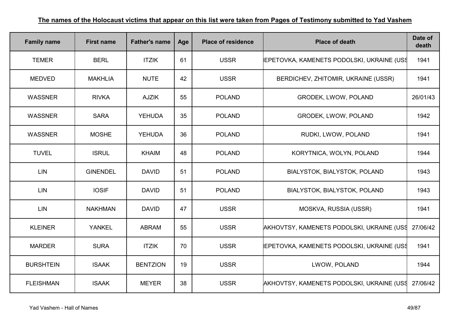| <b>Family name</b> | <b>First name</b> | <b>Father's name</b> | Age | <b>Place of residence</b> | <b>Place of death</b>                              | Date of<br>death |
|--------------------|-------------------|----------------------|-----|---------------------------|----------------------------------------------------|------------------|
| <b>TEMER</b>       | <b>BERL</b>       | <b>ITZIK</b>         | 61  | <b>USSR</b>               | <b>IEPETOVKA, KAMENETS PODOLSKI, UKRAINE (USS)</b> | 1941             |
| <b>MEDVED</b>      | <b>MAKHLIA</b>    | <b>NUTE</b>          | 42  | <b>USSR</b>               | BERDICHEV, ZHITOMIR, UKRAINE (USSR)                | 1941             |
| <b>WASSNER</b>     | <b>RIVKA</b>      | <b>AJZIK</b>         | 55  | <b>POLAND</b>             | GRODEK, LWOW, POLAND                               | 26/01/43         |
| <b>WASSNER</b>     | <b>SARA</b>       | <b>YEHUDA</b>        | 35  | <b>POLAND</b>             | GRODEK, LWOW, POLAND                               | 1942             |
| <b>WASSNER</b>     | <b>MOSHE</b>      | <b>YEHUDA</b>        | 36  | <b>POLAND</b>             | RUDKI, LWOW, POLAND                                | 1941             |
| <b>TUVEL</b>       | <b>ISRUL</b>      | <b>KHAIM</b>         | 48  | <b>POLAND</b>             | KORYTNICA, WOLYN, POLAND                           | 1944             |
| <b>LIN</b>         | <b>GINENDEL</b>   | <b>DAVID</b>         | 51  | <b>POLAND</b>             | BIALYSTOK, BIALYSTOK, POLAND                       | 1943             |
| <b>LIN</b>         | <b>IOSIF</b>      | <b>DAVID</b>         | 51  | <b>POLAND</b>             | BIALYSTOK, BIALYSTOK, POLAND                       | 1943             |
| <b>LIN</b>         | <b>NAKHMAN</b>    | <b>DAVID</b>         | 47  | <b>USSR</b>               | MOSKVA, RUSSIA (USSR)                              | 1941             |
| <b>KLEINER</b>     | <b>YANKEL</b>     | <b>ABRAM</b>         | 55  | <b>USSR</b>               | AKHOVTSY, KAMENETS PODOLSKI, UKRAINE (USS          | 27/06/42         |
| <b>MARDER</b>      | <b>SURA</b>       | <b>ITZIK</b>         | 70  | <b>USSR</b>               | <b>IEPETOVKA, KAMENETS PODOLSKI, UKRAINE (USS)</b> | 1941             |
| <b>BURSHTEIN</b>   | <b>ISAAK</b>      | <b>BENTZION</b>      | 19  | <b>USSR</b>               | LWOW, POLAND                                       | 1944             |
| <b>FLEISHMAN</b>   | <b>ISAAK</b>      | <b>MEYER</b>         | 38  | <b>USSR</b>               | AKHOVTSY, KAMENETS PODOLSKI, UKRAINE (USS          | 27/06/42         |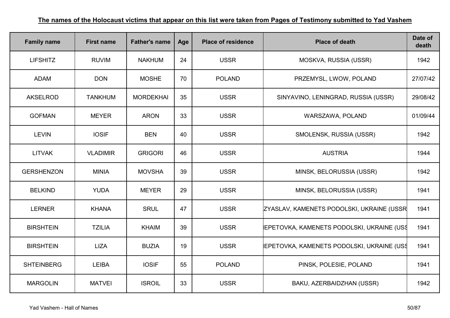| <b>Family name</b> | <b>First name</b> | <b>Father's name</b> | Age | <b>Place of residence</b> | <b>Place of death</b>                             | Date of<br>death |
|--------------------|-------------------|----------------------|-----|---------------------------|---------------------------------------------------|------------------|
| <b>LIFSHITZ</b>    | <b>RUVIM</b>      | <b>NAKHUM</b>        | 24  | <b>USSR</b>               | MOSKVA, RUSSIA (USSR)                             | 1942             |
| <b>ADAM</b>        | <b>DON</b>        | <b>MOSHE</b>         | 70  | <b>POLAND</b>             | PRZEMYSL, LWOW, POLAND                            | 27/07/42         |
| <b>AKSELROD</b>    | <b>TANKHUM</b>    | <b>MORDEKHAI</b>     | 35  | <b>USSR</b>               | SINYAVINO, LENINGRAD, RUSSIA (USSR)               | 29/08/42         |
| <b>GOFMAN</b>      | <b>MEYER</b>      | <b>ARON</b>          | 33  | <b>USSR</b>               | WARSZAWA, POLAND                                  | 01/09/44         |
| <b>LEVIN</b>       | <b>IOSIF</b>      | <b>BEN</b>           | 40  | <b>USSR</b>               | SMOLENSK, RUSSIA (USSR)                           | 1942             |
| <b>LITVAK</b>      | <b>VLADIMIR</b>   | <b>GRIGORI</b>       | 46  | <b>USSR</b>               | <b>AUSTRIA</b>                                    | 1944             |
| <b>GERSHENZON</b>  | <b>MINIA</b>      | <b>MOVSHA</b>        | 39  | <b>USSR</b>               | MINSK, BELORUSSIA (USSR)                          | 1942             |
| <b>BELKIND</b>     | <b>YUDA</b>       | <b>MEYER</b>         | 29  | <b>USSR</b>               | MINSK, BELORUSSIA (USSR)                          | 1941             |
| <b>LERNER</b>      | <b>KHANA</b>      | <b>SRUL</b>          | 47  | <b>USSR</b>               | ZYASLAV, KAMENETS PODOLSKI, UKRAINE (USSR         | 1941             |
| <b>BIRSHTEIN</b>   | <b>TZILIA</b>     | <b>KHAIM</b>         | 39  | <b>USSR</b>               | <b>IEPETOVKA, KAMENETS PODOLSKI, UKRAINE (USS</b> | 1941             |
| <b>BIRSHTEIN</b>   | <b>LIZA</b>       | <b>BUZIA</b>         | 19  | <b>USSR</b>               | <b>IEPETOVKA, KAMENETS PODOLSKI, UKRAINE (USS</b> | 1941             |
| <b>SHTEINBERG</b>  | <b>LEIBA</b>      | <b>IOSIF</b>         | 55  | <b>POLAND</b>             | PINSK, POLESIE, POLAND                            | 1941             |
| <b>MARGOLIN</b>    | <b>MATVEI</b>     | <b>ISROIL</b>        | 33  | <b>USSR</b>               | BAKU, AZERBAIDZHAN (USSR)                         | 1942             |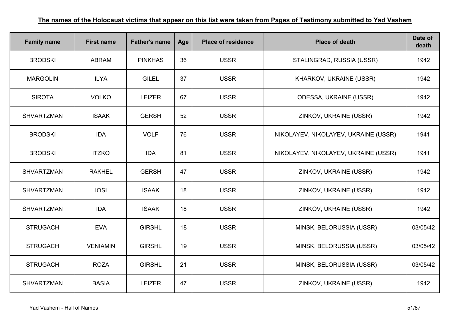| <b>Family name</b> | <b>First name</b> | <b>Father's name</b> | Age | <b>Place of residence</b> | <b>Place of death</b>                | Date of<br>death |
|--------------------|-------------------|----------------------|-----|---------------------------|--------------------------------------|------------------|
| <b>BRODSKI</b>     | <b>ABRAM</b>      | <b>PINKHAS</b>       | 36  | <b>USSR</b>               | STALINGRAD, RUSSIA (USSR)            | 1942             |
| <b>MARGOLIN</b>    | <b>ILYA</b>       | <b>GILEL</b>         | 37  | <b>USSR</b>               | KHARKOV, UKRAINE (USSR)              | 1942             |
| <b>SIROTA</b>      | <b>VOLKO</b>      | <b>LEIZER</b>        | 67  | <b>USSR</b>               | <b>ODESSA, UKRAINE (USSR)</b>        | 1942             |
| <b>SHVARTZMAN</b>  | <b>ISAAK</b>      | <b>GERSH</b>         | 52  | <b>USSR</b>               | ZINKOV, UKRAINE (USSR)               | 1942             |
| <b>BRODSKI</b>     | <b>IDA</b>        | <b>VOLF</b>          | 76  | <b>USSR</b>               | NIKOLAYEV, NIKOLAYEV, UKRAINE (USSR) | 1941             |
| <b>BRODSKI</b>     | <b>ITZKO</b>      | <b>IDA</b>           | 81  | <b>USSR</b>               | NIKOLAYEV, NIKOLAYEV, UKRAINE (USSR) | 1941             |
| <b>SHVARTZMAN</b>  | <b>RAKHEL</b>     | <b>GERSH</b>         | 47  | <b>USSR</b>               | ZINKOV, UKRAINE (USSR)               | 1942             |
| <b>SHVARTZMAN</b>  | <b>IOSI</b>       | <b>ISAAK</b>         | 18  | <b>USSR</b>               | ZINKOV, UKRAINE (USSR)               | 1942             |
| <b>SHVARTZMAN</b>  | <b>IDA</b>        | <b>ISAAK</b>         | 18  | <b>USSR</b>               | ZINKOV, UKRAINE (USSR)               | 1942             |
| <b>STRUGACH</b>    | <b>EVA</b>        | <b>GIRSHL</b>        | 18  | <b>USSR</b>               | MINSK, BELORUSSIA (USSR)             | 03/05/42         |
| <b>STRUGACH</b>    | <b>VENIAMIN</b>   | <b>GIRSHL</b>        | 19  | <b>USSR</b>               | MINSK, BELORUSSIA (USSR)             | 03/05/42         |
| <b>STRUGACH</b>    | <b>ROZA</b>       | <b>GIRSHL</b>        | 21  | <b>USSR</b>               | MINSK, BELORUSSIA (USSR)             | 03/05/42         |
| <b>SHVARTZMAN</b>  | <b>BASIA</b>      | <b>LEIZER</b>        | 47  | <b>USSR</b>               | ZINKOV, UKRAINE (USSR)               | 1942             |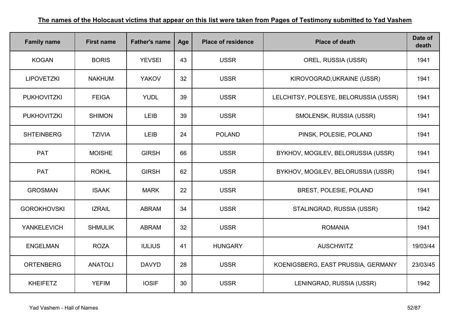| <b>Family name</b> | <b>First name</b> | <b>Father's name</b> | Age | <b>Place of residence</b> | <b>Place of death</b>                 | Date of<br>death |
|--------------------|-------------------|----------------------|-----|---------------------------|---------------------------------------|------------------|
| <b>KOGAN</b>       | <b>BORIS</b>      | <b>YEVSEI</b>        | 43  | <b>USSR</b>               | OREL, RUSSIA (USSR)                   | 1941             |
| <b>LIPOVETZKI</b>  | <b>NAKHUM</b>     | <b>YAKOV</b>         | 32  | <b>USSR</b>               | KIROVOGRAD, UKRAINE (USSR)            | 1941             |
| <b>PUKHOVITZKI</b> | <b>FEIGA</b>      | <b>YUDL</b>          | 39  | <b>USSR</b>               | LELCHITSY, POLESYE, BELORUSSIA (USSR) | 1941             |
| <b>PUKHOVITZKI</b> | <b>SHIMON</b>     | <b>LEIB</b>          | 39  | <b>USSR</b>               | SMOLENSK, RUSSIA (USSR)               | 1941             |
| <b>SHTEINBERG</b>  | <b>TZIVIA</b>     | <b>LEIB</b>          | 24  | <b>POLAND</b>             | PINSK, POLESIE, POLAND                | 1941             |
| <b>PAT</b>         | <b>MOISHE</b>     | <b>GIRSH</b>         | 66  | <b>USSR</b>               | BYKHOV, MOGILEV, BELORUSSIA (USSR)    | 1941             |
| <b>PAT</b>         | <b>ROKHL</b>      | <b>GIRSH</b>         | 62  | <b>USSR</b>               | BYKHOV, MOGILEV, BELORUSSIA (USSR)    | 1941             |
| <b>GROSMAN</b>     | <b>ISAAK</b>      | <b>MARK</b>          | 22  | <b>USSR</b>               | BREST, POLESIE, POLAND                | 1941             |
| <b>GOROKHOVSKI</b> | <b>IZRAIL</b>     | <b>ABRAM</b>         | 34  | <b>USSR</b>               | STALINGRAD, RUSSIA (USSR)             | 1942             |
| <b>YANKELEVICH</b> | <b>SHMULIK</b>    | <b>ABRAM</b>         | 32  | <b>USSR</b>               | <b>ROMANIA</b>                        | 1941             |
| <b>ENGELMAN</b>    | <b>ROZA</b>       | <b>IULIUS</b>        | 41  | <b>HUNGARY</b>            | <b>AUSCHWITZ</b>                      | 19/03/44         |
| <b>ORTENBERG</b>   | <b>ANATOLI</b>    | <b>DAVYD</b>         | 28  | <b>USSR</b>               | KOENIGSBERG, EAST PRUSSIA, GERMANY    | 23/03/45         |
| <b>KHEIFETZ</b>    | <b>YEFIM</b>      | <b>IOSIF</b>         | 30  | <b>USSR</b>               | LENINGRAD, RUSSIA (USSR)              | 1942             |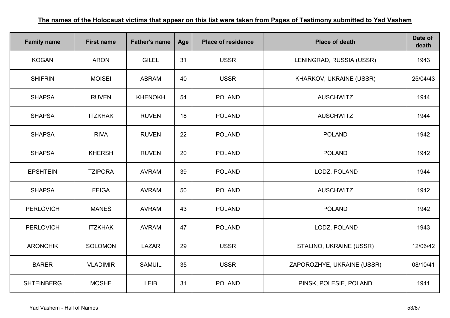| <b>Family name</b> | <b>First name</b> | <b>Father's name</b> | Age | <b>Place of residence</b> | <b>Place of death</b>      | Date of<br>death |
|--------------------|-------------------|----------------------|-----|---------------------------|----------------------------|------------------|
| <b>KOGAN</b>       | <b>ARON</b>       | <b>GILEL</b>         | 31  | <b>USSR</b>               | LENINGRAD, RUSSIA (USSR)   | 1943             |
| <b>SHIFRIN</b>     | <b>MOISEI</b>     | <b>ABRAM</b>         | 40  | <b>USSR</b>               | KHARKOV, UKRAINE (USSR)    | 25/04/43         |
| <b>SHAPSA</b>      | <b>RUVEN</b>      | <b>KHENOKH</b>       | 54  | <b>POLAND</b>             | <b>AUSCHWITZ</b>           | 1944             |
| <b>SHAPSA</b>      | <b>ITZKHAK</b>    | <b>RUVEN</b>         | 18  | <b>POLAND</b>             | <b>AUSCHWITZ</b>           | 1944             |
| <b>SHAPSA</b>      | <b>RIVA</b>       | <b>RUVEN</b>         | 22  | <b>POLAND</b>             | <b>POLAND</b>              | 1942             |
| <b>SHAPSA</b>      | <b>KHERSH</b>     | <b>RUVEN</b>         | 20  | <b>POLAND</b>             | <b>POLAND</b>              | 1942             |
| <b>EPSHTEIN</b>    | <b>TZIPORA</b>    | <b>AVRAM</b>         | 39  | <b>POLAND</b>             | LODZ, POLAND               | 1944             |
| <b>SHAPSA</b>      | <b>FEIGA</b>      | <b>AVRAM</b>         | 50  | <b>POLAND</b>             | <b>AUSCHWITZ</b>           | 1942             |
| <b>PERLOVICH</b>   | <b>MANES</b>      | <b>AVRAM</b>         | 43  | <b>POLAND</b>             | <b>POLAND</b>              | 1942             |
| <b>PERLOVICH</b>   | <b>ITZKHAK</b>    | <b>AVRAM</b>         | 47  | <b>POLAND</b>             | LODZ, POLAND               | 1943             |
| <b>ARONCHIK</b>    | <b>SOLOMON</b>    | <b>LAZAR</b>         | 29  | <b>USSR</b>               | STALINO, UKRAINE (USSR)    | 12/06/42         |
| <b>BARER</b>       | <b>VLADIMIR</b>   | <b>SAMUIL</b>        | 35  | <b>USSR</b>               | ZAPOROZHYE, UKRAINE (USSR) | 08/10/41         |
| <b>SHTEINBERG</b>  | <b>MOSHE</b>      | <b>LEIB</b>          | 31  | <b>POLAND</b>             | PINSK, POLESIE, POLAND     | 1941             |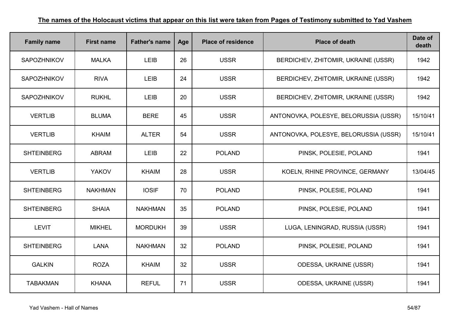| <b>Family name</b> | <b>First name</b> | <b>Father's name</b> | Age | <b>Place of residence</b> | <b>Place of death</b>                 | Date of<br>death |
|--------------------|-------------------|----------------------|-----|---------------------------|---------------------------------------|------------------|
| <b>SAPOZHNIKOV</b> | <b>MALKA</b>      | <b>LEIB</b>          | 26  | <b>USSR</b>               | BERDICHEV, ZHITOMIR, UKRAINE (USSR)   | 1942             |
| <b>SAPOZHNIKOV</b> | <b>RIVA</b>       | <b>LEIB</b>          | 24  | <b>USSR</b>               | BERDICHEV, ZHITOMIR, UKRAINE (USSR)   | 1942             |
| <b>SAPOZHNIKOV</b> | <b>RUKHL</b>      | <b>LEIB</b>          | 20  | <b>USSR</b>               | BERDICHEV, ZHITOMIR, UKRAINE (USSR)   | 1942             |
| <b>VERTLIB</b>     | <b>BLUMA</b>      | <b>BERE</b>          | 45  | <b>USSR</b>               | ANTONOVKA, POLESYE, BELORUSSIA (USSR) | 15/10/41         |
| <b>VERTLIB</b>     | <b>KHAIM</b>      | <b>ALTER</b>         | 54  | <b>USSR</b>               | ANTONOVKA, POLESYE, BELORUSSIA (USSR) | 15/10/41         |
| <b>SHTEINBERG</b>  | <b>ABRAM</b>      | <b>LEIB</b>          | 22  | <b>POLAND</b>             | PINSK, POLESIE, POLAND                | 1941             |
| <b>VERTLIB</b>     | <b>YAKOV</b>      | <b>KHAIM</b>         | 28  | <b>USSR</b>               | KOELN, RHINE PROVINCE, GERMANY        | 13/04/45         |
| <b>SHTEINBERG</b>  | <b>NAKHMAN</b>    | <b>IOSIF</b>         | 70  | <b>POLAND</b>             | PINSK, POLESIE, POLAND                | 1941             |
| <b>SHTEINBERG</b>  | <b>SHAIA</b>      | <b>NAKHMAN</b>       | 35  | <b>POLAND</b>             | PINSK, POLESIE, POLAND                | 1941             |
| <b>LEVIT</b>       | <b>MIKHEL</b>     | <b>MORDUKH</b>       | 39  | <b>USSR</b>               | LUGA, LENINGRAD, RUSSIA (USSR)        | 1941             |
| <b>SHTEINBERG</b>  | <b>LANA</b>       | <b>NAKHMAN</b>       | 32  | <b>POLAND</b>             | PINSK, POLESIE, POLAND                | 1941             |
| <b>GALKIN</b>      | <b>ROZA</b>       | <b>KHAIM</b>         | 32  | <b>USSR</b>               | <b>ODESSA, UKRAINE (USSR)</b>         | 1941             |
| <b>TABAKMAN</b>    | <b>KHANA</b>      | <b>REFUL</b>         | 71  | <b>USSR</b>               | <b>ODESSA, UKRAINE (USSR)</b>         | 1941             |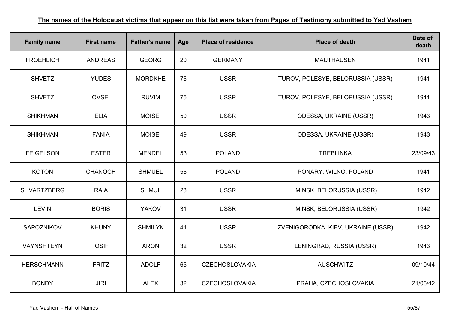| <b>Family name</b> | <b>First name</b> | <b>Father's name</b> | Age | <b>Place of residence</b> | <b>Place of death</b>              | Date of<br>death |
|--------------------|-------------------|----------------------|-----|---------------------------|------------------------------------|------------------|
| <b>FROEHLICH</b>   | <b>ANDREAS</b>    | <b>GEORG</b>         | 20  | <b>GERMANY</b>            | <b>MAUTHAUSEN</b>                  | 1941             |
| <b>SHVETZ</b>      | <b>YUDES</b>      | <b>MORDKHE</b>       | 76  | <b>USSR</b>               | TUROV, POLESYE, BELORUSSIA (USSR)  | 1941             |
| <b>SHVETZ</b>      | <b>OVSEI</b>      | <b>RUVIM</b>         | 75  | <b>USSR</b>               | TUROV, POLESYE, BELORUSSIA (USSR)  | 1941             |
| <b>SHIKHMAN</b>    | <b>ELIA</b>       | <b>MOISEI</b>        | 50  | <b>USSR</b>               | ODESSA, UKRAINE (USSR)             | 1943             |
| <b>SHIKHMAN</b>    | <b>FANIA</b>      | <b>MOISEI</b>        | 49  | <b>USSR</b>               | <b>ODESSA, UKRAINE (USSR)</b>      | 1943             |
| <b>FEIGELSON</b>   | <b>ESTER</b>      | <b>MENDEL</b>        | 53  | <b>POLAND</b>             | <b>TREBLINKA</b>                   | 23/09/43         |
| <b>KOTON</b>       | <b>CHANOCH</b>    | <b>SHMUEL</b>        | 56  | <b>POLAND</b>             | PONARY, WILNO, POLAND              | 1941             |
| <b>SHVARTZBERG</b> | <b>RAIA</b>       | <b>SHMUL</b>         | 23  | <b>USSR</b>               | MINSK, BELORUSSIA (USSR)           | 1942             |
| <b>LEVIN</b>       | <b>BORIS</b>      | <b>YAKOV</b>         | 31  | <b>USSR</b>               | MINSK, BELORUSSIA (USSR)           | 1942             |
| SAPOZNIKOV         | <b>KHUNY</b>      | <b>SHMILYK</b>       | 41  | <b>USSR</b>               | ZVENIGORODKA, KIEV, UKRAINE (USSR) | 1942             |
| VAYNSHTEYN         | <b>IOSIF</b>      | <b>ARON</b>          | 32  | <b>USSR</b>               | LENINGRAD, RUSSIA (USSR)           | 1943             |
| <b>HERSCHMANN</b>  | <b>FRITZ</b>      | <b>ADOLF</b>         | 65  | <b>CZECHOSLOVAKIA</b>     | <b>AUSCHWITZ</b>                   | 09/10/44         |
| <b>BONDY</b>       | <b>JIRI</b>       | <b>ALEX</b>          | 32  | <b>CZECHOSLOVAKIA</b>     | PRAHA, CZECHOSLOVAKIA              | 21/06/42         |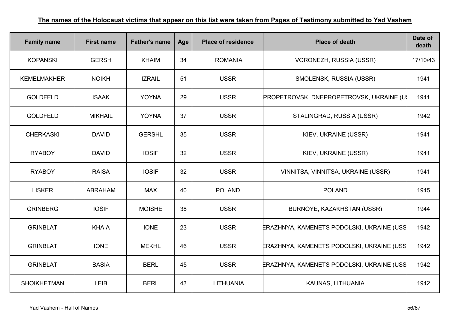| <b>Family name</b> | <b>First name</b> | <b>Father's name</b> | Age | <b>Place of residence</b> | <b>Place of death</b>                           | Date of<br>death |
|--------------------|-------------------|----------------------|-----|---------------------------|-------------------------------------------------|------------------|
| <b>KOPANSKI</b>    | <b>GERSH</b>      | <b>KHAIM</b>         | 34  | <b>ROMANIA</b>            | VORONEZH, RUSSIA (USSR)                         | 17/10/43         |
| <b>KEMELMAKHER</b> | <b>NOIKH</b>      | <b>IZRAIL</b>        | 51  | <b>USSR</b>               | SMOLENSK, RUSSIA (USSR)                         | 1941             |
| <b>GOLDFELD</b>    | <b>ISAAK</b>      | <b>YOYNA</b>         | 29  | <b>USSR</b>               | <b>PROPETROVSK, DNEPROPETROVSK, UKRAINE (U)</b> | 1941             |
| <b>GOLDFELD</b>    | <b>MIKHAIL</b>    | <b>YOYNA</b>         | 37  | <b>USSR</b>               | STALINGRAD, RUSSIA (USSR)                       | 1942             |
| <b>CHERKASKI</b>   | <b>DAVID</b>      | <b>GERSHL</b>        | 35  | <b>USSR</b>               | KIEV, UKRAINE (USSR)                            | 1941             |
| <b>RYABOY</b>      | <b>DAVID</b>      | <b>IOSIF</b>         | 32  | <b>USSR</b>               | KIEV, UKRAINE (USSR)                            | 1941             |
| <b>RYABOY</b>      | <b>RAISA</b>      | <b>IOSIF</b>         | 32  | <b>USSR</b>               | VINNITSA, VINNITSA, UKRAINE (USSR)              | 1941             |
| <b>LISKER</b>      | ABRAHAM           | <b>MAX</b>           | 40  | <b>POLAND</b>             | <b>POLAND</b>                                   | 1945             |
| <b>GRINBERG</b>    | <b>IOSIF</b>      | <b>MOISHE</b>        | 38  | <b>USSR</b>               | BURNOYE, KAZAKHSTAN (USSR)                      | 1944             |
| <b>GRINBLAT</b>    | <b>KHAIA</b>      | <b>IONE</b>          | 23  | <b>USSR</b>               | ERAZHNYA, KAMENETS PODOLSKI, UKRAINE (USS       | 1942             |
| <b>GRINBLAT</b>    | <b>IONE</b>       | <b>MEKHL</b>         | 46  | <b>USSR</b>               | ERAZHNYA, KAMENETS PODOLSKI, UKRAINE (USS       | 1942             |
| <b>GRINBLAT</b>    | <b>BASIA</b>      | <b>BERL</b>          | 45  | <b>USSR</b>               | ERAZHNYA, KAMENETS PODOLSKI, UKRAINE (USS       | 1942             |
| <b>SHOIKHETMAN</b> | LEIB              | <b>BERL</b>          | 43  | LITHUANIA                 | KAUNAS, LITHUANIA                               | 1942             |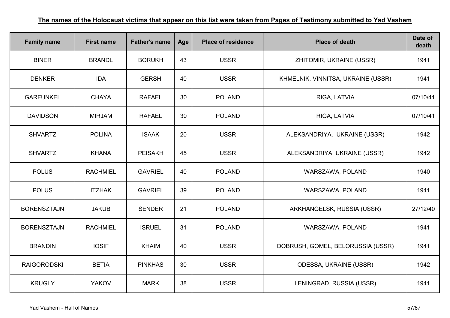| <b>Family name</b> | <b>First name</b> | <b>Father's name</b> | Age | <b>Place of residence</b> | <b>Place of death</b>              | Date of<br>death |
|--------------------|-------------------|----------------------|-----|---------------------------|------------------------------------|------------------|
| <b>BINER</b>       | <b>BRANDL</b>     | <b>BORUKH</b>        | 43  | <b>USSR</b>               | ZHITOMIR, UKRAINE (USSR)           | 1941             |
| <b>DENKER</b>      | <b>IDA</b>        | <b>GERSH</b>         | 40  | <b>USSR</b>               | KHMELNIK, VINNITSA, UKRAINE (USSR) | 1941             |
| <b>GARFUNKEL</b>   | <b>CHAYA</b>      | <b>RAFAEL</b>        | 30  | <b>POLAND</b>             | RIGA, LATVIA                       | 07/10/41         |
| <b>DAVIDSON</b>    | <b>MIRJAM</b>     | <b>RAFAEL</b>        | 30  | <b>POLAND</b>             | RIGA, LATVIA                       | 07/10/41         |
| <b>SHVARTZ</b>     | <b>POLINA</b>     | <b>ISAAK</b>         | 20  | <b>USSR</b>               | ALEKSANDRIYA, UKRAINE (USSR)       | 1942             |
| <b>SHVARTZ</b>     | <b>KHANA</b>      | <b>PEISAKH</b>       | 45  | <b>USSR</b>               | ALEKSANDRIYA, UKRAINE (USSR)       | 1942             |
| <b>POLUS</b>       | <b>RACHMIEL</b>   | <b>GAVRIEL</b>       | 40  | <b>POLAND</b>             | WARSZAWA, POLAND                   | 1940             |
| <b>POLUS</b>       | <b>ITZHAK</b>     | <b>GAVRIEL</b>       | 39  | <b>POLAND</b>             | WARSZAWA, POLAND                   | 1941             |
| <b>BORENSZTAJN</b> | <b>JAKUB</b>      | <b>SENDER</b>        | 21  | <b>POLAND</b>             | ARKHANGELSK, RUSSIA (USSR)         | 27/12/40         |
| <b>BORENSZTAJN</b> | <b>RACHMIEL</b>   | <b>ISRUEL</b>        | 31  | <b>POLAND</b>             | WARSZAWA, POLAND                   | 1941             |
| <b>BRANDIN</b>     | <b>IOSIF</b>      | <b>KHAIM</b>         | 40  | <b>USSR</b>               | DOBRUSH, GOMEL, BELORUSSIA (USSR)  | 1941             |
| <b>RAIGORODSKI</b> | <b>BETIA</b>      | <b>PINKHAS</b>       | 30  | <b>USSR</b>               | <b>ODESSA, UKRAINE (USSR)</b>      | 1942             |
| <b>KRUGLY</b>      | <b>YAKOV</b>      | <b>MARK</b>          | 38  | <b>USSR</b>               | LENINGRAD, RUSSIA (USSR)           | 1941             |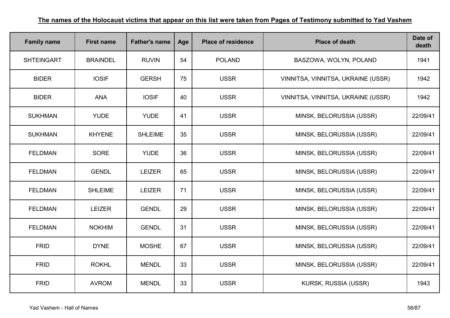| <b>Family name</b> | <b>First name</b> | <b>Father's name</b> | Age | <b>Place of residence</b> | <b>Place of death</b>              | Date of<br>death |
|--------------------|-------------------|----------------------|-----|---------------------------|------------------------------------|------------------|
| <b>SHTEINGART</b>  | <b>BRAINDEL</b>   | <b>RUVIN</b>         | 54  | <b>POLAND</b>             | BASZOWA, WOLYN, POLAND             | 1941             |
| <b>BIDER</b>       | <b>IOSIF</b>      | <b>GERSH</b>         | 75  | <b>USSR</b>               | VINNITSA, VINNITSA, UKRAINE (USSR) | 1942             |
| <b>BIDER</b>       | <b>ANA</b>        | <b>IOSIF</b>         | 40  | <b>USSR</b>               | VINNITSA, VINNITSA, UKRAINE (USSR) | 1942             |
| <b>SUKHMAN</b>     | <b>YUDE</b>       | <b>YUDE</b>          | 41  | <b>USSR</b>               | MINSK, BELORUSSIA (USSR)           | 22/09/41         |
| <b>SUKHMAN</b>     | <b>KHYENE</b>     | <b>SHLEIME</b>       | 35  | <b>USSR</b>               | MINSK, BELORUSSIA (USSR)           | 22/09/41         |
| <b>FELDMAN</b>     | <b>SORE</b>       | <b>YUDE</b>          | 36  | <b>USSR</b>               | MINSK, BELORUSSIA (USSR)           | 22/09/41         |
| <b>FELDMAN</b>     | <b>GENDL</b>      | <b>LEIZER</b>        | 65  | <b>USSR</b>               | MINSK, BELORUSSIA (USSR)           | 22/09/41         |
| <b>FELDMAN</b>     | <b>SHLEIME</b>    | <b>LEIZER</b>        | 71  | <b>USSR</b>               | MINSK, BELORUSSIA (USSR)           | 22/09/41         |
| <b>FELDMAN</b>     | <b>LEIZER</b>     | <b>GENDL</b>         | 29  | <b>USSR</b>               | MINSK, BELORUSSIA (USSR)           | 22/09/41         |
| <b>FELDMAN</b>     | <b>NOKHIM</b>     | <b>GENDL</b>         | 31  | <b>USSR</b>               | MINSK, BELORUSSIA (USSR)           | 22/09/41         |
| <b>FRID</b>        | <b>DYNE</b>       | <b>MOSHE</b>         | 67  | <b>USSR</b>               | MINSK, BELORUSSIA (USSR)           | 22/09/41         |
| <b>FRID</b>        | <b>ROKHL</b>      | <b>MENDL</b>         | 33  | <b>USSR</b>               | MINSK, BELORUSSIA (USSR)           | 22/09/41         |
| <b>FRID</b>        | <b>AVROM</b>      | <b>MENDL</b>         | 33  | <b>USSR</b>               | KURSK, RUSSIA (USSR)               | 1943             |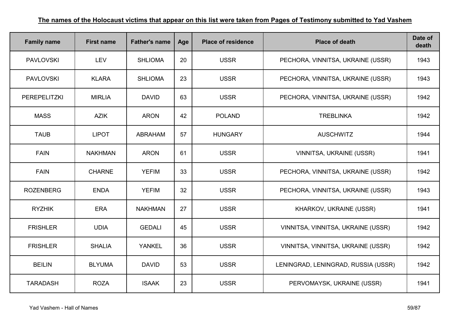| <b>Family name</b>  | <b>First name</b> | <b>Father's name</b> | Age | <b>Place of residence</b> | <b>Place of death</b>               | Date of<br>death |
|---------------------|-------------------|----------------------|-----|---------------------------|-------------------------------------|------------------|
| <b>PAVLOVSKI</b>    | <b>LEV</b>        | <b>SHLIOMA</b>       | 20  | <b>USSR</b>               | PECHORA, VINNITSA, UKRAINE (USSR)   | 1943             |
| <b>PAVLOVSKI</b>    | <b>KLARA</b>      | <b>SHLIOMA</b>       | 23  | <b>USSR</b>               | PECHORA, VINNITSA, UKRAINE (USSR)   | 1943             |
| <b>PEREPELITZKI</b> | <b>MIRLIA</b>     | <b>DAVID</b>         | 63  | <b>USSR</b>               | PECHORA, VINNITSA, UKRAINE (USSR)   | 1942             |
| <b>MASS</b>         | <b>AZIK</b>       | <b>ARON</b>          | 42  | <b>POLAND</b>             | <b>TREBLINKA</b>                    | 1942             |
| <b>TAUB</b>         | <b>LIPOT</b>      | <b>ABRAHAM</b>       | 57  | <b>HUNGARY</b>            | <b>AUSCHWITZ</b>                    | 1944             |
| <b>FAIN</b>         | <b>NAKHMAN</b>    | <b>ARON</b>          | 61  | <b>USSR</b>               | <b>VINNITSA, UKRAINE (USSR)</b>     | 1941             |
| <b>FAIN</b>         | <b>CHARNE</b>     | <b>YEFIM</b>         | 33  | <b>USSR</b>               | PECHORA, VINNITSA, UKRAINE (USSR)   | 1942             |
| <b>ROZENBERG</b>    | <b>ENDA</b>       | <b>YEFIM</b>         | 32  | <b>USSR</b>               | PECHORA, VINNITSA, UKRAINE (USSR)   | 1943             |
| <b>RYZHIK</b>       | <b>ERA</b>        | <b>NAKHMAN</b>       | 27  | <b>USSR</b>               | KHARKOV, UKRAINE (USSR)             | 1941             |
| <b>FRISHLER</b>     | <b>UDIA</b>       | <b>GEDALI</b>        | 45  | <b>USSR</b>               | VINNITSA, VINNITSA, UKRAINE (USSR)  | 1942             |
| <b>FRISHLER</b>     | <b>SHALIA</b>     | <b>YANKEL</b>        | 36  | <b>USSR</b>               | VINNITSA, VINNITSA, UKRAINE (USSR)  | 1942             |
| <b>BEILIN</b>       | <b>BLYUMA</b>     | <b>DAVID</b>         | 53  | <b>USSR</b>               | LENINGRAD, LENINGRAD, RUSSIA (USSR) | 1942             |
| <b>TARADASH</b>     | <b>ROZA</b>       | <b>ISAAK</b>         | 23  | <b>USSR</b>               | PERVOMAYSK, UKRAINE (USSR)          | 1941             |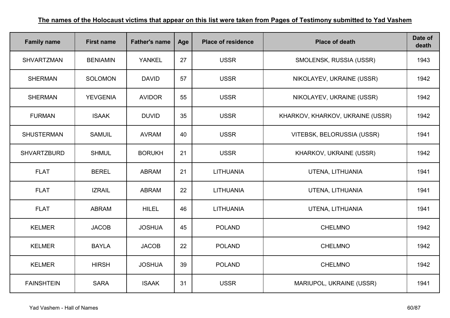| <b>Family name</b> | <b>First name</b> | <b>Father's name</b> | Age | <b>Place of residence</b> | <b>Place of death</b>            | Date of<br>death |
|--------------------|-------------------|----------------------|-----|---------------------------|----------------------------------|------------------|
| <b>SHVARTZMAN</b>  | <b>BENIAMIN</b>   | <b>YANKEL</b>        | 27  | <b>USSR</b>               | SMOLENSK, RUSSIA (USSR)          | 1943             |
| <b>SHERMAN</b>     | <b>SOLOMON</b>    | <b>DAVID</b>         | 57  | <b>USSR</b>               | NIKOLAYEV, UKRAINE (USSR)        | 1942             |
| <b>SHERMAN</b>     | <b>YEVGENIA</b>   | <b>AVIDOR</b>        | 55  | <b>USSR</b>               | NIKOLAYEV, UKRAINE (USSR)        | 1942             |
| <b>FURMAN</b>      | <b>ISAAK</b>      | <b>DUVID</b>         | 35  | <b>USSR</b>               | KHARKOV, KHARKOV, UKRAINE (USSR) | 1942             |
| <b>SHUSTERMAN</b>  | <b>SAMUIL</b>     | <b>AVRAM</b>         | 40  | <b>USSR</b>               | VITEBSK, BELORUSSIA (USSR)       | 1941             |
| <b>SHVARTZBURD</b> | <b>SHMUL</b>      | <b>BORUKH</b>        | 21  | <b>USSR</b>               | KHARKOV, UKRAINE (USSR)          | 1942             |
| <b>FLAT</b>        | <b>BEREL</b>      | <b>ABRAM</b>         | 21  | LITHUANIA                 | UTENA, LITHUANIA                 | 1941             |
| <b>FLAT</b>        | <b>IZRAIL</b>     | <b>ABRAM</b>         | 22  | <b>LITHUANIA</b>          | UTENA, LITHUANIA                 | 1941             |
| <b>FLAT</b>        | <b>ABRAM</b>      | <b>HILEL</b>         | 46  | <b>LITHUANIA</b>          | UTENA, LITHUANIA                 | 1941             |
| <b>KELMER</b>      | <b>JACOB</b>      | <b>JOSHUA</b>        | 45  | <b>POLAND</b>             | <b>CHELMNO</b>                   | 1942             |
| <b>KELMER</b>      | <b>BAYLA</b>      | <b>JACOB</b>         | 22  | <b>POLAND</b>             | <b>CHELMNO</b>                   | 1942             |
| <b>KELMER</b>      | <b>HIRSH</b>      | <b>JOSHUA</b>        | 39  | <b>POLAND</b>             | <b>CHELMNO</b>                   | 1942             |
| <b>FAINSHTEIN</b>  | <b>SARA</b>       | <b>ISAAK</b>         | 31  | <b>USSR</b>               | MARIUPOL, UKRAINE (USSR)         | 1941             |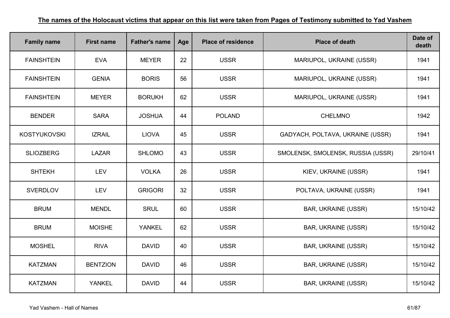| <b>Family name</b>  | <b>First name</b> | <b>Father's name</b> | Age | <b>Place of residence</b> | <b>Place of death</b>             | Date of<br>death |
|---------------------|-------------------|----------------------|-----|---------------------------|-----------------------------------|------------------|
| <b>FAINSHTEIN</b>   | <b>EVA</b>        | <b>MEYER</b>         | 22  | <b>USSR</b>               | MARIUPOL, UKRAINE (USSR)          | 1941             |
| <b>FAINSHTEIN</b>   | <b>GENIA</b>      | <b>BORIS</b>         | 56  | <b>USSR</b>               | MARIUPOL, UKRAINE (USSR)          | 1941             |
| <b>FAINSHTEIN</b>   | <b>MEYER</b>      | <b>BORUKH</b>        | 62  | <b>USSR</b>               | MARIUPOL, UKRAINE (USSR)          | 1941             |
| <b>BENDER</b>       | <b>SARA</b>       | <b>JOSHUA</b>        | 44  | <b>POLAND</b>             | <b>CHELMNO</b>                    | 1942             |
| <b>KOSTYUKOVSKI</b> | <b>IZRAIL</b>     | <b>LIOVA</b>         | 45  | <b>USSR</b>               | GADYACH, POLTAVA, UKRAINE (USSR)  | 1941             |
| <b>SLIOZBERG</b>    | <b>LAZAR</b>      | <b>SHLOMO</b>        | 43  | <b>USSR</b>               | SMOLENSK, SMOLENSK, RUSSIA (USSR) | 29/10/41         |
| <b>SHTEKH</b>       | <b>LEV</b>        | <b>VOLKA</b>         | 26  | <b>USSR</b>               | KIEV, UKRAINE (USSR)              | 1941             |
| <b>SVERDLOV</b>     | <b>LEV</b>        | <b>GRIGORI</b>       | 32  | <b>USSR</b>               | POLTAVA, UKRAINE (USSR)           | 1941             |
| <b>BRUM</b>         | <b>MENDL</b>      | <b>SRUL</b>          | 60  | <b>USSR</b>               | <b>BAR, UKRAINE (USSR)</b>        | 15/10/42         |
| <b>BRUM</b>         | <b>MOISHE</b>     | <b>YANKEL</b>        | 62  | <b>USSR</b>               | <b>BAR, UKRAINE (USSR)</b>        | 15/10/42         |
| <b>MOSHEL</b>       | <b>RIVA</b>       | <b>DAVID</b>         | 40  | <b>USSR</b>               | <b>BAR, UKRAINE (USSR)</b>        | 15/10/42         |
| <b>KATZMAN</b>      | <b>BENTZION</b>   | <b>DAVID</b>         | 46  | <b>USSR</b>               | <b>BAR, UKRAINE (USSR)</b>        | 15/10/42         |
| <b>KATZMAN</b>      | <b>YANKEL</b>     | <b>DAVID</b>         | 44  | <b>USSR</b>               | <b>BAR, UKRAINE (USSR)</b>        | 15/10/42         |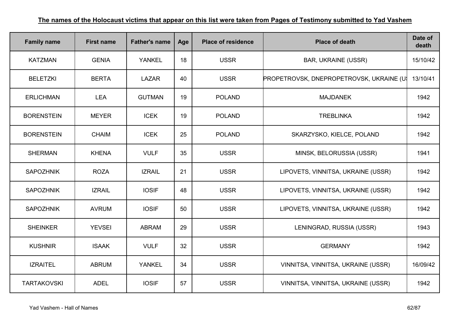| <b>Family name</b> | <b>First name</b> | <b>Father's name</b> | Age | <b>Place of residence</b> | <b>Place of death</b>                    | Date of<br>death |
|--------------------|-------------------|----------------------|-----|---------------------------|------------------------------------------|------------------|
| <b>KATZMAN</b>     | <b>GENIA</b>      | <b>YANKEL</b>        | 18  | <b>USSR</b>               | <b>BAR, UKRAINE (USSR)</b>               | 15/10/42         |
| <b>BELETZKI</b>    | <b>BERTA</b>      | <b>LAZAR</b>         | 40  | <b>USSR</b>               | PROPETROVSK, DNEPROPETROVSK, UKRAINE (U) | 13/10/41         |
| <b>ERLICHMAN</b>   | <b>LEA</b>        | <b>GUTMAN</b>        | 19  | <b>POLAND</b>             | <b>MAJDANEK</b>                          | 1942             |
| <b>BORENSTEIN</b>  | <b>MEYER</b>      | <b>ICEK</b>          | 19  | <b>POLAND</b>             | <b>TREBLINKA</b>                         | 1942             |
| <b>BORENSTEIN</b>  | <b>CHAIM</b>      | <b>ICEK</b>          | 25  | <b>POLAND</b>             | SKARZYSKO, KIELCE, POLAND                | 1942             |
| <b>SHERMAN</b>     | <b>KHENA</b>      | <b>VULF</b>          | 35  | <b>USSR</b>               | MINSK, BELORUSSIA (USSR)                 | 1941             |
| <b>SAPOZHNIK</b>   | <b>ROZA</b>       | <b>IZRAIL</b>        | 21  | <b>USSR</b>               | LIPOVETS, VINNITSA, UKRAINE (USSR)       | 1942             |
| <b>SAPOZHNIK</b>   | <b>IZRAIL</b>     | <b>IOSIF</b>         | 48  | <b>USSR</b>               | LIPOVETS, VINNITSA, UKRAINE (USSR)       | 1942             |
| <b>SAPOZHNIK</b>   | <b>AVRUM</b>      | <b>IOSIF</b>         | 50  | <b>USSR</b>               | LIPOVETS, VINNITSA, UKRAINE (USSR)       | 1942             |
| <b>SHEINKER</b>    | <b>YEVSEI</b>     | <b>ABRAM</b>         | 29  | <b>USSR</b>               | LENINGRAD, RUSSIA (USSR)                 | 1943             |
| <b>KUSHNIR</b>     | <b>ISAAK</b>      | <b>VULF</b>          | 32  | <b>USSR</b>               | <b>GERMANY</b>                           | 1942             |
| <b>IZRAITEL</b>    | <b>ABRUM</b>      | <b>YANKEL</b>        | 34  | <b>USSR</b>               | VINNITSA, VINNITSA, UKRAINE (USSR)       | 16/09/42         |
| <b>TARTAKOVSKI</b> | <b>ADEL</b>       | <b>IOSIF</b>         | 57  | <b>USSR</b>               | VINNITSA, VINNITSA, UKRAINE (USSR)       | 1942             |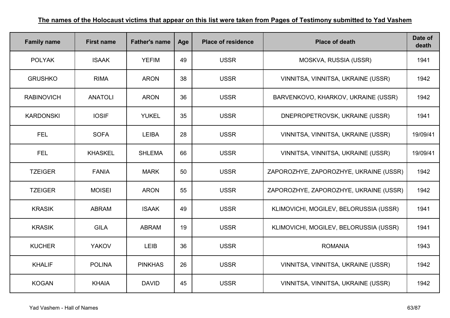| <b>Family name</b> | <b>First name</b> | <b>Father's name</b> | Age | <b>Place of residence</b> | <b>Place of death</b>                  | Date of<br>death |
|--------------------|-------------------|----------------------|-----|---------------------------|----------------------------------------|------------------|
| <b>POLYAK</b>      | <b>ISAAK</b>      | <b>YEFIM</b>         | 49  | <b>USSR</b>               | MOSKVA, RUSSIA (USSR)                  | 1941             |
| <b>GRUSHKO</b>     | <b>RIMA</b>       | <b>ARON</b>          | 38  | <b>USSR</b>               | VINNITSA, VINNITSA, UKRAINE (USSR)     | 1942             |
| <b>RABINOVICH</b>  | <b>ANATOLI</b>    | <b>ARON</b>          | 36  | <b>USSR</b>               | BARVENKOVO, KHARKOV, UKRAINE (USSR)    | 1942             |
| <b>KARDONSKI</b>   | <b>IOSIF</b>      | <b>YUKEL</b>         | 35  | <b>USSR</b>               | DNEPROPETROVSK, UKRAINE (USSR)         | 1941             |
| <b>FEL</b>         | <b>SOFA</b>       | <b>LEIBA</b>         | 28  | <b>USSR</b>               | VINNITSA, VINNITSA, UKRAINE (USSR)     | 19/09/41         |
| <b>FEL</b>         | <b>KHASKEL</b>    | <b>SHLEMA</b>        | 66  | <b>USSR</b>               | VINNITSA, VINNITSA, UKRAINE (USSR)     | 19/09/41         |
| <b>TZEIGER</b>     | <b>FANIA</b>      | <b>MARK</b>          | 50  | <b>USSR</b>               | ZAPOROZHYE, ZAPOROZHYE, UKRAINE (USSR) | 1942             |
| <b>TZEIGER</b>     | <b>MOISEI</b>     | <b>ARON</b>          | 55  | <b>USSR</b>               | ZAPOROZHYE, ZAPOROZHYE, UKRAINE (USSR) | 1942             |
| <b>KRASIK</b>      | <b>ABRAM</b>      | <b>ISAAK</b>         | 49  | <b>USSR</b>               | KLIMOVICHI, MOGILEV, BELORUSSIA (USSR) | 1941             |
| <b>KRASIK</b>      | <b>GILA</b>       | <b>ABRAM</b>         | 19  | <b>USSR</b>               | KLIMOVICHI, MOGILEV, BELORUSSIA (USSR) | 1941             |
| <b>KUCHER</b>      | <b>YAKOV</b>      | <b>LEIB</b>          | 36  | <b>USSR</b>               | <b>ROMANIA</b>                         | 1943             |
| <b>KHALIF</b>      | <b>POLINA</b>     | <b>PINKHAS</b>       | 26  | <b>USSR</b>               | VINNITSA, VINNITSA, UKRAINE (USSR)     | 1942             |
| <b>KOGAN</b>       | <b>KHAIA</b>      | <b>DAVID</b>         | 45  | <b>USSR</b>               | VINNITSA, VINNITSA, UKRAINE (USSR)     | 1942             |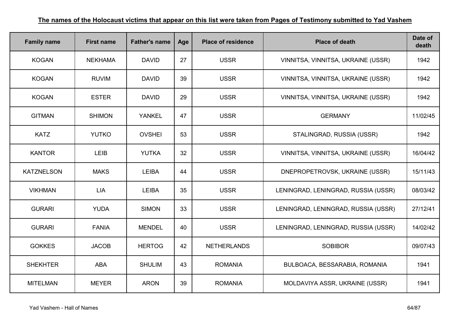| <b>Family name</b> | <b>First name</b> | <b>Father's name</b> | Age | <b>Place of residence</b> | <b>Place of death</b>               | Date of<br>death |
|--------------------|-------------------|----------------------|-----|---------------------------|-------------------------------------|------------------|
| <b>KOGAN</b>       | <b>NEKHAMA</b>    | <b>DAVID</b>         | 27  | <b>USSR</b>               | VINNITSA, VINNITSA, UKRAINE (USSR)  | 1942             |
| <b>KOGAN</b>       | <b>RUVIM</b>      | <b>DAVID</b>         | 39  | <b>USSR</b>               | VINNITSA, VINNITSA, UKRAINE (USSR)  | 1942             |
| <b>KOGAN</b>       | <b>ESTER</b>      | <b>DAVID</b>         | 29  | <b>USSR</b>               | VINNITSA, VINNITSA, UKRAINE (USSR)  | 1942             |
| <b>GITMAN</b>      | <b>SHIMON</b>     | <b>YANKEL</b>        | 47  | <b>USSR</b>               | <b>GERMANY</b>                      | 11/02/45         |
| <b>KATZ</b>        | <b>YUTKO</b>      | <b>OVSHEI</b>        | 53  | <b>USSR</b>               | STALINGRAD, RUSSIA (USSR)           | 1942             |
| <b>KANTOR</b>      | LEIB              | <b>YUTKA</b>         | 32  | <b>USSR</b>               | VINNITSA, VINNITSA, UKRAINE (USSR)  | 16/04/42         |
| <b>KATZNELSON</b>  | <b>MAKS</b>       | <b>LEIBA</b>         | 44  | <b>USSR</b>               | DNEPROPETROVSK, UKRAINE (USSR)      | 15/11/43         |
| <b>VIKHMAN</b>     | <b>LIA</b>        | <b>LEIBA</b>         | 35  | <b>USSR</b>               | LENINGRAD, LENINGRAD, RUSSIA (USSR) | 08/03/42         |
| <b>GURARI</b>      | <b>YUDA</b>       | <b>SIMON</b>         | 33  | <b>USSR</b>               | LENINGRAD, LENINGRAD, RUSSIA (USSR) | 27/12/41         |
| <b>GURARI</b>      | <b>FANIA</b>      | <b>MENDEL</b>        | 40  | <b>USSR</b>               | LENINGRAD, LENINGRAD, RUSSIA (USSR) | 14/02/42         |
| <b>GOKKES</b>      | <b>JACOB</b>      | <b>HERTOG</b>        | 42  | <b>NETHERLANDS</b>        | <b>SOBIBOR</b>                      | 09/07/43         |
| <b>SHEKHTER</b>    | <b>ABA</b>        | <b>SHULIM</b>        | 43  | <b>ROMANIA</b>            | BULBOACA, BESSARABIA, ROMANIA       | 1941             |
| <b>MITELMAN</b>    | <b>MEYER</b>      | <b>ARON</b>          | 39  | <b>ROMANIA</b>            | MOLDAVIYA ASSR, UKRAINE (USSR)      | 1941             |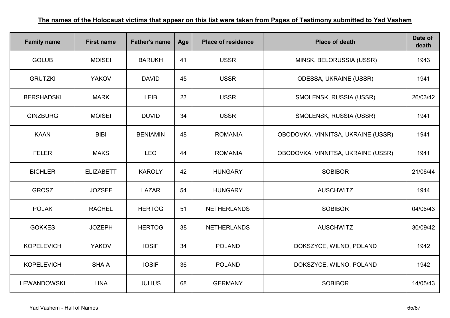| <b>Family name</b> | <b>First name</b> | <b>Father's name</b> | Age | <b>Place of residence</b> | <b>Place of death</b>              | Date of<br>death |
|--------------------|-------------------|----------------------|-----|---------------------------|------------------------------------|------------------|
| <b>GOLUB</b>       | <b>MOISEI</b>     | <b>BARUKH</b>        | 41  | <b>USSR</b>               | MINSK, BELORUSSIA (USSR)           | 1943             |
| <b>GRUTZKI</b>     | <b>YAKOV</b>      | <b>DAVID</b>         | 45  | <b>USSR</b>               | <b>ODESSA, UKRAINE (USSR)</b>      | 1941             |
| <b>BERSHADSKI</b>  | <b>MARK</b>       | <b>LEIB</b>          | 23  | <b>USSR</b>               | SMOLENSK, RUSSIA (USSR)            | 26/03/42         |
| <b>GINZBURG</b>    | <b>MOISEI</b>     | <b>DUVID</b>         | 34  | <b>USSR</b>               | SMOLENSK, RUSSIA (USSR)            | 1941             |
| <b>KAAN</b>        | <b>BIBI</b>       | <b>BENIAMIN</b>      | 48  | <b>ROMANIA</b>            | OBODOVKA, VINNITSA, UKRAINE (USSR) | 1941             |
| <b>FELER</b>       | <b>MAKS</b>       | <b>LEO</b>           | 44  | <b>ROMANIA</b>            | OBODOVKA, VINNITSA, UKRAINE (USSR) | 1941             |
| <b>BICHLER</b>     | <b>ELIZABETT</b>  | <b>KAROLY</b>        | 42  | <b>HUNGARY</b>            | <b>SOBIBOR</b>                     | 21/06/44         |
| <b>GROSZ</b>       | <b>JOZSEF</b>     | <b>LAZAR</b>         | 54  | <b>HUNGARY</b>            | <b>AUSCHWITZ</b>                   | 1944             |
| <b>POLAK</b>       | <b>RACHEL</b>     | <b>HERTOG</b>        | 51  | <b>NETHERLANDS</b>        | <b>SOBIBOR</b>                     | 04/06/43         |
| <b>GOKKES</b>      | <b>JOZEPH</b>     | <b>HERTOG</b>        | 38  | <b>NETHERLANDS</b>        | <b>AUSCHWITZ</b>                   | 30/09/42         |
| <b>KOPELEVICH</b>  | <b>YAKOV</b>      | <b>IOSIF</b>         | 34  | <b>POLAND</b>             | DOKSZYCE, WILNO, POLAND            | 1942             |
| <b>KOPELEVICH</b>  | <b>SHAIA</b>      | <b>IOSIF</b>         | 36  | <b>POLAND</b>             | DOKSZYCE, WILNO, POLAND            | 1942             |
| <b>LEWANDOWSKI</b> | <b>LINA</b>       | <b>JULIUS</b>        | 68  | <b>GERMANY</b>            | <b>SOBIBOR</b>                     | 14/05/43         |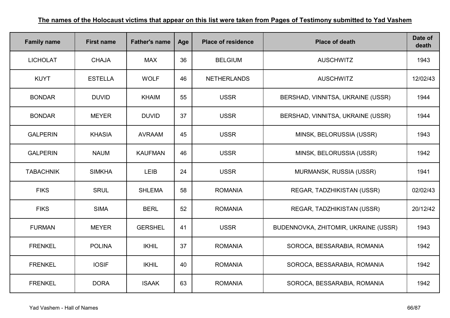| <b>Family name</b> | <b>First name</b> | <b>Father's name</b> | Age | <b>Place of residence</b> | <b>Place of death</b>                | Date of<br>death |
|--------------------|-------------------|----------------------|-----|---------------------------|--------------------------------------|------------------|
| <b>LICHOLAT</b>    | <b>CHAJA</b>      | <b>MAX</b>           | 36  | <b>BELGIUM</b>            | <b>AUSCHWITZ</b>                     | 1943             |
| <b>KUYT</b>        | <b>ESTELLA</b>    | <b>WOLF</b>          | 46  | <b>NETHERLANDS</b>        | <b>AUSCHWITZ</b>                     | 12/02/43         |
| <b>BONDAR</b>      | <b>DUVID</b>      | <b>KHAIM</b>         | 55  | <b>USSR</b>               | BERSHAD, VINNITSA, UKRAINE (USSR)    | 1944             |
| <b>BONDAR</b>      | <b>MEYER</b>      | <b>DUVID</b>         | 37  | <b>USSR</b>               | BERSHAD, VINNITSA, UKRAINE (USSR)    | 1944             |
| <b>GALPERIN</b>    | <b>KHASIA</b>     | <b>AVRAAM</b>        | 45  | <b>USSR</b>               | MINSK, BELORUSSIA (USSR)             | 1943             |
| <b>GALPERIN</b>    | <b>NAUM</b>       | <b>KAUFMAN</b>       | 46  | <b>USSR</b>               | MINSK, BELORUSSIA (USSR)             | 1942             |
| <b>TABACHNIK</b>   | <b>SIMKHA</b>     | <b>LEIB</b>          | 24  | <b>USSR</b>               | MURMANSK, RUSSIA (USSR)              | 1941             |
| <b>FIKS</b>        | <b>SRUL</b>       | <b>SHLEMA</b>        | 58  | <b>ROMANIA</b>            | REGAR, TADZHIKISTAN (USSR)           | 02/02/43         |
| <b>FIKS</b>        | <b>SIMA</b>       | <b>BERL</b>          | 52  | <b>ROMANIA</b>            | REGAR, TADZHIKISTAN (USSR)           | 20/12/42         |
| <b>FURMAN</b>      | <b>MEYER</b>      | <b>GERSHEL</b>       | 41  | <b>USSR</b>               | BUDENNOVKA, ZHITOMIR, UKRAINE (USSR) | 1943             |
| <b>FRENKEL</b>     | <b>POLINA</b>     | <b>IKHIL</b>         | 37  | <b>ROMANIA</b>            | SOROCA, BESSARABIA, ROMANIA          | 1942             |
| <b>FRENKEL</b>     | <b>IOSIF</b>      | <b>IKHIL</b>         | 40  | <b>ROMANIA</b>            | SOROCA, BESSARABIA, ROMANIA          | 1942             |
| <b>FRENKEL</b>     | <b>DORA</b>       | <b>ISAAK</b>         | 63  | <b>ROMANIA</b>            | SOROCA, BESSARABIA, ROMANIA          | 1942             |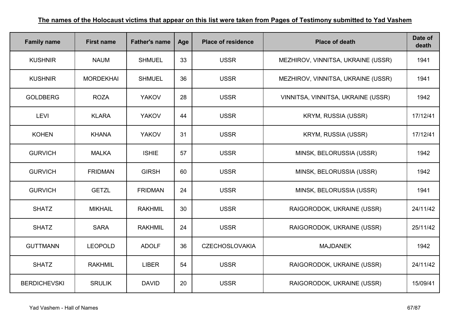| <b>Family name</b>  | <b>First name</b> | <b>Father's name</b> | Age | <b>Place of residence</b> | <b>Place of death</b>              | Date of<br>death |
|---------------------|-------------------|----------------------|-----|---------------------------|------------------------------------|------------------|
| <b>KUSHNIR</b>      | <b>NAUM</b>       | <b>SHMUEL</b>        | 33  | <b>USSR</b>               | MEZHIROV, VINNITSA, UKRAINE (USSR) | 1941             |
| <b>KUSHNIR</b>      | <b>MORDEKHAI</b>  | <b>SHMUEL</b>        | 36  | <b>USSR</b>               | MEZHIROV, VINNITSA, UKRAINE (USSR) | 1941             |
| <b>GOLDBERG</b>     | <b>ROZA</b>       | <b>YAKOV</b>         | 28  | <b>USSR</b>               | VINNITSA, VINNITSA, UKRAINE (USSR) | 1942             |
| <b>LEVI</b>         | <b>KLARA</b>      | <b>YAKOV</b>         | 44  | <b>USSR</b>               | <b>KRYM, RUSSIA (USSR)</b>         | 17/12/41         |
| <b>KOHEN</b>        | <b>KHANA</b>      | <b>YAKOV</b>         | 31  | <b>USSR</b>               | KRYM, RUSSIA (USSR)                | 17/12/41         |
| <b>GURVICH</b>      | <b>MALKA</b>      | <b>ISHIE</b>         | 57  | <b>USSR</b>               | MINSK, BELORUSSIA (USSR)           | 1942             |
| <b>GURVICH</b>      | <b>FRIDMAN</b>    | <b>GIRSH</b>         | 60  | <b>USSR</b>               | MINSK, BELORUSSIA (USSR)           | 1942             |
| <b>GURVICH</b>      | <b>GETZL</b>      | <b>FRIDMAN</b>       | 24  | <b>USSR</b>               | MINSK, BELORUSSIA (USSR)           | 1941             |
| <b>SHATZ</b>        | <b>MIKHAIL</b>    | <b>RAKHMIL</b>       | 30  | <b>USSR</b>               | RAIGORODOK, UKRAINE (USSR)         | 24/11/42         |
| <b>SHATZ</b>        | <b>SARA</b>       | <b>RAKHMIL</b>       | 24  | <b>USSR</b>               | RAIGORODOK, UKRAINE (USSR)         | 25/11/42         |
| <b>GUTTMANN</b>     | <b>LEOPOLD</b>    | <b>ADOLF</b>         | 36  | <b>CZECHOSLOVAKIA</b>     | <b>MAJDANEK</b>                    | 1942             |
| <b>SHATZ</b>        | <b>RAKHMIL</b>    | <b>LIBER</b>         | 54  | <b>USSR</b>               | RAIGORODOK, UKRAINE (USSR)         | 24/11/42         |
| <b>BERDICHEVSKI</b> | <b>SRULIK</b>     | <b>DAVID</b>         | 20  | <b>USSR</b>               | RAIGORODOK, UKRAINE (USSR)         | 15/09/41         |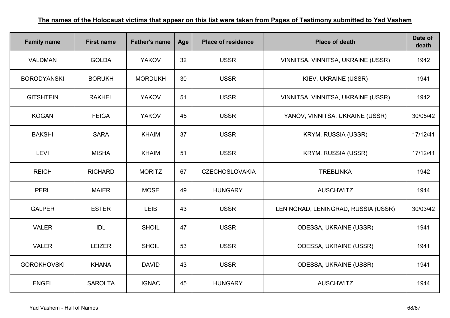| <b>Family name</b> | <b>First name</b> | <b>Father's name</b> | Age | <b>Place of residence</b> | <b>Place of death</b>               | Date of<br>death |
|--------------------|-------------------|----------------------|-----|---------------------------|-------------------------------------|------------------|
| <b>VALDMAN</b>     | <b>GOLDA</b>      | <b>YAKOV</b>         | 32  | <b>USSR</b>               | VINNITSA, VINNITSA, UKRAINE (USSR)  | 1942             |
| <b>BORODYANSKI</b> | <b>BORUKH</b>     | <b>MORDUKH</b>       | 30  | <b>USSR</b>               | KIEV, UKRAINE (USSR)                | 1941             |
| <b>GITSHTEIN</b>   | <b>RAKHEL</b>     | <b>YAKOV</b>         | 51  | <b>USSR</b>               | VINNITSA, VINNITSA, UKRAINE (USSR)  | 1942             |
| <b>KOGAN</b>       | <b>FEIGA</b>      | <b>YAKOV</b>         | 45  | <b>USSR</b>               | YANOV, VINNITSA, UKRAINE (USSR)     | 30/05/42         |
| <b>BAKSHI</b>      | <b>SARA</b>       | <b>KHAIM</b>         | 37  | <b>USSR</b>               | <b>KRYM, RUSSIA (USSR)</b>          | 17/12/41         |
| <b>LEVI</b>        | <b>MISHA</b>      | <b>KHAIM</b>         | 51  | <b>USSR</b>               | <b>KRYM, RUSSIA (USSR)</b>          | 17/12/41         |
| <b>REICH</b>       | <b>RICHARD</b>    | <b>MORITZ</b>        | 67  | <b>CZECHOSLOVAKIA</b>     | <b>TREBLINKA</b>                    | 1942             |
| <b>PERL</b>        | <b>MAIER</b>      | <b>MOSE</b>          | 49  | <b>HUNGARY</b>            | <b>AUSCHWITZ</b>                    | 1944             |
| <b>GALPER</b>      | <b>ESTER</b>      | LEIB                 | 43  | <b>USSR</b>               | LENINGRAD, LENINGRAD, RUSSIA (USSR) | 30/03/42         |
| <b>VALER</b>       | <b>IDL</b>        | <b>SHOIL</b>         | 47  | <b>USSR</b>               | <b>ODESSA, UKRAINE (USSR)</b>       | 1941             |
| <b>VALER</b>       | <b>LEIZER</b>     | <b>SHOIL</b>         | 53  | <b>USSR</b>               | ODESSA, UKRAINE (USSR)              | 1941             |
| <b>GOROKHOVSKI</b> | <b>KHANA</b>      | <b>DAVID</b>         | 43  | <b>USSR</b>               | <b>ODESSA, UKRAINE (USSR)</b>       | 1941             |
| <b>ENGEL</b>       | <b>SAROLTA</b>    | <b>IGNAC</b>         | 45  | <b>HUNGARY</b>            | <b>AUSCHWITZ</b>                    | 1944             |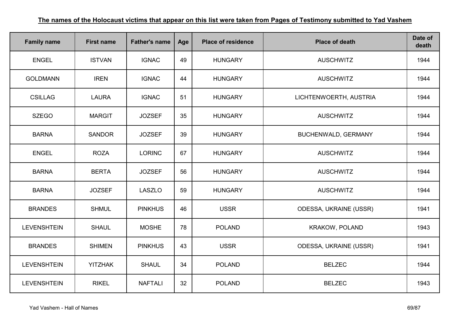| <b>Family name</b> | <b>First name</b> | <b>Father's name</b> | Age | <b>Place of residence</b> | <b>Place of death</b>      | Date of<br>death |
|--------------------|-------------------|----------------------|-----|---------------------------|----------------------------|------------------|
| <b>ENGEL</b>       | <b>ISTVAN</b>     | <b>IGNAC</b>         | 49  | <b>HUNGARY</b>            | <b>AUSCHWITZ</b>           | 1944             |
| <b>GOLDMANN</b>    | <b>IREN</b>       | <b>IGNAC</b>         | 44  | <b>HUNGARY</b>            | <b>AUSCHWITZ</b>           | 1944             |
| <b>CSILLAG</b>     | <b>LAURA</b>      | <b>IGNAC</b>         | 51  | <b>HUNGARY</b>            | LICHTENWOERTH, AUSTRIA     | 1944             |
| <b>SZEGO</b>       | <b>MARGIT</b>     | <b>JOZSEF</b>        | 35  | <b>HUNGARY</b>            | <b>AUSCHWITZ</b>           | 1944             |
| <b>BARNA</b>       | <b>SANDOR</b>     | <b>JOZSEF</b>        | 39  | <b>HUNGARY</b>            | <b>BUCHENWALD, GERMANY</b> | 1944             |
| <b>ENGEL</b>       | <b>ROZA</b>       | <b>LORINC</b>        | 67  | <b>HUNGARY</b>            | <b>AUSCHWITZ</b>           | 1944             |
| <b>BARNA</b>       | <b>BERTA</b>      | <b>JOZSEF</b>        | 56  | <b>HUNGARY</b>            | <b>AUSCHWITZ</b>           | 1944             |
| <b>BARNA</b>       | <b>JOZSEF</b>     | <b>LASZLO</b>        | 59  | <b>HUNGARY</b>            | <b>AUSCHWITZ</b>           | 1944             |
| <b>BRANDES</b>     | <b>SHMUL</b>      | <b>PINKHUS</b>       | 46  | <b>USSR</b>               | ODESSA, UKRAINE (USSR)     | 1941             |
| <b>LEVENSHTEIN</b> | <b>SHAUL</b>      | <b>MOSHE</b>         | 78  | <b>POLAND</b>             | <b>KRAKOW, POLAND</b>      | 1943             |
| <b>BRANDES</b>     | <b>SHIMEN</b>     | <b>PINKHUS</b>       | 43  | <b>USSR</b>               | ODESSA, UKRAINE (USSR)     | 1941             |
| <b>LEVENSHTEIN</b> | <b>YITZHAK</b>    | <b>SHAUL</b>         | 34  | <b>POLAND</b>             | <b>BELZEC</b>              | 1944             |
| <b>LEVENSHTEIN</b> | <b>RIKEL</b>      | <b>NAFTALI</b>       | 32  | <b>POLAND</b>             | <b>BELZEC</b>              | 1943             |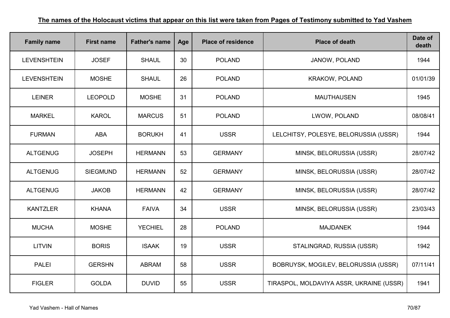| <b>Family name</b> | <b>First name</b> | <b>Father's name</b> | Age | <b>Place of residence</b> | <b>Place of death</b>                    | Date of<br>death |
|--------------------|-------------------|----------------------|-----|---------------------------|------------------------------------------|------------------|
| <b>LEVENSHTEIN</b> | <b>JOSEF</b>      | <b>SHAUL</b>         | 30  | <b>POLAND</b>             | JANOW, POLAND                            | 1944             |
| <b>LEVENSHTEIN</b> | <b>MOSHE</b>      | <b>SHAUL</b>         | 26  | <b>POLAND</b>             | <b>KRAKOW, POLAND</b>                    | 01/01/39         |
| <b>LEINER</b>      | <b>LEOPOLD</b>    | <b>MOSHE</b>         | 31  | <b>POLAND</b>             | <b>MAUTHAUSEN</b>                        | 1945             |
| <b>MARKEL</b>      | <b>KAROL</b>      | <b>MARCUS</b>        | 51  | <b>POLAND</b>             | LWOW, POLAND                             | 08/08/41         |
| <b>FURMAN</b>      | <b>ABA</b>        | <b>BORUKH</b>        | 41  | <b>USSR</b>               | LELCHITSY, POLESYE, BELORUSSIA (USSR)    | 1944             |
| <b>ALTGENUG</b>    | <b>JOSEPH</b>     | <b>HERMANN</b>       | 53  | <b>GERMANY</b>            | MINSK, BELORUSSIA (USSR)                 | 28/07/42         |
| <b>ALTGENUG</b>    | <b>SIEGMUND</b>   | <b>HERMANN</b>       | 52  | <b>GERMANY</b>            | MINSK, BELORUSSIA (USSR)                 | 28/07/42         |
| <b>ALTGENUG</b>    | <b>JAKOB</b>      | <b>HERMANN</b>       | 42  | <b>GERMANY</b>            | MINSK, BELORUSSIA (USSR)                 | 28/07/42         |
| <b>KANTZLER</b>    | <b>KHANA</b>      | <b>FAIVA</b>         | 34  | <b>USSR</b>               | MINSK, BELORUSSIA (USSR)                 | 23/03/43         |
| <b>MUCHA</b>       | <b>MOSHE</b>      | <b>YECHIEL</b>       | 28  | <b>POLAND</b>             | <b>MAJDANEK</b>                          | 1944             |
| <b>LITVIN</b>      | <b>BORIS</b>      | <b>ISAAK</b>         | 19  | <b>USSR</b>               | STALINGRAD, RUSSIA (USSR)                | 1942             |
| <b>PALEI</b>       | <b>GERSHN</b>     | <b>ABRAM</b>         | 58  | <b>USSR</b>               | BOBRUYSK, MOGILEV, BELORUSSIA (USSR)     | 07/11/41         |
| <b>FIGLER</b>      | <b>GOLDA</b>      | <b>DUVID</b>         | 55  | <b>USSR</b>               | TIRASPOL, MOLDAVIYA ASSR, UKRAINE (USSR) | 1941             |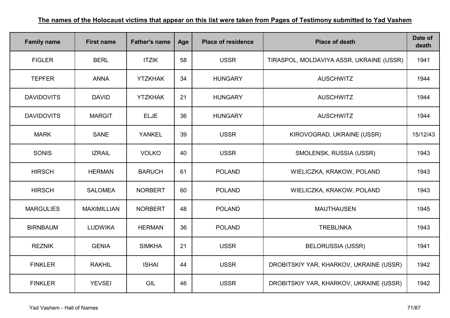| <b>Family name</b> | <b>First name</b>  | <b>Father's name</b> | Age | <b>Place of residence</b> | <b>Place of death</b>                    | Date of<br>death |
|--------------------|--------------------|----------------------|-----|---------------------------|------------------------------------------|------------------|
| <b>FIGLER</b>      | <b>BERL</b>        | <b>ITZIK</b>         | 58  | <b>USSR</b>               | TIRASPOL, MOLDAVIYA ASSR, UKRAINE (USSR) | 1941             |
| <b>TEPFER</b>      | <b>ANNA</b>        | <b>YTZKHAK</b>       | 34  | <b>HUNGARY</b>            | <b>AUSCHWITZ</b>                         | 1944             |
| <b>DAVIDOVITS</b>  | <b>DAVID</b>       | <b>YTZKHAK</b>       | 21  | <b>HUNGARY</b>            | <b>AUSCHWITZ</b>                         | 1944             |
| <b>DAVIDOVITS</b>  | <b>MARGIT</b>      | <b>ELJE</b>          | 36  | <b>HUNGARY</b>            | <b>AUSCHWITZ</b>                         | 1944             |
| <b>MARK</b>        | <b>SANE</b>        | <b>YANKEL</b>        | 39  | <b>USSR</b>               | KIROVOGRAD, UKRAINE (USSR)               | 15/12/43         |
| <b>SONIS</b>       | <b>IZRAIL</b>      | <b>VOLKO</b>         | 40  | <b>USSR</b>               | SMOLENSK, RUSSIA (USSR)                  | 1943             |
| <b>HIRSCH</b>      | <b>HERMAN</b>      | <b>BARUCH</b>        | 61  | <b>POLAND</b>             | WIELICZKA, KRAKOW, POLAND                | 1943             |
| <b>HIRSCH</b>      | <b>SALOMEA</b>     | <b>NORBERT</b>       | 60  | <b>POLAND</b>             | WIELICZKA, KRAKOW, POLAND                | 1943             |
| <b>MARGULIES</b>   | <b>MAXIMILLIAN</b> | <b>NORBERT</b>       | 48  | <b>POLAND</b>             | <b>MAUTHAUSEN</b>                        | 1945             |
| <b>BIRNBAUM</b>    | <b>LUDWIKA</b>     | <b>HERMAN</b>        | 36  | <b>POLAND</b>             | <b>TREBLINKA</b>                         | 1943             |
| <b>REZNIK</b>      | <b>GENIA</b>       | <b>SIMKHA</b>        | 21  | <b>USSR</b>               | <b>BELORUSSIA (USSR)</b>                 | 1941             |
| <b>FINKLER</b>     | <b>RAKHIL</b>      | <b>ISHAI</b>         | 44  | <b>USSR</b>               | DROBITSKIY YAR, KHARKOV, UKRAINE (USSR)  | 1942             |
| <b>FINKLER</b>     | <b>YEVSEI</b>      | GIL                  | 46  | <b>USSR</b>               | DROBITSKIY YAR, KHARKOV, UKRAINE (USSR)  | 1942             |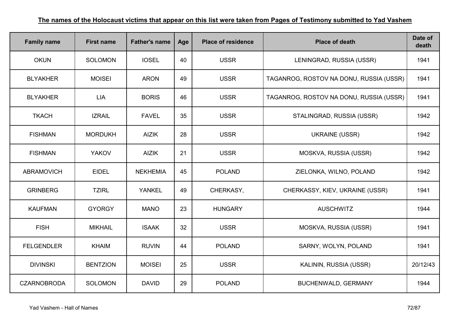| <b>Family name</b> | <b>First name</b> | <b>Father's name</b> | Age | <b>Place of residence</b> | <b>Place of death</b>                   | Date of<br>death |
|--------------------|-------------------|----------------------|-----|---------------------------|-----------------------------------------|------------------|
| <b>OKUN</b>        | <b>SOLOMON</b>    | <b>IOSEL</b>         | 40  | <b>USSR</b>               | LENINGRAD, RUSSIA (USSR)                | 1941             |
| <b>BLYAKHER</b>    | <b>MOISEI</b>     | <b>ARON</b>          | 49  | <b>USSR</b>               | TAGANROG, ROSTOV NA DONU, RUSSIA (USSR) | 1941             |
| <b>BLYAKHER</b>    | <b>LIA</b>        | <b>BORIS</b>         | 46  | <b>USSR</b>               | TAGANROG, ROSTOV NA DONU, RUSSIA (USSR) | 1941             |
| <b>TKACH</b>       | <b>IZRAIL</b>     | <b>FAVEL</b>         | 35  | <b>USSR</b>               | STALINGRAD, RUSSIA (USSR)               | 1942             |
| <b>FISHMAN</b>     | <b>MORDUKH</b>    | <b>AIZIK</b>         | 28  | <b>USSR</b>               | <b>UKRAINE (USSR)</b>                   | 1942             |
| <b>FISHMAN</b>     | <b>YAKOV</b>      | <b>AIZIK</b>         | 21  | <b>USSR</b>               | MOSKVA, RUSSIA (USSR)                   | 1942             |
| <b>ABRAMOVICH</b>  | <b>EIDEL</b>      | <b>NEKHEMIA</b>      | 45  | <b>POLAND</b>             | ZIELONKA, WILNO, POLAND                 | 1942             |
| <b>GRINBERG</b>    | <b>TZIRL</b>      | <b>YANKEL</b>        | 49  | CHERKASY,                 | CHERKASSY, KIEV, UKRAINE (USSR)         | 1941             |
| <b>KAUFMAN</b>     | <b>GYORGY</b>     | <b>MANO</b>          | 23  | <b>HUNGARY</b>            | <b>AUSCHWITZ</b>                        | 1944             |
| <b>FISH</b>        | <b>MIKHAIL</b>    | <b>ISAAK</b>         | 32  | <b>USSR</b>               | MOSKVA, RUSSIA (USSR)                   | 1941             |
| <b>FELGENDLER</b>  | <b>KHAIM</b>      | <b>RUVIN</b>         | 44  | <b>POLAND</b>             | SARNY, WOLYN, POLAND                    | 1941             |
| <b>DIVINSKI</b>    | <b>BENTZION</b>   | <b>MOISEI</b>        | 25  | <b>USSR</b>               | KALININ, RUSSIA (USSR)                  | 20/12/43         |
| <b>CZARNOBRODA</b> | <b>SOLOMON</b>    | <b>DAVID</b>         | 29  | <b>POLAND</b>             | BUCHENWALD, GERMANY                     | 1944             |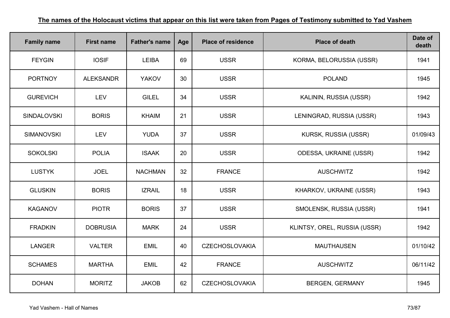| <b>Family name</b> | <b>First name</b> | <b>Father's name</b> | Age | <b>Place of residence</b> | <b>Place of death</b>         | Date of<br>death |
|--------------------|-------------------|----------------------|-----|---------------------------|-------------------------------|------------------|
| <b>FEYGIN</b>      | <b>IOSIF</b>      | <b>LEIBA</b>         | 69  | <b>USSR</b>               | KORMA, BELORUSSIA (USSR)      | 1941             |
| <b>PORTNOY</b>     | <b>ALEKSANDR</b>  | <b>YAKOV</b>         | 30  | <b>USSR</b>               | <b>POLAND</b>                 | 1945             |
| <b>GUREVICH</b>    | LEV               | <b>GILEL</b>         | 34  | <b>USSR</b>               | KALININ, RUSSIA (USSR)        | 1942             |
| <b>SINDALOVSKI</b> | <b>BORIS</b>      | <b>KHAIM</b>         | 21  | <b>USSR</b>               | LENINGRAD, RUSSIA (USSR)      | 1943             |
| <b>SIMANOVSKI</b>  | <b>LEV</b>        | <b>YUDA</b>          | 37  | <b>USSR</b>               | KURSK, RUSSIA (USSR)          | 01/09/43         |
| <b>SOKOLSKI</b>    | <b>POLIA</b>      | <b>ISAAK</b>         | 20  | <b>USSR</b>               | <b>ODESSA, UKRAINE (USSR)</b> | 1942             |
| <b>LUSTYK</b>      | <b>JOEL</b>       | <b>NACHMAN</b>       | 32  | <b>FRANCE</b>             | <b>AUSCHWITZ</b>              | 1942             |
| <b>GLUSKIN</b>     | <b>BORIS</b>      | <b>IZRAIL</b>        | 18  | <b>USSR</b>               | KHARKOV, UKRAINE (USSR)       | 1943             |
| <b>KAGANOV</b>     | <b>PIOTR</b>      | <b>BORIS</b>         | 37  | <b>USSR</b>               | SMOLENSK, RUSSIA (USSR)       | 1941             |
| <b>FRADKIN</b>     | <b>DOBRUSIA</b>   | <b>MARK</b>          | 24  | <b>USSR</b>               | KLINTSY, OREL, RUSSIA (USSR)  | 1942             |
| <b>LANGER</b>      | <b>VALTER</b>     | <b>EMIL</b>          | 40  | <b>CZECHOSLOVAKIA</b>     | <b>MAUTHAUSEN</b>             | 01/10/42         |
| <b>SCHAMES</b>     | <b>MARTHA</b>     | <b>EMIL</b>          | 42  | <b>FRANCE</b>             | <b>AUSCHWITZ</b>              | 06/11/42         |
| <b>DOHAN</b>       | <b>MORITZ</b>     | <b>JAKOB</b>         | 62  | <b>CZECHOSLOVAKIA</b>     | <b>BERGEN, GERMANY</b>        | 1945             |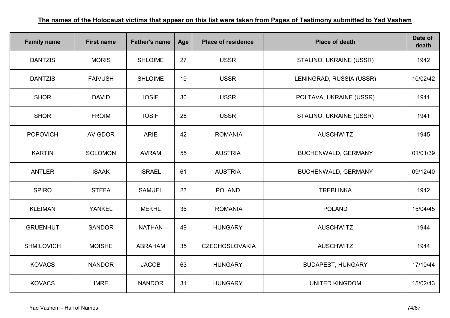| <b>Family name</b> | <b>First name</b> | <b>Father's name</b> | Age | <b>Place of residence</b> | <b>Place of death</b>      | Date of<br>death |
|--------------------|-------------------|----------------------|-----|---------------------------|----------------------------|------------------|
| <b>DANTZIS</b>     | <b>MORIS</b>      | <b>SHLOIME</b>       | 27  | <b>USSR</b>               | STALINO, UKRAINE (USSR)    | 1942             |
| <b>DANTZIS</b>     | <b>FAIVUSH</b>    | <b>SHLOIME</b>       | 19  | <b>USSR</b>               | LENINGRAD, RUSSIA (USSR)   | 10/02/42         |
| <b>SHOR</b>        | <b>DAVID</b>      | <b>IOSIF</b>         | 30  | <b>USSR</b>               | POLTAVA, UKRAINE (USSR)    | 1941             |
| <b>SHOR</b>        | <b>FROIM</b>      | <b>IOSIF</b>         | 28  | <b>USSR</b>               | STALINO, UKRAINE (USSR)    | 1941             |
| <b>POPOVICH</b>    | <b>AVIGDOR</b>    | <b>ARIE</b>          | 42  | <b>ROMANIA</b>            | <b>AUSCHWITZ</b>           | 1945             |
| <b>KARTIN</b>      | <b>SOLOMON</b>    | <b>AVRAM</b>         | 55  | <b>AUSTRIA</b>            | <b>BUCHENWALD, GERMANY</b> | 01/01/39         |
| <b>ANTLER</b>      | <b>ISAAK</b>      | <b>ISRAEL</b>        | 61  | <b>AUSTRIA</b>            | <b>BUCHENWALD, GERMANY</b> | 09/12/40         |
| <b>SPIRO</b>       | <b>STEFA</b>      | <b>SAMUEL</b>        | 23  | <b>POLAND</b>             | <b>TREBLINKA</b>           | 1942             |
| <b>KLEIMAN</b>     | YANKEL            | <b>MEKHL</b>         | 36  | <b>ROMANIA</b>            | <b>POLAND</b>              | 15/04/45         |
| <b>GRUENHUT</b>    | <b>SANDOR</b>     | <b>NATHAN</b>        | 49  | <b>HUNGARY</b>            | <b>AUSCHWITZ</b>           | 1944             |
| <b>SHMILOVICH</b>  | <b>MOISHE</b>     | <b>ABRAHAM</b>       | 35  | <b>CZECHOSLOVAKIA</b>     | <b>AUSCHWITZ</b>           | 1944             |
| <b>KOVACS</b>      | <b>NANDOR</b>     | <b>JACOB</b>         | 63  | <b>HUNGARY</b>            | <b>BUDAPEST, HUNGARY</b>   | 17/10/44         |
| <b>KOVACS</b>      | <b>IMRE</b>       | <b>NANDOR</b>        | 31  | <b>HUNGARY</b>            | <b>UNITED KINGDOM</b>      | 15/02/43         |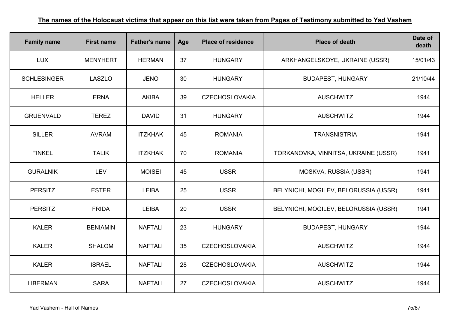| <b>Family name</b> | <b>First name</b> | <b>Father's name</b> | Age | <b>Place of residence</b> | <b>Place of death</b>                 | Date of<br>death |
|--------------------|-------------------|----------------------|-----|---------------------------|---------------------------------------|------------------|
| <b>LUX</b>         | <b>MENYHERT</b>   | <b>HERMAN</b>        | 37  | <b>HUNGARY</b>            | ARKHANGELSKOYE, UKRAINE (USSR)        | 15/01/43         |
| <b>SCHLESINGER</b> | <b>LASZLO</b>     | <b>JENO</b>          | 30  | <b>HUNGARY</b>            | <b>BUDAPEST, HUNGARY</b>              | 21/10/44         |
| <b>HELLER</b>      | <b>ERNA</b>       | <b>AKIBA</b>         | 39  | <b>CZECHOSLOVAKIA</b>     | <b>AUSCHWITZ</b>                      | 1944             |
| <b>GRUENVALD</b>   | <b>TEREZ</b>      | <b>DAVID</b>         | 31  | <b>HUNGARY</b>            | <b>AUSCHWITZ</b>                      | 1944             |
| <b>SILLER</b>      | <b>AVRAM</b>      | <b>ITZKHAK</b>       | 45  | <b>ROMANIA</b>            | <b>TRANSNISTRIA</b>                   | 1941             |
| <b>FINKEL</b>      | <b>TALIK</b>      | <b>ITZKHAK</b>       | 70  | <b>ROMANIA</b>            | TORKANOVKA, VINNITSA, UKRAINE (USSR)  | 1941             |
| <b>GURALNIK</b>    | <b>LEV</b>        | <b>MOISEI</b>        | 45  | <b>USSR</b>               | MOSKVA, RUSSIA (USSR)                 | 1941             |
| <b>PERSITZ</b>     | <b>ESTER</b>      | <b>LEIBA</b>         | 25  | <b>USSR</b>               | BELYNICHI, MOGILEV, BELORUSSIA (USSR) | 1941             |
| <b>PERSITZ</b>     | <b>FRIDA</b>      | <b>LEIBA</b>         | 20  | <b>USSR</b>               | BELYNICHI, MOGILEV, BELORUSSIA (USSR) | 1941             |
| <b>KALER</b>       | <b>BENIAMIN</b>   | <b>NAFTALI</b>       | 23  | <b>HUNGARY</b>            | <b>BUDAPEST, HUNGARY</b>              | 1944             |
| <b>KALER</b>       | <b>SHALOM</b>     | <b>NAFTALI</b>       | 35  | <b>CZECHOSLOVAKIA</b>     | <b>AUSCHWITZ</b>                      | 1944             |
| <b>KALER</b>       | <b>ISRAEL</b>     | <b>NAFTALI</b>       | 28  | <b>CZECHOSLOVAKIA</b>     | <b>AUSCHWITZ</b>                      | 1944             |
| <b>LIBERMAN</b>    | <b>SARA</b>       | <b>NAFTALI</b>       | 27  | <b>CZECHOSLOVAKIA</b>     | <b>AUSCHWITZ</b>                      | 1944             |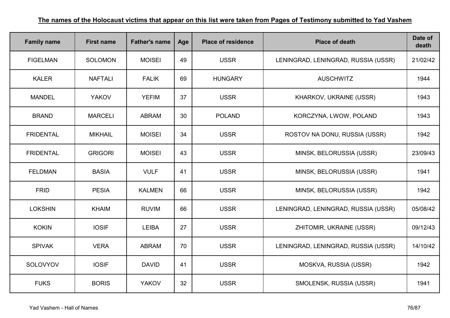| <b>Family name</b> | <b>First name</b> | <b>Father's name</b> | Age | <b>Place of residence</b> | <b>Place of death</b>               | Date of<br>death |
|--------------------|-------------------|----------------------|-----|---------------------------|-------------------------------------|------------------|
| <b>FIGELMAN</b>    | <b>SOLOMON</b>    | <b>MOISEI</b>        | 49  | <b>USSR</b>               | LENINGRAD, LENINGRAD, RUSSIA (USSR) | 21/02/42         |
| <b>KALER</b>       | <b>NAFTALI</b>    | <b>FALIK</b>         | 69  | <b>HUNGARY</b>            | <b>AUSCHWITZ</b>                    | 1944             |
| <b>MANDEL</b>      | <b>YAKOV</b>      | <b>YEFIM</b>         | 37  | <b>USSR</b>               | KHARKOV, UKRAINE (USSR)             | 1943             |
| <b>BRAND</b>       | <b>MARCELI</b>    | <b>ABRAM</b>         | 30  | <b>POLAND</b>             | KORCZYNA, LWOW, POLAND              | 1943             |
| <b>FRIDENTAL</b>   | <b>MIKHAIL</b>    | <b>MOISEI</b>        | 34  | <b>USSR</b>               | ROSTOV NA DONU, RUSSIA (USSR)       | 1942             |
| <b>FRIDENTAL</b>   | <b>GRIGORI</b>    | <b>MOISEI</b>        | 43  | <b>USSR</b>               | MINSK, BELORUSSIA (USSR)            | 23/09/43         |
| <b>FELDMAN</b>     | <b>BASIA</b>      | <b>VULF</b>          | 41  | <b>USSR</b>               | MINSK, BELORUSSIA (USSR)            | 1941             |
| <b>FRID</b>        | <b>PESIA</b>      | <b>KALMEN</b>        | 66  | <b>USSR</b>               | MINSK, BELORUSSIA (USSR)            | 1942             |
| <b>LOKSHIN</b>     | <b>KHAIM</b>      | <b>RUVIM</b>         | 66  | <b>USSR</b>               | LENINGRAD, LENINGRAD, RUSSIA (USSR) | 05/08/42         |
| <b>KOKIN</b>       | <b>IOSIF</b>      | <b>LEIBA</b>         | 27  | <b>USSR</b>               | ZHITOMIR, UKRAINE (USSR)            | 09/12/43         |
| <b>SPIVAK</b>      | <b>VERA</b>       | <b>ABRAM</b>         | 70  | <b>USSR</b>               | LENINGRAD, LENINGRAD, RUSSIA (USSR) | 14/10/42         |
| SOLOVYOV           | <b>IOSIF</b>      | <b>DAVID</b>         | 41  | <b>USSR</b>               | MOSKVA, RUSSIA (USSR)               | 1942             |
| <b>FUKS</b>        | <b>BORIS</b>      | <b>YAKOV</b>         | 32  | <b>USSR</b>               | SMOLENSK, RUSSIA (USSR)             | 1941             |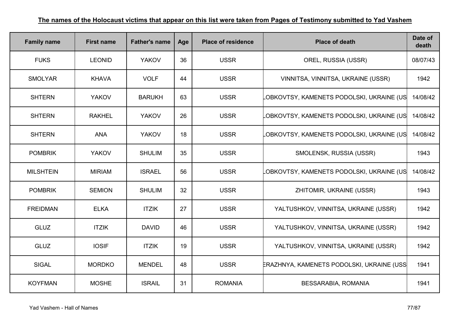| <b>Family name</b> | <b>First name</b> | <b>Father's name</b> | Age | <b>Place of residence</b> | <b>Place of death</b>                     | Date of<br>death |
|--------------------|-------------------|----------------------|-----|---------------------------|-------------------------------------------|------------------|
| <b>FUKS</b>        | <b>LEONID</b>     | <b>YAKOV</b>         | 36  | <b>USSR</b>               | OREL, RUSSIA (USSR)                       | 08/07/43         |
| <b>SMOLYAR</b>     | <b>KHAVA</b>      | <b>VOLF</b>          | 44  | <b>USSR</b>               | VINNITSA, VINNITSA, UKRAINE (USSR)        | 1942             |
| <b>SHTERN</b>      | <b>YAKOV</b>      | <b>BARUKH</b>        | 63  | <b>USSR</b>               | OBKOVTSY, KAMENETS PODOLSKI, UKRAINE (US  | 14/08/42         |
| <b>SHTERN</b>      | <b>RAKHEL</b>     | <b>YAKOV</b>         | 26  | <b>USSR</b>               | OBKOVTSY, KAMENETS PODOLSKI, UKRAINE (US  | 14/08/42         |
| <b>SHTERN</b>      | <b>ANA</b>        | <b>YAKOV</b>         | 18  | <b>USSR</b>               | LOBKOVTSY, KAMENETS PODOLSKI, UKRAINE (US | 14/08/42         |
| <b>POMBRIK</b>     | <b>YAKOV</b>      | <b>SHULIM</b>        | 35  | <b>USSR</b>               | SMOLENSK, RUSSIA (USSR)                   | 1943             |
| <b>MILSHTEIN</b>   | <b>MIRIAM</b>     | <b>ISRAEL</b>        | 56  | <b>USSR</b>               | OBKOVTSY, KAMENETS PODOLSKI, UKRAINE (US  | 14/08/42         |
| <b>POMBRIK</b>     | <b>SEMION</b>     | <b>SHULIM</b>        | 32  | <b>USSR</b>               | ZHITOMIR, UKRAINE (USSR)                  | 1943             |
| <b>FREIDMAN</b>    | <b>ELKA</b>       | <b>ITZIK</b>         | 27  | <b>USSR</b>               | YALTUSHKOV, VINNITSA, UKRAINE (USSR)      | 1942             |
| <b>GLUZ</b>        | <b>ITZIK</b>      | <b>DAVID</b>         | 46  | <b>USSR</b>               | YALTUSHKOV, VINNITSA, UKRAINE (USSR)      | 1942             |
| <b>GLUZ</b>        | <b>IOSIF</b>      | <b>ITZIK</b>         | 19  | <b>USSR</b>               | YALTUSHKOV, VINNITSA, UKRAINE (USSR)      | 1942             |
| <b>SIGAL</b>       | <b>MORDKO</b>     | <b>MENDEL</b>        | 48  | <b>USSR</b>               | ERAZHNYA, KAMENETS PODOLSKI, UKRAINE (USS | 1941             |
| <b>KOYFMAN</b>     | <b>MOSHE</b>      | <b>ISRAIL</b>        | 31  | <b>ROMANIA</b>            | BESSARABIA, ROMANIA                       | 1941             |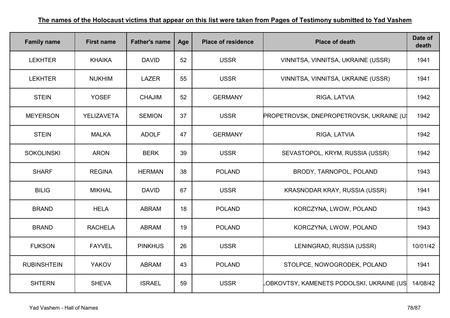| <b>Family name</b> | <b>First name</b> | <b>Father's name</b> | Age | <b>Place of residence</b> | <b>Place of death</b>                           | Date of<br>death |
|--------------------|-------------------|----------------------|-----|---------------------------|-------------------------------------------------|------------------|
| <b>LEKHTER</b>     | <b>KHAIKA</b>     | <b>DAVID</b>         | 52  | <b>USSR</b>               | VINNITSA, VINNITSA, UKRAINE (USSR)              | 1941             |
| <b>LEKHTER</b>     | <b>NUKHIM</b>     | <b>LAZER</b>         | 55  | <b>USSR</b>               | VINNITSA, VINNITSA, UKRAINE (USSR)              | 1941             |
| <b>STEIN</b>       | <b>YOSEF</b>      | <b>CHAJIM</b>        | 52  | <b>GERMANY</b>            | RIGA, LATVIA                                    | 1942             |
| <b>MEYERSON</b>    | YELIZAVETA        | <b>SEMION</b>        | 37  | <b>USSR</b>               | <b>PROPETROVSK, DNEPROPETROVSK, UKRAINE (U)</b> | 1942             |
| <b>STEIN</b>       | <b>MALKA</b>      | <b>ADOLF</b>         | 47  | <b>GERMANY</b>            | RIGA, LATVIA                                    | 1942             |
| <b>SOKOLINSKI</b>  | <b>ARON</b>       | <b>BERK</b>          | 39  | <b>USSR</b>               | SEVASTOPOL, KRYM, RUSSIA (USSR)                 | 1942             |
| <b>SHARF</b>       | <b>REGINA</b>     | <b>HERMAN</b>        | 38  | <b>POLAND</b>             | BRODY, TARNOPOL, POLAND                         | 1943             |
| <b>BILIG</b>       | <b>MIKHAL</b>     | <b>DAVID</b>         | 67  | <b>USSR</b>               | KRASNODAR KRAY, RUSSIA (USSR)                   | 1941             |
| <b>BRAND</b>       | <b>HELA</b>       | <b>ABRAM</b>         | 18  | <b>POLAND</b>             | KORCZYNA, LWOW, POLAND                          | 1943             |
| <b>BRAND</b>       | <b>RACHELA</b>    | <b>ABRAM</b>         | 19  | <b>POLAND</b>             | KORCZYNA, LWOW, POLAND                          | 1943             |
| <b>FUKSON</b>      | <b>FAYVEL</b>     | <b>PINKHUS</b>       | 26  | <b>USSR</b>               | LENINGRAD, RUSSIA (USSR)                        | 10/01/42         |
| <b>RUBINSHTEIN</b> | <b>YAKOV</b>      | <b>ABRAM</b>         | 43  | <b>POLAND</b>             | STOLPCE, NOWOGRODEK, POLAND                     | 1941             |
| <b>SHTERN</b>      | <b>SHEVA</b>      | <b>ISRAEL</b>        | 59  | <b>USSR</b>               | OBKOVTSY, KAMENETS PODOLSKI, UKRAINE (US        | 14/08/42         |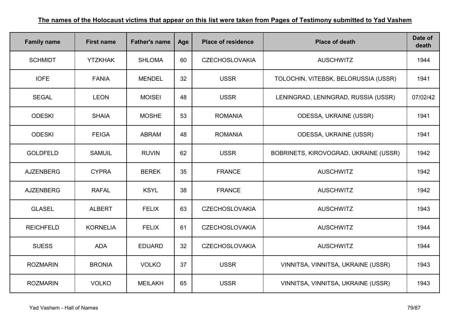| <b>Family name</b> | <b>First name</b> | <b>Father's name</b> | Age | <b>Place of residence</b> | <b>Place of death</b>                 | Date of<br>death |
|--------------------|-------------------|----------------------|-----|---------------------------|---------------------------------------|------------------|
| <b>SCHMIDT</b>     | <b>YTZKHAK</b>    | <b>SHLOMA</b>        | 60  | <b>CZECHOSLOVAKIA</b>     | <b>AUSCHWITZ</b>                      | 1944             |
| <b>IOFE</b>        | <b>FANIA</b>      | <b>MENDEL</b>        | 32  | <b>USSR</b>               | TOLOCHIN, VITEBSK, BELORUSSIA (USSR)  | 1941             |
| <b>SEGAL</b>       | <b>LEON</b>       | <b>MOISEI</b>        | 48  | <b>USSR</b>               | LENINGRAD, LENINGRAD, RUSSIA (USSR)   | 07/02/42         |
| <b>ODESKI</b>      | <b>SHAIA</b>      | <b>MOSHE</b>         | 53  | <b>ROMANIA</b>            | ODESSA, UKRAINE (USSR)                | 1941             |
| <b>ODESKI</b>      | <b>FEIGA</b>      | <b>ABRAM</b>         | 48  | <b>ROMANIA</b>            | ODESSA, UKRAINE (USSR)                | 1941             |
| <b>GOLDFELD</b>    | <b>SAMUIL</b>     | <b>RUVIN</b>         | 62  | <b>USSR</b>               | BOBRINETS, KIROVOGRAD, UKRAINE (USSR) | 1942             |
| <b>AJZENBERG</b>   | <b>CYPRA</b>      | <b>BEREK</b>         | 35  | <b>FRANCE</b>             | <b>AUSCHWITZ</b>                      | 1942             |
| <b>AJZENBERG</b>   | <b>RAFAL</b>      | <b>KSYL</b>          | 38  | <b>FRANCE</b>             | <b>AUSCHWITZ</b>                      | 1942             |
| <b>GLASEL</b>      | <b>ALBERT</b>     | <b>FELIX</b>         | 63  | <b>CZECHOSLOVAKIA</b>     | <b>AUSCHWITZ</b>                      | 1943             |
| <b>REICHFELD</b>   | <b>KORNELIA</b>   | <b>FELIX</b>         | 61  | <b>CZECHOSLOVAKIA</b>     | <b>AUSCHWITZ</b>                      | 1944             |
| <b>SUESS</b>       | <b>ADA</b>        | <b>EDUARD</b>        | 32  | <b>CZECHOSLOVAKIA</b>     | <b>AUSCHWITZ</b>                      | 1944             |
| <b>ROZMARIN</b>    | <b>BRONIA</b>     | <b>VOLKO</b>         | 37  | <b>USSR</b>               | VINNITSA, VINNITSA, UKRAINE (USSR)    | 1943             |
| <b>ROZMARIN</b>    | <b>VOLKO</b>      | <b>MEILAKH</b>       | 65  | <b>USSR</b>               | VINNITSA, VINNITSA, UKRAINE (USSR)    | 1943             |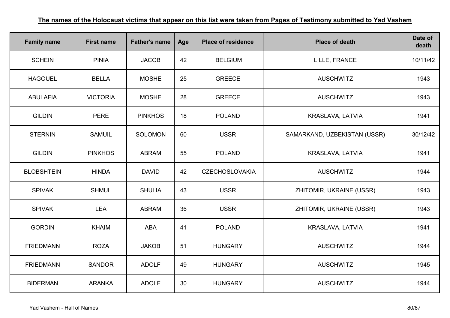| <b>Family name</b> | <b>First name</b> | <b>Father's name</b> | Age | <b>Place of residence</b> | <b>Place of death</b>        | Date of<br>death |
|--------------------|-------------------|----------------------|-----|---------------------------|------------------------------|------------------|
| <b>SCHEIN</b>      | <b>PINIA</b>      | <b>JACOB</b>         | 42  | <b>BELGIUM</b>            | LILLE, FRANCE                | 10/11/42         |
| <b>HAGOUEL</b>     | <b>BELLA</b>      | <b>MOSHE</b>         | 25  | <b>GREECE</b>             | <b>AUSCHWITZ</b>             | 1943             |
| <b>ABULAFIA</b>    | <b>VICTORIA</b>   | <b>MOSHE</b>         | 28  | <b>GREECE</b>             | <b>AUSCHWITZ</b>             | 1943             |
| <b>GILDIN</b>      | <b>PERE</b>       | <b>PINKHOS</b>       | 18  | <b>POLAND</b>             | KRASLAVA, LATVIA             | 1941             |
| <b>STERNIN</b>     | <b>SAMUIL</b>     | <b>SOLOMON</b>       | 60  | <b>USSR</b>               | SAMARKAND, UZBEKISTAN (USSR) | 30/12/42         |
| <b>GILDIN</b>      | <b>PINKHOS</b>    | <b>ABRAM</b>         | 55  | <b>POLAND</b>             | KRASLAVA, LATVIA             | 1941             |
| <b>BLOBSHTEIN</b>  | <b>HINDA</b>      | <b>DAVID</b>         | 42  | <b>CZECHOSLOVAKIA</b>     | <b>AUSCHWITZ</b>             | 1944             |
| <b>SPIVAK</b>      | <b>SHMUL</b>      | <b>SHULIA</b>        | 43  | <b>USSR</b>               | ZHITOMIR, UKRAINE (USSR)     | 1943             |
| <b>SPIVAK</b>      | <b>LEA</b>        | <b>ABRAM</b>         | 36  | <b>USSR</b>               | ZHITOMIR, UKRAINE (USSR)     | 1943             |
| <b>GORDIN</b>      | <b>KHAIM</b>      | ABA                  | 41  | <b>POLAND</b>             | KRASLAVA, LATVIA             | 1941             |
| <b>FRIEDMANN</b>   | <b>ROZA</b>       | <b>JAKOB</b>         | 51  | <b>HUNGARY</b>            | <b>AUSCHWITZ</b>             | 1944             |
| <b>FRIEDMANN</b>   | <b>SANDOR</b>     | <b>ADOLF</b>         | 49  | <b>HUNGARY</b>            | <b>AUSCHWITZ</b>             | 1945             |
| <b>BIDERMAN</b>    | <b>ARANKA</b>     | <b>ADOLF</b>         | 30  | <b>HUNGARY</b>            | <b>AUSCHWITZ</b>             | 1944             |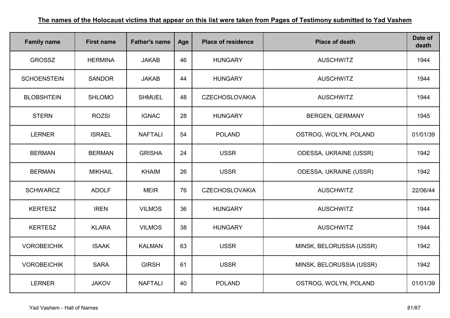| <b>Family name</b> | <b>First name</b> | <b>Father's name</b> | Age | <b>Place of residence</b> | <b>Place of death</b>         | Date of<br>death |
|--------------------|-------------------|----------------------|-----|---------------------------|-------------------------------|------------------|
| <b>GROSSZ</b>      | <b>HERMINA</b>    | <b>JAKAB</b>         | 46  | <b>HUNGARY</b>            | <b>AUSCHWITZ</b>              | 1944             |
| <b>SCHOENSTEIN</b> | <b>SANDOR</b>     | <b>JAKAB</b>         | 44  | <b>HUNGARY</b>            | <b>AUSCHWITZ</b>              | 1944             |
| <b>BLOBSHTEIN</b>  | <b>SHLOMO</b>     | <b>SHMUEL</b>        | 48  | <b>CZECHOSLOVAKIA</b>     | <b>AUSCHWITZ</b>              | 1944             |
| <b>STERN</b>       | <b>ROZSI</b>      | <b>IGNAC</b>         | 28  | <b>HUNGARY</b>            | <b>BERGEN, GERMANY</b>        | 1945             |
| <b>LERNER</b>      | <b>ISRAEL</b>     | <b>NAFTALI</b>       | 54  | <b>POLAND</b>             | OSTROG, WOLYN, POLAND         | 01/01/39         |
| <b>BERMAN</b>      | <b>BERMAN</b>     | <b>GRISHA</b>        | 24  | <b>USSR</b>               | <b>ODESSA, UKRAINE (USSR)</b> | 1942             |
| <b>BERMAN</b>      | <b>MIKHAIL</b>    | <b>KHAIM</b>         | 26  | <b>USSR</b>               | <b>ODESSA, UKRAINE (USSR)</b> | 1942             |
| <b>SCHWARCZ</b>    | <b>ADOLF</b>      | <b>MEIR</b>          | 76  | <b>CZECHOSLOVAKIA</b>     | <b>AUSCHWITZ</b>              | 22/06/44         |
| <b>KERTESZ</b>     | <b>IREN</b>       | <b>VILMOS</b>        | 36  | <b>HUNGARY</b>            | <b>AUSCHWITZ</b>              | 1944             |
| <b>KERTESZ</b>     | <b>KLARA</b>      | <b>VILMOS</b>        | 38  | <b>HUNGARY</b>            | <b>AUSCHWITZ</b>              | 1944             |
| <b>VOROBEICHIK</b> | <b>ISAAK</b>      | <b>KALMAN</b>        | 63  | <b>USSR</b>               | MINSK, BELORUSSIA (USSR)      | 1942             |
| <b>VOROBEICHIK</b> | <b>SARA</b>       | <b>GIRSH</b>         | 61  | <b>USSR</b>               | MINSK, BELORUSSIA (USSR)      | 1942             |
| <b>LERNER</b>      | <b>JAKOV</b>      | <b>NAFTALI</b>       | 40  | <b>POLAND</b>             | OSTROG, WOLYN, POLAND         | 01/01/39         |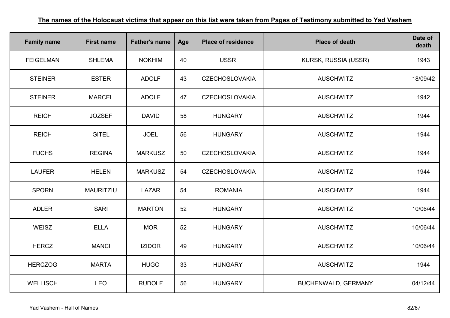| <b>Family name</b> | <b>First name</b> | <b>Father's name</b> | Age | <b>Place of residence</b> | <b>Place of death</b> | Date of<br>death |
|--------------------|-------------------|----------------------|-----|---------------------------|-----------------------|------------------|
| <b>FEIGELMAN</b>   | <b>SHLEMA</b>     | <b>NOKHIM</b>        | 40  | <b>USSR</b>               | KURSK, RUSSIA (USSR)  | 1943             |
| <b>STEINER</b>     | <b>ESTER</b>      | <b>ADOLF</b>         | 43  | <b>CZECHOSLOVAKIA</b>     | <b>AUSCHWITZ</b>      | 18/09/42         |
| <b>STEINER</b>     | <b>MARCEL</b>     | <b>ADOLF</b>         | 47  | <b>CZECHOSLOVAKIA</b>     | <b>AUSCHWITZ</b>      | 1942             |
| <b>REICH</b>       | <b>JOZSEF</b>     | <b>DAVID</b>         | 58  | <b>HUNGARY</b>            | <b>AUSCHWITZ</b>      | 1944             |
| <b>REICH</b>       | <b>GITEL</b>      | <b>JOEL</b>          | 56  | <b>HUNGARY</b>            | <b>AUSCHWITZ</b>      | 1944             |
| <b>FUCHS</b>       | <b>REGINA</b>     | <b>MARKUSZ</b>       | 50  | <b>CZECHOSLOVAKIA</b>     | <b>AUSCHWITZ</b>      | 1944             |
| <b>LAUFER</b>      | <b>HELEN</b>      | <b>MARKUSZ</b>       | 54  | <b>CZECHOSLOVAKIA</b>     | <b>AUSCHWITZ</b>      | 1944             |
| <b>SPORN</b>       | <b>MAURITZIU</b>  | <b>LAZAR</b>         | 54  | <b>ROMANIA</b>            | <b>AUSCHWITZ</b>      | 1944             |
| <b>ADLER</b>       | <b>SARI</b>       | <b>MARTON</b>        | 52  | <b>HUNGARY</b>            | <b>AUSCHWITZ</b>      | 10/06/44         |
| WEISZ              | <b>ELLA</b>       | <b>MOR</b>           | 52  | <b>HUNGARY</b>            | <b>AUSCHWITZ</b>      | 10/06/44         |
| <b>HERCZ</b>       | <b>MANCI</b>      | <b>IZIDOR</b>        | 49  | <b>HUNGARY</b>            | <b>AUSCHWITZ</b>      | 10/06/44         |
| <b>HERCZOG</b>     | <b>MARTA</b>      | <b>HUGO</b>          | 33  | <b>HUNGARY</b>            | <b>AUSCHWITZ</b>      | 1944             |
| <b>WELLISCH</b>    | <b>LEO</b>        | <b>RUDOLF</b>        | 56  | <b>HUNGARY</b>            | BUCHENWALD, GERMANY   | 04/12/44         |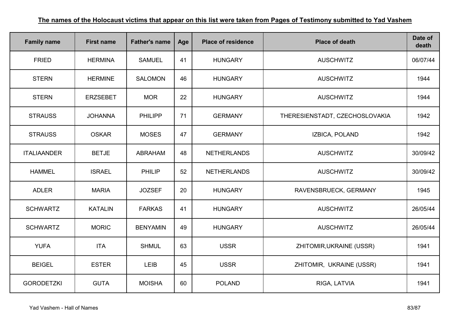| <b>Family name</b> | <b>First name</b> | <b>Father's name</b> | Age | <b>Place of residence</b> | <b>Place of death</b>          | Date of<br>death |
|--------------------|-------------------|----------------------|-----|---------------------------|--------------------------------|------------------|
| <b>FRIED</b>       | <b>HERMINA</b>    | <b>SAMUEL</b>        | 41  | <b>HUNGARY</b>            | <b>AUSCHWITZ</b>               | 06/07/44         |
| <b>STERN</b>       | <b>HERMINE</b>    | <b>SALOMON</b>       | 46  | <b>HUNGARY</b>            | <b>AUSCHWITZ</b>               | 1944             |
| <b>STERN</b>       | <b>ERZSEBET</b>   | <b>MOR</b>           | 22  | <b>HUNGARY</b>            | <b>AUSCHWITZ</b>               | 1944             |
| <b>STRAUSS</b>     | <b>JOHANNA</b>    | <b>PHILIPP</b>       | 71  | <b>GERMANY</b>            | THERESIENSTADT, CZECHOSLOVAKIA | 1942             |
| <b>STRAUSS</b>     | <b>OSKAR</b>      | <b>MOSES</b>         | 47  | <b>GERMANY</b>            | IZBICA, POLAND                 | 1942             |
| <b>ITALIAANDER</b> | <b>BETJE</b>      | <b>ABRAHAM</b>       | 48  | <b>NETHERLANDS</b>        | <b>AUSCHWITZ</b>               | 30/09/42         |
| <b>HAMMEL</b>      | <b>ISRAEL</b>     | <b>PHILIP</b>        | 52  | <b>NETHERLANDS</b>        | <b>AUSCHWITZ</b>               | 30/09/42         |
| <b>ADLER</b>       | <b>MARIA</b>      | <b>JOZSEF</b>        | 20  | <b>HUNGARY</b>            | RAVENSBRUECK, GERMANY          | 1945             |
| <b>SCHWARTZ</b>    | <b>KATALIN</b>    | <b>FARKAS</b>        | 41  | <b>HUNGARY</b>            | <b>AUSCHWITZ</b>               | 26/05/44         |
| <b>SCHWARTZ</b>    | <b>MORIC</b>      | <b>BENYAMIN</b>      | 49  | <b>HUNGARY</b>            | <b>AUSCHWITZ</b>               | 26/05/44         |
| <b>YUFA</b>        | <b>ITA</b>        | <b>SHMUL</b>         | 63  | <b>USSR</b>               | ZHITOMIR, UKRAINE (USSR)       | 1941             |
| <b>BEIGEL</b>      | <b>ESTER</b>      | <b>LEIB</b>          | 45  | <b>USSR</b>               | ZHITOMIR, UKRAINE (USSR)       | 1941             |
| <b>GORODETZKI</b>  | <b>GUTA</b>       | <b>MOISHA</b>        | 60  | <b>POLAND</b>             | RIGA, LATVIA                   | 1941             |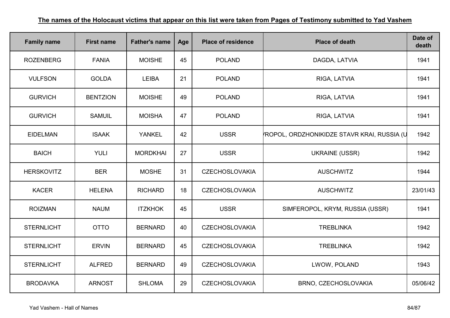| <b>Family name</b> | <b>First name</b> | <b>Father's name</b> | Age | <b>Place of residence</b> | <b>Place of death</b>                      | Date of<br>death |
|--------------------|-------------------|----------------------|-----|---------------------------|--------------------------------------------|------------------|
| <b>ROZENBERG</b>   | <b>FANIA</b>      | <b>MOISHE</b>        | 45  | <b>POLAND</b>             | DAGDA, LATVIA                              | 1941             |
| <b>VULFSON</b>     | <b>GOLDA</b>      | <b>LEIBA</b>         | 21  | <b>POLAND</b>             | RIGA, LATVIA                               | 1941             |
| <b>GURVICH</b>     | <b>BENTZION</b>   | <b>MOISHE</b>        | 49  | <b>POLAND</b>             | RIGA, LATVIA                               | 1941             |
| <b>GURVICH</b>     | <b>SAMUIL</b>     | <b>MOISHA</b>        | 47  | <b>POLAND</b>             | RIGA, LATVIA                               | 1941             |
| <b>EIDELMAN</b>    | <b>ISAAK</b>      | <b>YANKEL</b>        | 42  | <b>USSR</b>               | ROPOL, ORDZHONIKIDZE STAVR KRAI, RUSSIA (U | 1942             |
| <b>BAICH</b>       | <b>YULI</b>       | <b>MORDKHAI</b>      | 27  | <b>USSR</b>               | <b>UKRAINE (USSR)</b>                      | 1942             |
| <b>HERSKOVITZ</b>  | <b>BER</b>        | <b>MOSHE</b>         | 31  | <b>CZECHOSLOVAKIA</b>     | <b>AUSCHWITZ</b>                           | 1944             |
| <b>KACER</b>       | <b>HELENA</b>     | <b>RICHARD</b>       | 18  | <b>CZECHOSLOVAKIA</b>     | <b>AUSCHWITZ</b>                           | 23/01/43         |
| <b>ROIZMAN</b>     | <b>NAUM</b>       | <b>ITZKHOK</b>       | 45  | <b>USSR</b>               | SIMFEROPOL, KRYM, RUSSIA (USSR)            | 1941             |
| <b>STERNLICHT</b>  | <b>OTTO</b>       | <b>BERNARD</b>       | 40  | <b>CZECHOSLOVAKIA</b>     | <b>TREBLINKA</b>                           | 1942             |
| <b>STERNLICHT</b>  | <b>ERVIN</b>      | <b>BERNARD</b>       | 45  | <b>CZECHOSLOVAKIA</b>     | <b>TREBLINKA</b>                           | 1942             |
| <b>STERNLICHT</b>  | <b>ALFRED</b>     | <b>BERNARD</b>       | 49  | <b>CZECHOSLOVAKIA</b>     | LWOW, POLAND                               | 1943             |
| <b>BRODAVKA</b>    | <b>ARNOST</b>     | <b>SHLOMA</b>        | 29  | <b>CZECHOSLOVAKIA</b>     | BRNO, CZECHOSLOVAKIA                       | 05/06/42         |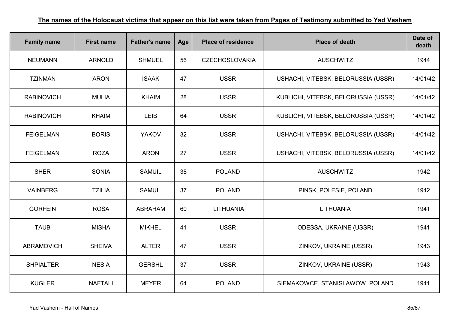| <b>Family name</b> | <b>First name</b> | <b>Father's name</b> | Age | <b>Place of residence</b> | <b>Place of death</b>                | Date of<br>death |
|--------------------|-------------------|----------------------|-----|---------------------------|--------------------------------------|------------------|
| <b>NEUMANN</b>     | <b>ARNOLD</b>     | <b>SHMUEL</b>        | 56  | <b>CZECHOSLOVAKIA</b>     | <b>AUSCHWITZ</b>                     | 1944             |
| <b>TZINMAN</b>     | <b>ARON</b>       | <b>ISAAK</b>         | 47  | <b>USSR</b>               | USHACHI, VITEBSK, BELORUSSIA (USSR)  | 14/01/42         |
| <b>RABINOVICH</b>  | <b>MULIA</b>      | <b>KHAIM</b>         | 28  | <b>USSR</b>               | KUBLICHI, VITEBSK, BELORUSSIA (USSR) | 14/01/42         |
| <b>RABINOVICH</b>  | <b>KHAIM</b>      | <b>LEIB</b>          | 64  | <b>USSR</b>               | KUBLICHI, VITEBSK, BELORUSSIA (USSR) | 14/01/42         |
| <b>FEIGELMAN</b>   | <b>BORIS</b>      | <b>YAKOV</b>         | 32  | <b>USSR</b>               | USHACHI, VITEBSK, BELORUSSIA (USSR)  | 14/01/42         |
| <b>FEIGELMAN</b>   | <b>ROZA</b>       | <b>ARON</b>          | 27  | <b>USSR</b>               | USHACHI, VITEBSK, BELORUSSIA (USSR)  | 14/01/42         |
| <b>SHER</b>        | <b>SONIA</b>      | <b>SAMUIL</b>        | 38  | <b>POLAND</b>             | <b>AUSCHWITZ</b>                     | 1942             |
| <b>VAINBERG</b>    | <b>TZILIA</b>     | <b>SAMUIL</b>        | 37  | <b>POLAND</b>             | PINSK, POLESIE, POLAND               | 1942             |
| <b>GORFEIN</b>     | <b>ROSA</b>       | <b>ABRAHAM</b>       | 60  | <b>LITHUANIA</b>          | <b>LITHUANIA</b>                     | 1941             |
| <b>TAUB</b>        | <b>MISHA</b>      | <b>MIKHEL</b>        | 41  | <b>USSR</b>               | <b>ODESSA, UKRAINE (USSR)</b>        | 1941             |
| <b>ABRAMOVICH</b>  | <b>SHEIVA</b>     | <b>ALTER</b>         | 47  | <b>USSR</b>               | ZINKOV, UKRAINE (USSR)               | 1943             |
| <b>SHPIALTER</b>   | <b>NESIA</b>      | <b>GERSHL</b>        | 37  | <b>USSR</b>               | ZINKOV, UKRAINE (USSR)               | 1943             |
| <b>KUGLER</b>      | <b>NAFTALI</b>    | <b>MEYER</b>         | 64  | <b>POLAND</b>             | SIEMAKOWCE, STANISLAWOW, POLAND      | 1941             |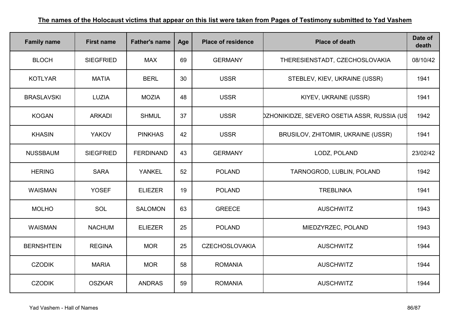| <b>Family name</b> | <b>First name</b> | <b>Father's name</b> | Age | <b>Place of residence</b> | <b>Place of death</b>                       | Date of<br>death |
|--------------------|-------------------|----------------------|-----|---------------------------|---------------------------------------------|------------------|
| <b>BLOCH</b>       | <b>SIEGFRIED</b>  | <b>MAX</b>           | 69  | <b>GERMANY</b>            | THERESIENSTADT, CZECHOSLOVAKIA              | 08/10/42         |
| <b>KOTLYAR</b>     | <b>MATIA</b>      | <b>BERL</b>          | 30  | <b>USSR</b>               | STEBLEV, KIEV, UKRAINE (USSR)               | 1941             |
| <b>BRASLAVSKI</b>  | <b>LUZIA</b>      | <b>MOZIA</b>         | 48  | <b>USSR</b>               | KIYEV, UKRAINE (USSR)                       | 1941             |
| <b>KOGAN</b>       | <b>ARKADI</b>     | <b>SHMUL</b>         | 37  | <b>USSR</b>               | DZHONIKIDZE, SEVERO OSETIA ASSR, RUSSIA (US | 1942             |
| <b>KHASIN</b>      | <b>YAKOV</b>      | <b>PINKHAS</b>       | 42  | <b>USSR</b>               | BRUSILOV, ZHITOMIR, UKRAINE (USSR)          | 1941             |
| <b>NUSSBAUM</b>    | <b>SIEGFRIED</b>  | <b>FERDINAND</b>     | 43  | <b>GERMANY</b>            | LODZ, POLAND                                | 23/02/42         |
| <b>HERING</b>      | <b>SARA</b>       | YANKEL               | 52  | <b>POLAND</b>             | TARNOGROD, LUBLIN, POLAND                   | 1942             |
| <b>WAISMAN</b>     | <b>YOSEF</b>      | <b>ELIEZER</b>       | 19  | <b>POLAND</b>             | <b>TREBLINKA</b>                            | 1941             |
| <b>MOLHO</b>       | SOL               | <b>SALOMON</b>       | 63  | <b>GREECE</b>             | <b>AUSCHWITZ</b>                            | 1943             |
| <b>WAISMAN</b>     | <b>NACHUM</b>     | <b>ELIEZER</b>       | 25  | <b>POLAND</b>             | MIEDZYRZEC, POLAND                          | 1943             |
| <b>BERNSHTEIN</b>  | <b>REGINA</b>     | <b>MOR</b>           | 25  | <b>CZECHOSLOVAKIA</b>     | <b>AUSCHWITZ</b>                            | 1944             |
| <b>CZODIK</b>      | <b>MARIA</b>      | <b>MOR</b>           | 58  | <b>ROMANIA</b>            | <b>AUSCHWITZ</b>                            | 1944             |
| <b>CZODIK</b>      | <b>OSZKAR</b>     | <b>ANDRAS</b>        | 59  | <b>ROMANIA</b>            | <b>AUSCHWITZ</b>                            | 1944             |